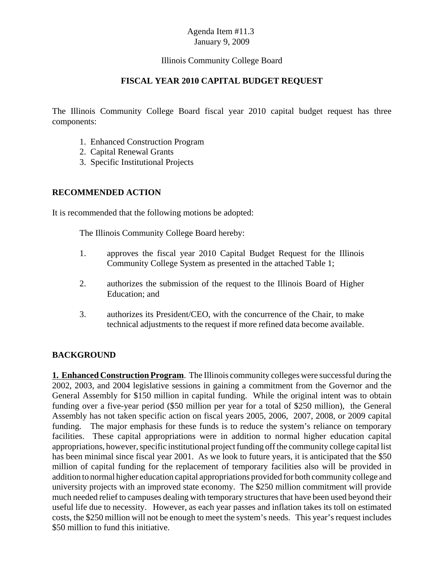#### Illinois Community College Board

#### **FISCAL YEAR 2010 CAPITAL BUDGET REQUEST**

The Illinois Community College Board fiscal year 2010 capital budget request has three components:

- 1. Enhanced Construction Program
- 2. Capital Renewal Grants
- 3. Specific Institutional Projects

#### **RECOMMENDED ACTION**

It is recommended that the following motions be adopted:

The Illinois Community College Board hereby:

- 1. approves the fiscal year 2010 Capital Budget Request for the Illinois Community College System as presented in the attached Table 1;
- 2. authorizes the submission of the request to the Illinois Board of Higher Education; and
- 3. authorizes its President/CEO, with the concurrence of the Chair, to make technical adjustments to the request if more refined data become available.

### **BACKGROUND**

**1. Enhanced Construction Program**. The Illinois community colleges were successful during the 2002, 2003, and 2004 legislative sessions in gaining a commitment from the Governor and the General Assembly for \$150 million in capital funding. While the original intent was to obtain funding over a five-year period (\$50 million per year for a total of \$250 million), the General Assembly has not taken specific action on fiscal years 2005, 2006, 2007, 2008, or 2009 capital funding. The major emphasis for these funds is to reduce the system's reliance on temporary facilities. These capital appropriations were in addition to normal higher education capital appropriations, however, specific institutional project funding off the community college capital list has been minimal since fiscal year 2001. As we look to future years, it is anticipated that the \$50 million of capital funding for the replacement of temporary facilities also will be provided in addition to normal higher education capital appropriations provided for both community college and university projects with an improved state economy. The \$250 million commitment will provide much needed relief to campuses dealing with temporary structures that have been used beyond their useful life due to necessity. However, as each year passes and inflation takes its toll on estimated costs, the \$250 million will not be enough to meet the system's needs. This year's request includes \$50 million to fund this initiative.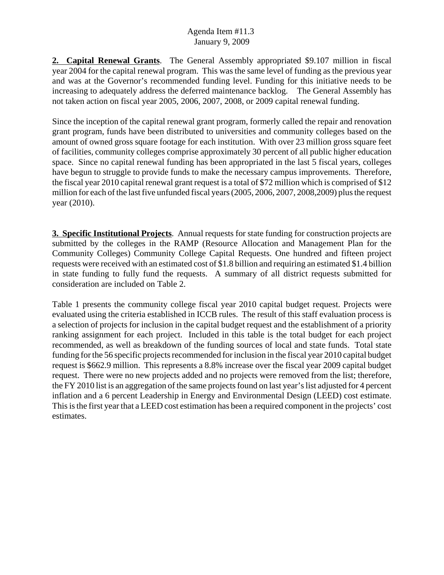**2. Capital Renewal Grants**. The General Assembly appropriated \$9.107 million in fiscal year 2004 for the capital renewal program. This was the same level of funding as the previous year and was at the Governor's recommended funding level. Funding for this initiative needs to be increasing to adequately address the deferred maintenance backlog. The General Assembly has not taken action on fiscal year 2005, 2006, 2007, 2008, or 2009 capital renewal funding.

Since the inception of the capital renewal grant program, formerly called the repair and renovation grant program, funds have been distributed to universities and community colleges based on the amount of owned gross square footage for each institution. With over 23 million gross square feet of facilities, community colleges comprise approximately 30 percent of all public higher education space. Since no capital renewal funding has been appropriated in the last 5 fiscal years, colleges have begun to struggle to provide funds to make the necessary campus improvements. Therefore, the fiscal year 2010 capital renewal grant request is a total of \$72 million which is comprised of \$12 million for each of the last five unfunded fiscal years (2005, 2006, 2007, 2008,2009) plus the request year (2010).

**3. Specific Institutional Projects**. Annual requests for state funding for construction projects are submitted by the colleges in the RAMP (Resource Allocation and Management Plan for the Community Colleges) Community College Capital Requests. One hundred and fifteen project requests were received with an estimated cost of \$1.8 billion and requiring an estimated \$1.4 billion in state funding to fully fund the requests. A summary of all district requests submitted for consideration are included on Table 2.

Table 1 presents the community college fiscal year 2010 capital budget request. Projects were evaluated using the criteria established in ICCB rules. The result of this staff evaluation process is a selection of projects for inclusion in the capital budget request and the establishment of a priority ranking assignment for each project. Included in this table is the total budget for each project recommended, as well as breakdown of the funding sources of local and state funds. Total state funding for the 56 specific projects recommended for inclusion in the fiscal year 2010 capital budget request is \$662.9 million. This represents a 8.8% increase over the fiscal year 2009 capital budget request. There were no new projects added and no projects were removed from the list; therefore, the FY 2010 list is an aggregation of the same projects found on last year's list adjusted for 4 percent inflation and a 6 percent Leadership in Energy and Environmental Design (LEED) cost estimate. This is the first year that a LEED cost estimation has been a required component in the projects' cost estimates.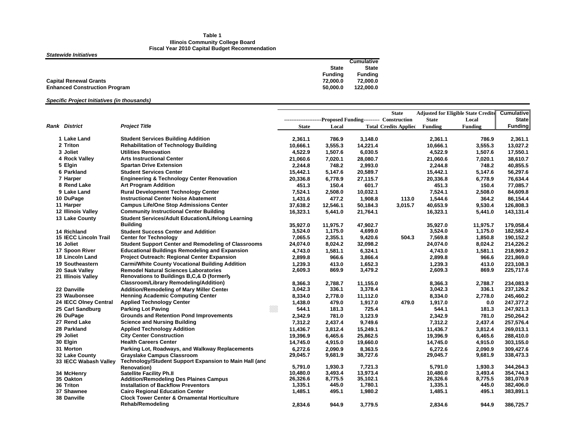#### **Table 1 Illinois Community College Board Fiscal Year 2010 Capital Budget Recommendation**

#### *Statewide Initiatives*

|                                                  | Cumulative   |
|--------------------------------------------------|--------------|
| <b>State</b>                                     | <b>State</b> |
| Fundina                                          | Fundina      |
| <b>Capital Renewal Grants</b><br>72.000.0        | 72.000.0     |
| 50.000.0<br><b>Enhanced Construction Program</b> | 122.000.0    |

#### *Specific Project Initiatives (in thousands)*

|                              |                                                                                      |                    |                  |                     | <b>State</b>                                                 |                    | <b>Adjusted for Eligible State Credits</b> | <b>Cumulative</b>      |
|------------------------------|--------------------------------------------------------------------------------------|--------------------|------------------|---------------------|--------------------------------------------------------------|--------------------|--------------------------------------------|------------------------|
|                              |                                                                                      |                    |                  |                     | ----------------------Proposed Funding--------- Construction | <b>State</b>       | Local                                      | <b>State</b>           |
| <b>Rank District</b>         | <b>Project Title</b>                                                                 | <b>State</b>       | Local            |                     | <b>Total Credits Applied</b>                                 | <b>Funding</b>     | Funding                                    | <b>Funding</b>         |
| 1 Lake Land                  | <b>Student Services Building Addition</b>                                            | 2,361.1            | 786.9            | 3,148.0             |                                                              | 2,361.1            | 786.9                                      | 2,361.1                |
| 2 Triton                     | <b>Rehabilitation of Technology Building</b>                                         | 10,666.1           | 3,555.3          | 14,221.4            |                                                              | 10,666.1           | 3,555.3                                    | 13,027.2               |
| 3 Joliet                     | <b>Utilities Renovation</b>                                                          | 4,522.9            | 1,507.6          | 6,030.5             |                                                              | 4,522.9            | 1,507.6                                    | 17,550.1               |
| 4 Rock Valley                | <b>Arts Instructional Center</b>                                                     | 21,060.6           | 7,020.1          | 28,080.7            |                                                              | 21,060.6           | 7,020.1                                    | 38,610.7               |
| 5 Elgin                      | <b>Spartan Drive Extension</b>                                                       | 2,244.8            | 748.2            | 2,993.0             |                                                              | 2,244.8            | 748.2                                      | 40,855.5               |
| 6 Parkland                   | <b>Student Services Center</b>                                                       | 15,442.1           | 5,147.6          | 20,589.7            |                                                              | 15,442.1           | 5,147.6                                    | 56,297.6               |
| 7 Harper                     | <b>Engineering &amp; Technology Center Renovation</b>                                | 20,336.8           | 6,778.9          | 27,115.7            |                                                              | 20,336.8           | 6,778.9                                    | 76,634.4               |
| 8 Rend Lake                  | <b>Art Program Addition</b>                                                          | 451.3              | 150.4            | 601.7               |                                                              | 451.3              | 150.4                                      | 77,085.7               |
| 9 Lake Land                  | <b>Rural Development Technology Center</b>                                           | 7,524.1            | 2,508.0          | 10,032.1            |                                                              | 7,524.1            | 2,508.0                                    | 84,609.8               |
| 10 DuPage                    | <b>Instructional Center Noise Abatement</b>                                          | 1,431.6            | 477.2            | 1,908.8             | 113.0                                                        | 1,544.6            | 364.2                                      | 86,154.4               |
| 11 Harper                    | <b>Campus Life/One Stop Admissions Center</b>                                        | 37,638.2           | 12,546.1         | 50,184.3            | 3,015.7                                                      | 40,653.9           | 9,530.4                                    | 126,808.3              |
| 12 Illinois Valley           | <b>Community Instructional Center Building</b>                                       | 16,323.1           | 5,441.0          | 21,764.1            |                                                              | 16,323.1           | 5,441.0                                    | 143,131.4              |
| 13 Lake County               | <b>Student Services/Adult Education/Lifelong Learning</b>                            |                    |                  |                     |                                                              |                    |                                            |                        |
|                              | <b>Building</b>                                                                      | 35,927.0           | 11,975.7         | 47,902.7            |                                                              | 35,927.0           | 11,975.7                                   | 179,058.4              |
| 14 Richland                  | <b>Student Success Center and Addition</b>                                           | 3,524.0            | 1,175.0          | 4,699.0             |                                                              | 3,524.0            | 1,175.0                                    | 182,582.4              |
| <b>15 IECC Lincoln Trail</b> | <b>Center for Technology</b>                                                         | 7,065.5            | 2.355.1          | 9,420.6             | 504.3                                                        | 7,569.8            | 1,850.8                                    | 190,152.2              |
| 16 Joliet                    | <b>Student Support Center and Remodeling of Classrooms</b>                           | 24,074.0           | 8,024.2          | 32,098.2            |                                                              | 24,074.0           | 8,024.2                                    | 214,226.2              |
| 17 Spoon River               | <b>Educational Buildings Remodeling and Expansion</b>                                | 4,743.0            | 1,581.1          | 6,324.1             |                                                              | 4,743.0            | 1,581.1                                    | 218,969.2              |
| <b>18 Lincoln Land</b>       | Project Outreach: Regional Center Expansion                                          | 2,899.8            | 966.6            | 3,866.4             |                                                              | 2,899.8            | 966.6                                      | 221,869.0              |
| 19 Southeastern              | <b>Carmi/White County Vocational Building Addition</b>                               | 1,239.3            | 413.0            | 1,652.3             |                                                              | 1,239.3            | 413.0                                      | 223,108.3              |
| 20 Sauk Valley               | <b>Remodel Natural Sciences Laboratories</b>                                         | 2,609.3            | 869.9            | 3,479.2             |                                                              | 2,609.3            | 869.9                                      | 225,717.6              |
| 21 Illinois Valley           | Renovations to Buildings B,C,& D (formerly                                           |                    |                  |                     |                                                              |                    |                                            |                        |
|                              | <b>Classroom/Library Remodeling/Addition)</b>                                        | 8.366.3            | 2.788.7          | 11.155.0            |                                                              | 8.366.3            | 2.788.7                                    | 234.083.9              |
| 22 Danville                  | <b>Addition/Remodeling of Mary Miller Center</b>                                     | 3,042.3            | 336.1            | 3,378.4             |                                                              | 3,042.3            | 336.1                                      | 237,126.2              |
| 23 Waubonsee                 | <b>Henning Academic Computing Center</b>                                             | 8,334.0            | 2,778.0          | 11,112.0            |                                                              | 8,334.0            | 2,778.0                                    | 245,460.2              |
| 24 IECC Olney Central        | <b>Applied Technology Center</b>                                                     | 1,438.0            | 479.0            | 1,917.0             | 479.0                                                        | 1,917.0            | 0.0                                        | 247,377.2              |
| 25 Carl Sandburg             | <b>Parking Lot Paving</b>                                                            | ▒▒<br>544.1        | 181.3            | 725.4               |                                                              | 544.1              | 181.3                                      | 247,921.3              |
| 26 DuPage                    | <b>Grounds and Retention Pond Improvements</b>                                       | 2,342.9            | 781.0            | 3,123.9             |                                                              | 2,342.9            | 781.0                                      | 250,264.2              |
| 27 Rend Lake                 | <b>Science and Nursing Building</b>                                                  | 7,312.2            | 2,437.4          | 9,749.6             |                                                              | 7,312.2            | 2,437.4                                    | 257,576.4              |
| 28 Parkland                  | <b>Applied Technology Addition</b>                                                   | 11,436.7           | 3,812.4          | 15,249.1            |                                                              | 11,436.7           | 3,812.4                                    | 269,013.1              |
| 29 Joliet                    | <b>City Center Construction</b>                                                      | 19,396.9           | 6,465.6          | 25,862.5            |                                                              | 19,396.9           | 6,465.6                                    | 288,410.0              |
| 30 Elgin                     | <b>Health Careers Center</b>                                                         | 14,745.0           | 4,915.0          | 19,660.0            |                                                              | 14,745.0           | 4,915.0                                    | 303,155.0              |
| 31 Morton                    | Parking Lot, Roadways, and Walkway Replacements                                      | 6,272.6            | 2,090.9          | 8,363.5             |                                                              | 6,272.6            | 2,090.9                                    | 309,427.6              |
| 32 Lake County               | <b>Grayslake Campus Classroom</b>                                                    | 29,045.7           | 9,681.9          | 38,727.6            |                                                              | 29,045.7           | 9,681.9                                    | 338,473.3              |
| 33 IECC Wabash Valley        | Technology/Student Support Expansion to Main Hall (and                               |                    |                  |                     |                                                              |                    |                                            |                        |
|                              | <b>Renovation</b> )                                                                  | 5,791.0            | 1,930.3          | 7,721.3             |                                                              | 5,791.0            | 1,930.3                                    | 344,264.3              |
| 34 McHenry                   | <b>Satellite Facility Ph.II</b>                                                      | 10,480.0           | 3,493.4          | 13,973.4            |                                                              | 10,480.0           | 3,493.4                                    | 354,744.3              |
| 35 Oakton                    | <b>Addition/Remodeling Des Plaines Campus</b>                                        | 26,326.6           | 8,775.5<br>445.0 | 35,102.1<br>1,780.1 |                                                              | 26,326.6           | 8,775.5<br>445.0                           | 381,070.9<br>382,406.0 |
| 36 Triton<br>37 Shawnee      | <b>Installation of Backflow Preventors</b><br><b>Cairo Regional Education Center</b> | 1,335.1<br>1,485.1 | 495.1            | 1,980.2             |                                                              | 1,335.1<br>1,485.1 | 495.1                                      | 383,891.1              |
| 38 Danville                  | <b>Clock Tower Center &amp; Ornamental Horticulture</b>                              |                    |                  |                     |                                                              |                    |                                            |                        |
|                              | Rehab/Remodeling                                                                     |                    |                  |                     |                                                              |                    |                                            |                        |
|                              |                                                                                      | 2,834.6            | 944.9            | 3,779.5             |                                                              | 2,834.6            | 944.9                                      | 386,725.7              |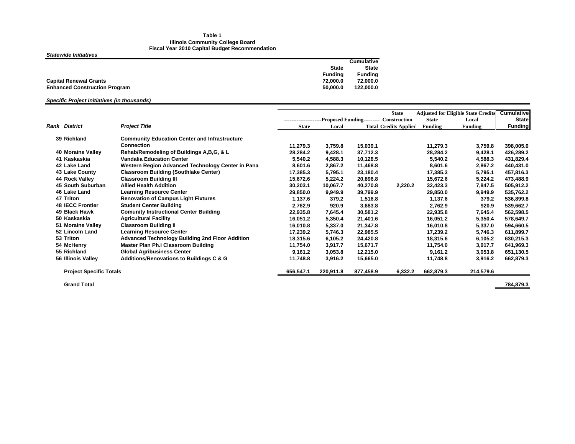#### **Table 1 Illinois Community College Board Fiscal Year 2010 Capital Budget Recommendation**

*Statewide Initiatives*

|                                                  | <b>Cumulative</b> |
|--------------------------------------------------|-------------------|
| <b>State</b>                                     | <b>State</b>      |
| <b>Fundina</b>                                   | <b>Funding</b>    |
| <b>Capital Renewal Grants</b><br>72.000.0        | 72.000.0          |
| 50.000.0<br><b>Enhanced Construction Program</b> | 122,000.0         |

#### *Specific Project Initiatives (in thousands)*

|                                |                                                        |              |           |           | <b>State</b>                                                  |                | <b>Adjusted for Eligible State Credits</b> | <b>Cumulative</b> |
|--------------------------------|--------------------------------------------------------|--------------|-----------|-----------|---------------------------------------------------------------|----------------|--------------------------------------------|-------------------|
|                                |                                                        |              |           |           | ----------------------Proposed Funding---------- Construction | <b>State</b>   | Local                                      | <b>State</b>      |
| <b>Rank District</b>           | <b>Project Title</b>                                   | <b>State</b> | Local     |           | <b>Total Credits Applied</b>                                  | <b>Funding</b> | Funding                                    | Funding           |
| 39 Richland                    | <b>Community Education Center and Infrastructure</b>   |              |           |           |                                                               |                |                                            |                   |
|                                | <b>Connection</b>                                      | 11,279.3     | 3,759.8   | 15,039.1  |                                                               | 11,279.3       | 3,759.8                                    | 398,005.0         |
| 40 Moraine Valley              | Rehab/Remodeling of Buildings A, B, G, & L             | 28,284.2     | 9,428.1   | 37,712.3  |                                                               | 28,284.2       | 9,428.1                                    | 426,289.2         |
| 41 Kaskaskia                   | <b>Vandalia Education Center</b>                       | 5,540.2      | 4,588.3   | 10,128.5  |                                                               | 5,540.2        | 4,588.3                                    | 431,829.4         |
| 42 Lake Land                   | Western Region Advanced Technology Center in Pana      | 8,601.6      | 2,867.2   | 11,468.8  |                                                               | 8,601.6        | 2.867.2                                    | 440,431.0         |
| 43 Lake County                 | <b>Classroom Building (Southlake Center)</b>           | 17,385.3     | 5,795.1   | 23,180.4  |                                                               | 17,385.3       | 5,795.1                                    | 457,816.3         |
| 44 Rock Valley                 | <b>Classroom Building III</b>                          | 15,672.6     | 5,224.2   | 20,896.8  |                                                               | 15,672.6       | 5.224.2                                    | 473,488.9         |
| 45 South Suburban              | <b>Allied Health Addition</b>                          | 30,203.1     | 10,067.7  | 40,270.8  | 2,220.2                                                       | 32,423.3       | 7,847.5                                    | 505,912.2         |
| 46 Lake Land                   | <b>Learning Resource Center</b>                        | 29,850.0     | 9,949.9   | 39,799.9  |                                                               | 29,850.0       | 9,949.9                                    | 535,762.2         |
| 47 Triton                      | <b>Renovation of Campus Light Fixtures</b>             | 1,137.6      | 379.2     | 1,516.8   |                                                               | 1,137.6        | 379.2                                      | 536,899.8         |
| <b>48 IECC Frontier</b>        | <b>Student Center Building</b>                         | 2,762.9      | 920.9     | 3,683.8   |                                                               | 2,762.9        | 920.9                                      | 539,662.7         |
| 49 Black Hawk                  | <b>Comunity Instructional Center Building</b>          | 22,935.8     | 7,645.4   | 30,581.2  |                                                               | 22,935.8       | 7.645.4                                    | 562,598.5         |
| 50 Kaskaskia                   | <b>Agricultural Facility</b>                           | 16,051.2     | 5,350.4   | 21,401.6  |                                                               | 16,051.2       | 5,350.4                                    | 578,649.7         |
| 51 Moraine Valley              | <b>Classroom Building II</b>                           | 16,010.8     | 5,337.0   | 21,347.8  |                                                               | 16,010.8       | 5.337.0                                    | 594,660.5         |
| 52 Lincoln Land                | <b>Learning Resource Center</b>                        | 17,239.2     | 5,746.3   | 22,985.5  |                                                               | 17,239.2       | 5,746.3                                    | 611,899.7         |
| 53 Triton                      | <b>Advanced Technology Building 2nd Floor Addition</b> | 18,315.6     | 6,105.2   | 24,420.8  |                                                               | 18,315.6       | 6.105.2                                    | 630,215.3         |
| 54 McHenry                     | Master Plan Ph.I Classroom Building                    | 11,754.0     | 3,917.7   | 15,671.7  |                                                               | 11,754.0       | 3,917.7                                    | 641,969.3         |
| 55 Richland                    | <b>Global Agribusiness Center</b>                      | 9.161.2      | 3,053.8   | 12,215.0  |                                                               | 9,161.2        | 3,053.8                                    | 651,130.5         |
| 56 Illinois Valley             | Additions/Renovations to Buildings C & G               | 11,748.8     | 3,916.2   | 15,665.0  |                                                               | 11,748.8       | 3,916.2                                    | 662,879.3         |
| <b>Project Specific Totals</b> |                                                        | 656,547.1    | 220,911.8 | 877,458.9 | 6,332.2                                                       | 662,879.3      | 214,579.6                                  |                   |
|                                |                                                        |              |           |           |                                                               |                |                                            |                   |

**Grand Total**

**784,879.3**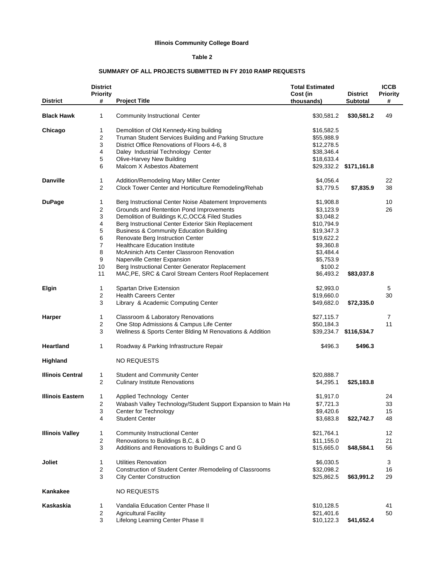#### **Illinois Community College Board**

#### **Table 2**

#### **SUMMARY OF ALL PROJECTS SUBMITTED IN FY 2010 RAMP REQUESTS**

| <b>District</b>         | <b>District</b><br><b>Priority</b><br># | <b>Project Title</b>                                          | <b>Total Estimated</b><br>Cost (in<br>thousands) | <b>District</b><br>Subtotal | <b>ICCB</b><br><b>Priority</b><br># |
|-------------------------|-----------------------------------------|---------------------------------------------------------------|--------------------------------------------------|-----------------------------|-------------------------------------|
| <b>Black Hawk</b>       | 1                                       | Community Instructional Center                                | \$30,581.2                                       | \$30,581.2                  | 49                                  |
| Chicago                 | 1                                       | Demolition of Old Kennedy-King building                       | \$16,582.5                                       |                             |                                     |
|                         | 2                                       | Truman Student Services Building and Parking Structure        | \$55,988.9                                       |                             |                                     |
|                         | 3                                       | District Office Renovations of Floors 4-6, 8                  | \$12,278.5                                       |                             |                                     |
|                         | 4                                       | Daley Industrial Technology Center                            | \$38,346.4                                       |                             |                                     |
|                         | 5                                       | Olive-Harvey New Building                                     | \$18,633.4                                       |                             |                                     |
|                         | 6                                       | Malcom X Asbestos Abatement                                   |                                                  | \$29,332.2 \$171,161.8      |                                     |
| <b>Danville</b>         | 1                                       | Addition/Remodeling Mary Miller Center                        | \$4,056.4                                        |                             | 22                                  |
|                         | 2                                       | Clock Tower Center and Horticulture Remodeling/Rehab          | \$3,779.5                                        | \$7,835.9                   | 38                                  |
| <b>DuPage</b>           | 1                                       | Berg Instructional Center Noise Abatement Improvements        | \$1,908.8                                        |                             | 10                                  |
|                         | 2                                       | Grounds and Rentention Pond Improvements                      | \$3,123.9                                        |                             | 26                                  |
|                         | 3                                       | Demolition of Buildings K,C,OCC& Filed Studies                | \$3,048.2                                        |                             |                                     |
|                         | 4                                       | Berg Instructional Center Exterior Skin Replacement           | \$10,794.9                                       |                             |                                     |
|                         | 5                                       | <b>Business &amp; Community Education Building</b>            | \$19,347.3                                       |                             |                                     |
|                         | 6                                       | Renovate Berg Instruction Center                              | \$19,622.2                                       |                             |                                     |
|                         | 7                                       | <b>Healthcare Education Institute</b>                         | \$9,360.8                                        |                             |                                     |
|                         | 8                                       | McAninich Arts Center Classroon Renovation                    | \$3,484.4                                        |                             |                                     |
|                         | 9                                       | Naperville Center Expansion                                   | \$5,753.9                                        |                             |                                     |
|                         | 10                                      | Berg Instructional Center Generator Replacement               | \$100.2                                          |                             |                                     |
|                         | 11                                      | MAC, PE, SRC & Carol Stream Centers Roof Replacement          | \$6,493.2                                        | \$83,037.8                  |                                     |
| <b>Elgin</b>            | 1                                       | Spartan Drive Extension                                       | \$2,993.0                                        |                             | 5                                   |
|                         | 2                                       | <b>Health Careers Center</b>                                  | \$19,660.0                                       |                             | 30                                  |
|                         | 3                                       | Library & Academic Computing Center                           | \$49,682.0                                       | \$72,335.0                  |                                     |
| <b>Harper</b>           | 1                                       | Classroom & Laboratory Renovations                            | \$27,115.7                                       |                             | 7                                   |
|                         | 2                                       | One Stop Admissions & Campus Life Center                      | \$50,184.3                                       |                             | 11                                  |
|                         | 3                                       | Wellness & Sports Center Blding M Renovations & Addition      |                                                  | \$39,234.7 \$116,534.7      |                                     |
| <b>Heartland</b>        | 1                                       | Roadway & Parking Infrastructure Repair                       | \$496.3                                          | \$496.3                     |                                     |
| Highland                |                                         | <b>NO REQUESTS</b>                                            |                                                  |                             |                                     |
| <b>Illinois Central</b> | 1                                       | Student and Community Center                                  | \$20,888.7                                       |                             |                                     |
|                         | 2                                       | <b>Culinary Institute Renovations</b>                         | \$4,295.1                                        | \$25,183.8                  |                                     |
| <b>Illinois Eastern</b> | 1                                       | Applied Technology Center                                     | \$1,917.0                                        |                             | 24                                  |
|                         | 2                                       | Wabash Valley Technology/Student Support Expansion to Main Ha | \$7,721.3                                        |                             | 33                                  |
|                         | 3                                       | Center for Technology                                         | \$9,420.6                                        |                             | 15                                  |
|                         | 4                                       | <b>Student Center</b>                                         | \$3,683.8                                        | \$22,742.7                  | 48                                  |
| <b>Illinois Valley</b>  | 1                                       | <b>Community Instructional Center</b>                         | \$21,764.1                                       |                             | 12                                  |
|                         | 2                                       | Renovations to Buildings B,C, & D                             | \$11,155.0                                       |                             | 21                                  |
|                         | 3                                       | Additions and Renovations to Buildings C and G                | \$15,665.0                                       | \$48,584.1                  | 56                                  |
| Joliet                  | 1                                       | <b>Utilities Renovation</b>                                   | \$6,030.5                                        |                             | 3                                   |
|                         | 2                                       | Construction of Student Center / Remodeling of Classrooms     | \$32,098.2                                       |                             | 16                                  |
|                         | 3                                       | <b>City Center Construction</b>                               | \$25,862.5                                       | \$63,991.2                  | 29                                  |
| Kankakee                |                                         | <b>NO REQUESTS</b>                                            |                                                  |                             |                                     |
| Kaskaskia               | 1                                       | Vandalia Education Center Phase II                            | \$10,128.5                                       |                             | 41                                  |
|                         | 2                                       | <b>Agricultural Facility</b>                                  | \$21,401.6                                       |                             | 50                                  |
|                         | 3                                       | Lifelong Learning Center Phase II                             | \$10,122.3                                       | \$41,652.4                  |                                     |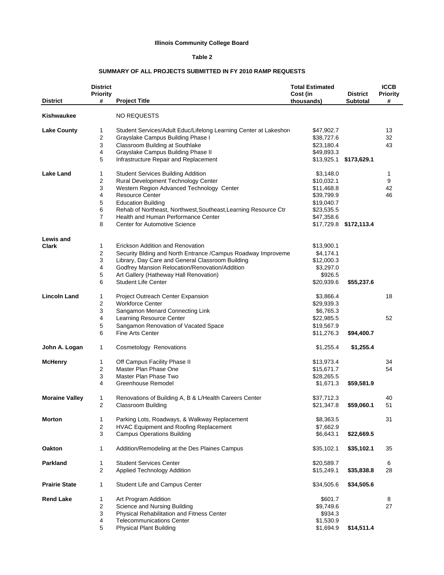#### **Illinois Community College Board**

#### **Table 2**

#### **SUMMARY OF ALL PROJECTS SUBMITTED IN FY 2010 RAMP REQUESTS**

|                       | <b>District</b><br><b>Priority</b> |                                                                             | <b>Total Estimated</b><br>Cost (in | <b>District</b>        | <b>ICCB</b><br><b>Priority</b> |
|-----------------------|------------------------------------|-----------------------------------------------------------------------------|------------------------------------|------------------------|--------------------------------|
| <b>District</b>       | #                                  | <b>Project Title</b>                                                        | thousands)                         | <b>Subtotal</b>        | #                              |
| Kishwaukee            |                                    | NO REQUESTS                                                                 |                                    |                        |                                |
| <b>Lake County</b>    | 1                                  | Student Services/Adult Educ/Lifelong Learning Center at Lakeshor            | \$47,902.7                         |                        | 13                             |
|                       | 2                                  | Grayslake Campus Building Phase I                                           | \$38,727.6                         |                        | 32                             |
|                       | 3                                  | Classroom Building at Southlake                                             | \$23,180.4                         |                        | 43                             |
|                       | 4                                  | Grayslake Campus Building Phase II                                          | \$49,893.3                         |                        |                                |
|                       | 5                                  | Infrastructure Repair and Replacement                                       |                                    | \$13,925.1 \$173,629.1 |                                |
| <b>Lake Land</b>      | 1                                  | <b>Student Services Building Addition</b>                                   | \$3,148.0                          |                        | 1                              |
|                       | 2                                  | Rural Development Technology Center                                         | \$10,032.1                         |                        | 9                              |
|                       | 3                                  | Western Region Advanced Technology Center                                   | \$11,468.8                         |                        | 42                             |
|                       | 4                                  | <b>Resource Center</b>                                                      | \$39,799.9                         |                        | 46                             |
|                       | 5                                  | <b>Education Building</b>                                                   | \$19,040.7                         |                        |                                |
|                       | 6                                  | Rehab of Northeast, Northwest, Southeast, Learning Resource Ctr             | \$23,535.5                         |                        |                                |
|                       | 7                                  | Health and Human Performance Center                                         | \$47,358.6                         |                        |                                |
|                       | 8                                  | <b>Center for Automotive Science</b>                                        |                                    | \$17,729.8 \$172,113.4 |                                |
|                       |                                    |                                                                             |                                    |                        |                                |
| Lewis and             |                                    |                                                                             |                                    |                        |                                |
| <b>Clark</b>          | 1                                  | Erickson Addition and Renovation                                            | \$13,900.1                         |                        |                                |
|                       | 2                                  | Security Blding and North Entrance / Campus Roadway Improveme               | \$4,174.1                          |                        |                                |
|                       | 3                                  | Library, Day Care and General Classroom Building                            | \$12,000.3                         |                        |                                |
|                       | 4                                  | Godfrey Mansion Relocation/Renovation/Addition                              | \$3,297.0                          |                        |                                |
|                       | 5                                  | Art Gallery (Hatheway Hall Renovation)                                      | \$926.5                            |                        |                                |
|                       | 6                                  | <b>Student Life Center</b>                                                  | \$20,939.6                         | \$55,237.6             |                                |
| <b>Lincoln Land</b>   | 1                                  | Project Outreach Center Expansion                                           | \$3,866.4                          |                        | 18                             |
|                       | 2                                  | <b>Workforce Center</b>                                                     | \$29,939.3                         |                        |                                |
|                       | 3                                  | Sangamon Menard Connecting Link                                             | \$6,765.3                          |                        |                                |
|                       | 4                                  | Learning Resource Center                                                    | \$22,985.5                         |                        | 52                             |
|                       | 5                                  | Sangamon Renovation of Vacated Space                                        | \$19,567.9                         |                        |                                |
|                       | 6                                  | Fine Arts Center                                                            | \$11,276.3                         | \$94,400.7             |                                |
| John A. Logan         | 1                                  | Cosmetology Renovations                                                     | \$1,255.4                          | \$1,255.4              |                                |
|                       |                                    |                                                                             |                                    |                        |                                |
| <b>McHenry</b>        | 1                                  | Off Campus Facility Phase II                                                | \$13,973.4                         |                        | 34                             |
|                       | 2                                  | Master Plan Phase One                                                       | \$15,671.7                         |                        | 54                             |
|                       | 3                                  | Master Plan Phase Two                                                       | \$28,265.5                         |                        |                                |
|                       | 4                                  | Greenhouse Remodel                                                          | \$1,671.3                          | \$59,581.9             |                                |
| <b>Moraine Valley</b> | 1                                  | Renovations of Building A, B & L/Health Careers Center                      | \$37,712.3                         |                        | 40                             |
|                       | 2                                  | <b>Classroom Building</b>                                                   | \$21,347.8                         | \$59,060.1             | 51                             |
| <b>Morton</b>         | 1                                  |                                                                             | \$8,363.5                          |                        | 31                             |
|                       |                                    | Parking Lots, Roadways, & Walkway Replacement                               | \$7,662.9                          |                        |                                |
|                       | $\overline{\mathbf{c}}$<br>3       | HVAC Equipment and Roofing Replacement<br><b>Campus Operations Building</b> | \$6,643.1                          | \$22,669.5             |                                |
|                       |                                    |                                                                             |                                    |                        |                                |
| Oakton                | 1                                  | Addition/Remodeling at the Des Plaines Campus                               | \$35,102.1                         | \$35,102.1             | 35                             |
| Parkland              | 1                                  | <b>Student Services Center</b>                                              | \$20,589.7                         |                        | 6                              |
|                       | 2                                  | Applied Technology Addition                                                 | \$15,249.1                         | \$35,838.8             | 28                             |
| <b>Prairie State</b>  | 1                                  | Student Life and Campus Center                                              | \$34,505.6                         | \$34,505.6             |                                |
| <b>Rend Lake</b>      | 1                                  | Art Program Addition                                                        | \$601.7                            |                        | 8                              |
|                       | 2                                  | Science and Nursing Building                                                | \$9,749.6                          |                        | 27                             |
|                       | 3                                  | Physical Rehabilitation and Fitness Center                                  | \$934.3                            |                        |                                |
|                       | 4                                  | <b>Telecommunications Center</b>                                            | \$1,530.9                          |                        |                                |
|                       | 5                                  | <b>Physical Plant Building</b>                                              | \$1,694.9                          | \$14,511.4             |                                |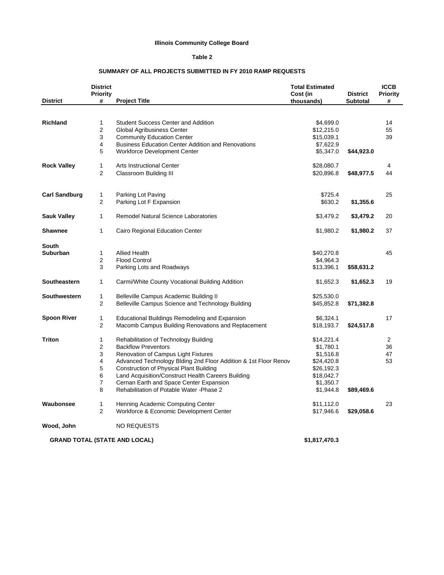#### **Illinois Community College Board**

#### **Table 2**

#### **SUMMARY OF ALL PROJECTS SUBMITTED IN FY 2010 RAMP REQUESTS**

| <b>District</b>      | <b>District</b><br><b>Priority</b><br># | <b>Project Title</b>                                            | <b>Total Estimated</b><br>Cost (in<br>thousands) | <b>District</b><br><b>Subtotal</b> | <b>ICCB</b><br><b>Priority</b><br># |
|----------------------|-----------------------------------------|-----------------------------------------------------------------|--------------------------------------------------|------------------------------------|-------------------------------------|
|                      |                                         |                                                                 |                                                  |                                    |                                     |
|                      |                                         |                                                                 |                                                  |                                    |                                     |
| <b>Richland</b>      | $\mathbf{1}$                            | <b>Student Success Center and Addition</b>                      | \$4,699.0                                        |                                    | 14                                  |
|                      | $\overline{2}$                          | Global Agribusiness Center                                      | \$12,215.0                                       |                                    | 55                                  |
|                      | 3                                       | <b>Community Education Center</b>                               | \$15,039.1                                       |                                    | 39                                  |
|                      | 4                                       | <b>Business Education Center Addition and Renovations</b>       | \$7,622.9                                        |                                    |                                     |
|                      | 5                                       | <b>Workforce Development Center</b>                             | \$5,347.0                                        | \$44,923.0                         |                                     |
| <b>Rock Valley</b>   | 1                                       | <b>Arts Instructional Center</b>                                | \$28,080.7                                       |                                    | 4                                   |
|                      | $\overline{2}$                          | Classroom Building III                                          | \$20,896.8                                       | \$48,977.5                         | 44                                  |
|                      |                                         |                                                                 |                                                  |                                    |                                     |
| <b>Carl Sandburg</b> | $\mathbf{1}$                            | Parking Lot Paving                                              | \$725.4                                          |                                    | 25                                  |
|                      | $\overline{2}$                          | Parking Lot F Expansion                                         | \$630.2                                          | \$1,355.6                          |                                     |
| <b>Sauk Valley</b>   | $\mathbf{1}$                            | Remodel Natural Science Laboratories                            | \$3,479.2                                        | \$3,479.2                          | 20                                  |
| <b>Shawnee</b>       | 1                                       | Cairo Regional Education Center                                 | \$1,980.2                                        | \$1,980.2                          | 37                                  |
| <b>South</b>         |                                         |                                                                 |                                                  |                                    |                                     |
| Suburban             | $\mathbf{1}$                            | Allied Health                                                   | \$40,270.8                                       |                                    | 45                                  |
|                      | $\overline{2}$                          | <b>Flood Control</b>                                            | \$4,964.3                                        |                                    |                                     |
|                      | 3                                       | Parking Lots and Roadways                                       | \$13,396.1                                       | \$58,631.2                         |                                     |
| <b>Southeastern</b>  | $\mathbf{1}$                            | Carmi/White County Vocational Building Addition                 | \$1,652.3                                        | \$1,652.3                          | 19                                  |
| Southwestern         | $\mathbf{1}$                            | Belleville Campus Academic Building II                          | \$25,530.0                                       |                                    |                                     |
|                      | $\overline{2}$                          | Belleville Campus Science and Technology Building               | \$45,852.8                                       | \$71,382.8                         |                                     |
| <b>Spoon River</b>   | $\mathbf{1}$                            | Educational Buildings Remodeling and Expansion                  | \$6,324.1                                        |                                    | 17                                  |
|                      | $\overline{2}$                          | Macomb Campus Building Renovations and Replacement              | \$18,193.7                                       | \$24,517.8                         |                                     |
| <b>Triton</b>        | 1                                       | Rehabilitation of Technology Building                           | \$14,221.4                                       |                                    | 2                                   |
|                      | 2                                       | <b>Backflow Preventors</b>                                      | \$1,780.1                                        |                                    | 36                                  |
|                      | 3                                       | Renovation of Campus Light Fixtures                             | \$1,516.8                                        |                                    | 47                                  |
|                      | 4                                       | Advanced Technology Blding 2nd Floor Addition & 1st Floor Renov | \$24,420.8                                       |                                    | 53                                  |
|                      | 5                                       | <b>Construction of Physical Plant Building</b>                  | \$26,192.3                                       |                                    |                                     |
|                      | 6                                       | Land Acquisition/Construct Health Careers Building              | \$18,042.7                                       |                                    |                                     |
|                      | 7                                       | Cernan Earth and Space Center Expansion                         | \$1,350.7                                        |                                    |                                     |
|                      | 8                                       | Rehabilitation of Potable Water - Phase 2                       | \$1,944.8                                        | \$89,469.6                         |                                     |
| Waubonsee            | $\mathbf{1}$                            | Henning Academic Computing Center                               | \$11,112.0                                       |                                    | 23                                  |
|                      | $\overline{2}$                          | Workforce & Economic Development Center                         | \$17,946.6                                       | \$29,058.6                         |                                     |
| Wood, John           |                                         | <b>NO REQUESTS</b>                                              |                                                  |                                    |                                     |
|                      |                                         | <b>GRAND TOTAL (STATE AND LOCAL)</b>                            | \$1,817,470.3                                    |                                    |                                     |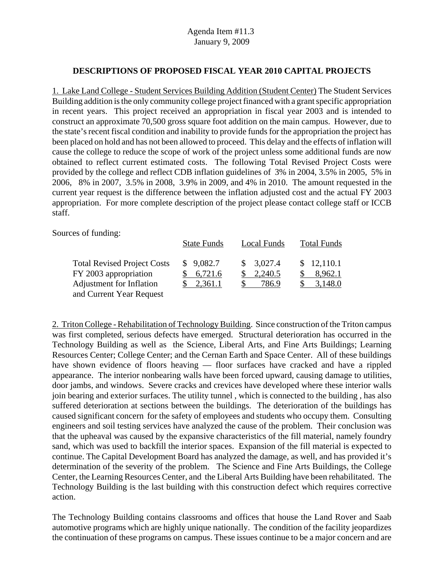#### **DESCRIPTIONS OF PROPOSED FISCAL YEAR 2010 CAPITAL PROJECTS**

1. Lake Land College - Student Services Building Addition (Student Center) The Student Services Building addition is the only community college project financed with a grant specific appropriation in recent years. This project received an appropriation in fiscal year 2003 and is intended to construct an approximate 70,500 gross square foot addition on the main campus. However, due to the state's recent fiscal condition and inability to provide funds for the appropriation the project has been placed on hold and has not been allowed to proceed. This delay and the effects of inflation will cause the college to reduce the scope of work of the project unless some additional funds are now obtained to reflect current estimated costs. The following Total Revised Project Costs were provided by the college and reflect CDB inflation guidelines of 3% in 2004, 3.5% in 2005, 5% in 2006, 8% in 2007, 3.5% in 2008, 3.9% in 2009, and 4% in 2010. The amount requested in the current year request is the difference between the inflation adjusted cost and the actual FY 2003 appropriation. For more complete description of the project please contact college staff or ICCB staff.

Sources of funding:

|                                                                                                                     | <b>State Funds</b>              | <b>Local Funds</b>            | <b>Total Funds</b>               |
|---------------------------------------------------------------------------------------------------------------------|---------------------------------|-------------------------------|----------------------------------|
| <b>Total Revised Project Costs</b><br>FY 2003 appropriation<br>Adjustment for Inflation<br>and Current Year Request | \$9,082.7<br>6,721.6<br>2,361.1 | \$3,027.4<br>2,240.5<br>786.9 | \$12,110.1<br>8,962.1<br>3.148.0 |

2. Triton College - Rehabilitation of Technology Building. Since construction of the Triton campus was first completed, serious defects have emerged. Structural deterioration has occurred in the Technology Building as well as the Science, Liberal Arts, and Fine Arts Buildings; Learning Resources Center; College Center; and the Cernan Earth and Space Center. All of these buildings have shown evidence of floors heaving — floor surfaces have cracked and have a rippled appearance. The interior nonbearing walls have been forced upward, causing damage to utilities, door jambs, and windows. Severe cracks and crevices have developed where these interior walls join bearing and exterior surfaces. The utility tunnel , which is connected to the building , has also suffered deterioration at sections between the buildings. The deterioration of the buildings has caused significant concern for the safety of employees and students who occupy them. Consulting engineers and soil testing services have analyzed the cause of the problem. Their conclusion was that the upheaval was caused by the expansive characteristics of the fill material, namely foundry sand, which was used to backfill the interior spaces. Expansion of the fill material is expected to continue. The Capital Development Board has analyzed the damage, as well, and has provided it's determination of the severity of the problem. The Science and Fine Arts Buildings, the College Center, the Learning Resources Center, and the Liberal Arts Building have been rehabilitated. The Technology Building is the last building with this construction defect which requires corrective action.

The Technology Building contains classrooms and offices that house the Land Rover and Saab automotive programs which are highly unique nationally. The condition of the facility jeopardizes the continuation of these programs on campus. These issues continue to be a major concern and are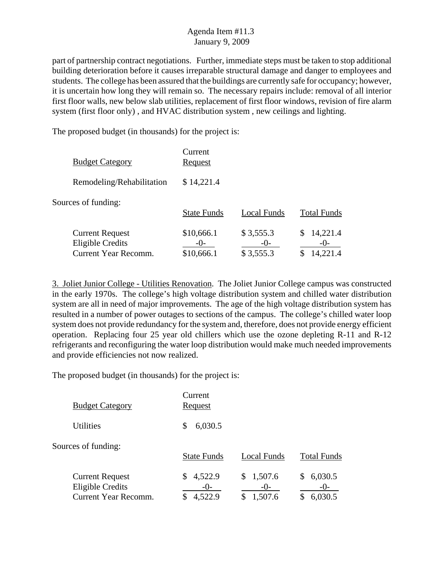part of partnership contract negotiations. Further, immediate steps must be taken to stop additional building deterioration before it causes irreparable structural damage and danger to employees and students. The college has been assured that the buildings are currently safe for occupancy; however, it is uncertain how long they will remain so. The necessary repairs include: removal of all interior first floor walls, new below slab utilities, replacement of first floor windows, revision of fire alarm system (first floor only) , and HVAC distribution system , new ceilings and lighting.

The proposed budget (in thousands) for the project is:

| <b>Budget Category</b>                                                           | Current<br>Request                  |                                 |                                     |
|----------------------------------------------------------------------------------|-------------------------------------|---------------------------------|-------------------------------------|
| Remodeling/Rehabilitation                                                        | \$14,221.4                          |                                 |                                     |
| Sources of funding:                                                              | <b>State Funds</b>                  | Local Funds                     | <b>Total Funds</b>                  |
| <b>Current Request</b><br><b>Eligible Credits</b><br><b>Current Year Recomm.</b> | \$10,666.1<br>$-()$ -<br>\$10,666.1 | \$3,555.3<br>$-()$<br>\$3,555.3 | 14,221.4<br>\$<br>$-()$<br>14,221.4 |

3. Joliet Junior College - Utilities Renovation. The Joliet Junior College campus was constructed in the early 1970s. The college's high voltage distribution system and chilled water distribution system are all in need of major improvements. The age of the high voltage distribution system has resulted in a number of power outages to sections of the campus. The college's chilled water loop system does not provide redundancy for the system and, therefore, does not provide energy efficient operation. Replacing four 25 year old chillers which use the ozone depleting R-11 and R-12 refrigerants and reconfiguring the water loop distribution would make much needed improvements and provide efficiencies not now realized.

| <b>Budget Category</b>                                                           | Current<br><u>Request</u>     |                                  |                                  |
|----------------------------------------------------------------------------------|-------------------------------|----------------------------------|----------------------------------|
| <b>Utilities</b>                                                                 | 6,030.5<br>\$                 |                                  |                                  |
| Sources of funding:                                                              | <b>State Funds</b>            | Local Funds                      | <b>Total Funds</b>               |
| <b>Current Request</b><br><b>Eligible Credits</b><br><b>Current Year Recomm.</b> | 4,522.9<br>$-()$ -<br>4,522.9 | 1,507.6<br>S<br>$-()$<br>1,507.6 | 6,030.5<br>S<br>$-()$<br>6,030.5 |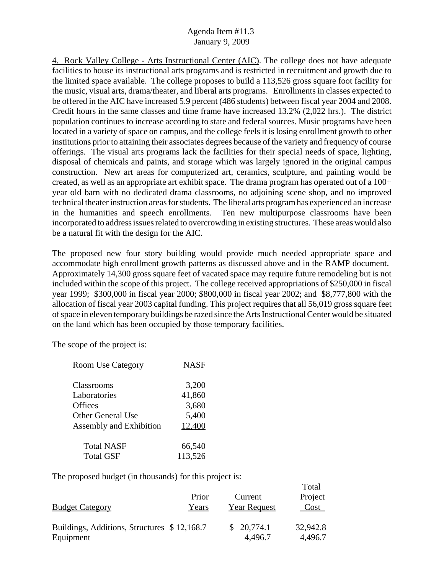4. Rock Valley College - Arts Instructional Center (AIC). The college does not have adequate facilities to house its instructional arts programs and is restricted in recruitment and growth due to the limited space available. The college proposes to build a 113,526 gross square foot facility for the music, visual arts, drama/theater, and liberal arts programs. Enrollments in classes expected to be offered in the AIC have increased 5.9 percent (486 students) between fiscal year 2004 and 2008. Credit hours in the same classes and time frame have increased 13.2% (2,022 hrs.). The district population continues to increase according to state and federal sources. Music programs have been located in a variety of space on campus, and the college feels it is losing enrollment growth to other institutions prior to attaining their associates degrees because of the variety and frequency of course offerings. The visual arts programs lack the facilities for their special needs of space, lighting, disposal of chemicals and paints, and storage which was largely ignored in the original campus construction. New art areas for computerized art, ceramics, sculpture, and painting would be created, as well as an appropriate art exhibit space. The drama program has operated out of a 100+ year old barn with no dedicated drama classrooms, no adjoining scene shop, and no improved technical theater instruction areas for students. The liberal arts program has experienced an increase in the humanities and speech enrollments. Ten new multipurpose classrooms have been incorporated to address issues related to overcrowding in existing structures. These areas would also be a natural fit with the design for the AIC.

The proposed new four story building would provide much needed appropriate space and accommodate high enrollment growth patterns as discussed above and in the RAMP document. Approximately 14,300 gross square feet of vacated space may require future remodeling but is not included within the scope of this project. The college received appropriations of \$250,000 in fiscal year 1999; \$300,000 in fiscal year 2000; \$800,000 in fiscal year 2002; and \$8,777,800 with the allocation of fiscal year 2003 capital funding. This project requires that all 56,019 gross square feet of space in eleven temporary buildings be razed since the Arts Instructional Center would be situated on the land which has been occupied by those temporary facilities.

 $T = 1$ 

The scope of the project is:

| <b>Room Use Category</b> | <b>NASF</b> |
|--------------------------|-------------|
|                          |             |
| Classrooms               | 3,200       |
| Laboratories             | 41,860      |
| Offices                  | 3,680       |
| <b>Other General Use</b> | 5,400       |
| Assembly and Exhibition  | 12,400      |
| <b>Total NASF</b>        | 66,540      |
| <b>Total GSF</b>         | 113,526     |

| <b>Budget Category</b>                      | Prior<br>Years | Current<br><b>Year Request</b> | 1 otal<br>Project<br>Cost |
|---------------------------------------------|----------------|--------------------------------|---------------------------|
| Buildings, Additions, Structures \$12,168.7 |                | \$20,774.1                     | 32,942.8                  |
| Equipment                                   |                | 4,496.7                        | 4,496.7                   |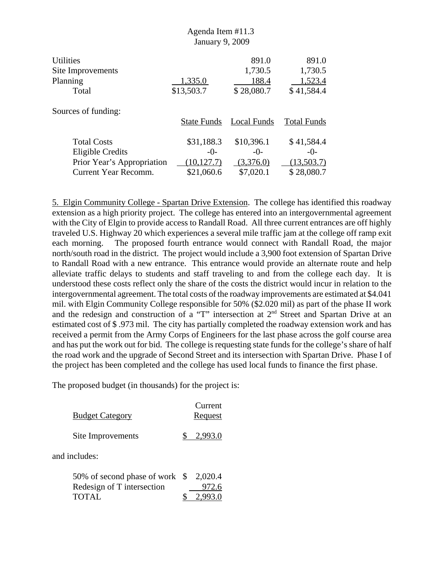|                             | <b>January 9, 2009</b> |             |                    |
|-----------------------------|------------------------|-------------|--------------------|
| <b>Utilities</b>            |                        | 891.0       | 891.0              |
| Site Improvements           |                        | 1,730.5     | 1,730.5            |
| Planning                    | 1,335.0                | 188.4       | 1,523.4            |
| Total                       | \$13,503.7             | \$28,080.7  | \$41,584.4         |
| Sources of funding:         |                        |             |                    |
|                             | <b>State Funds</b>     | Local Funds | <b>Total Funds</b> |
| <b>Total Costs</b>          | \$31,188.3             | \$10,396.1  | \$41,584.4         |
| <b>Eligible Credits</b>     | $-()$ -                | $-()$ -     | $-()$ -            |
| Prior Year's Appropriation  | (10, 127.7)            | (3,376.0)   | (13,503.7)         |
| <b>Current Year Recomm.</b> | \$21,060.6             | \$7,020.1   | \$28,080.7         |

Agenda Item #11.3

5. Elgin Community College - Spartan Drive Extension. The college has identified this roadway extension as a high priority project. The college has entered into an intergovernmental agreement with the City of Elgin to provide access to Randall Road. All three current entrances are off highly traveled U.S. Highway 20 which experiences a several mile traffic jam at the college off ramp exit each morning. The proposed fourth entrance would connect with Randall Road, the major north/south road in the district. The project would include a 3,900 foot extension of Spartan Drive to Randall Road with a new entrance. This entrance would provide an alternate route and help alleviate traffic delays to students and staff traveling to and from the college each day. It is understood these costs reflect only the share of the costs the district would incur in relation to the intergovernmental agreement. The total costs of the roadway improvements are estimated at \$4.041 mil. with Elgin Community College responsible for 50% (\$2.020 mil) as part of the phase II work and the redesign and construction of a "T" intersection at 2<sup>nd</sup> Street and Spartan Drive at an estimated cost of \$ .973 mil. The city has partially completed the roadway extension work and has received a permit from the Army Corps of Engineers for the last phase across the golf course area and has put the work out for bid. The college is requesting state funds for the college's share of half the road work and the upgrade of Second Street and its intersection with Spartan Drive. Phase I of the project has been completed and the college has used local funds to finance the first phase.

| <b>Budget Category</b> | Current<br>Request |
|------------------------|--------------------|
| Site Improvements      | 2.993.0            |
| and includes:          |                    |

| 50% of second phase of work $$2,020.4$ |           |
|----------------------------------------|-----------|
| Redesign of T intersection             | 972.6     |
| TOTAL                                  | \$2,993.0 |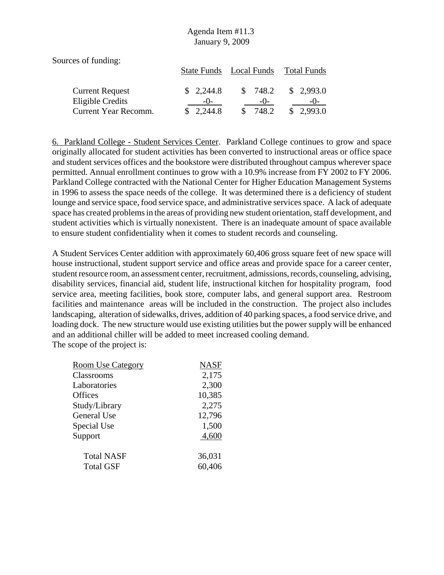Sources of funding:

|                        |           | State Funds Local Funds Total Funds |           |
|------------------------|-----------|-------------------------------------|-----------|
| <b>Current Request</b> | \$2,244.8 | 748.2<br>-SS                        | \$2,993.0 |
| Eligible Credits       | $-()$     | $-()$                               | $-()$     |
| Current Year Recomm.   | \$2,244.8 | 748.2                               | \$2,993.0 |

6. Parkland College - Student Services Center. Parkland College continues to grow and space originally allocated for student activities has been converted to instructional areas or office space and student services offices and the bookstore were distributed throughout campus wherever space permitted. Annual enrollment continues to grow with a 10.9% increase from FY 2002 to FY 2006. Parkland College contracted with the National Center for Higher Education Management Systems in 1996 to assess the space needs of the college. It was determined there is a deficiency of student lounge and service space, food service space, and administrative services space. A lack of adequate space has created problems in the areas of providing new student orientation, staff development, and student activities which is virtually nonexistent. There is an inadequate amount of space available to ensure student confidentiality when it comes to student records and counseling.

A Student Services Center addition with approximately 60,406 gross square feet of new space will house instructional, student support service and office areas and provide space for a career center, student resource room, an assessment center, recruitment, admissions, records, counseling, advising, disability services, financial aid, student life, instructional kitchen for hospitality program, food service area, meeting facilities, book store, computer labs, and general support area. Restroom facilities and maintenance areas will be included in the construction. The project also includes landscaping, alteration of sidewalks, drives, addition of 40 parking spaces, a food service drive, and loading dock. The new structure would use existing utilities but the power supply will be enhanced and an additional chiller will be added to meet increased cooling demand. The scope of the project is:

| <b>Room Use Category</b> | <b>NASF</b> |
|--------------------------|-------------|
| Classrooms               | 2,175       |
| Laboratories             | 2,300       |
| Offices                  | 10,385      |
| Study/Library            | 2,275       |
| General Use              | 12,796      |
| Special Use              | 1,500       |
| Support                  | 4,600       |
| <b>Total NASF</b>        | 36,031      |
| <b>Total GSF</b>         | 60,406      |
|                          |             |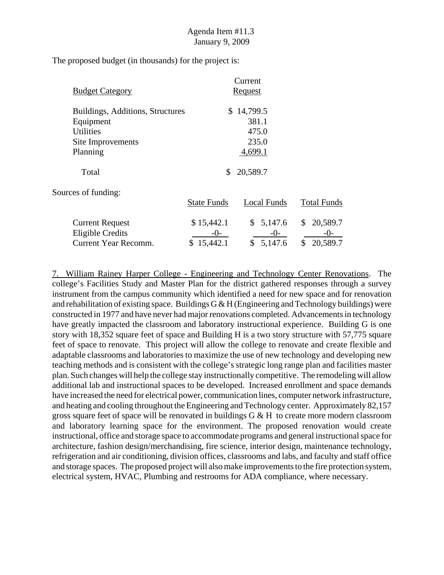The proposed budget (in thousands) for the project is:

|                                  |                    | Current       |                    |  |
|----------------------------------|--------------------|---------------|--------------------|--|
| <b>Budget Category</b>           | <u>Request</u>     |               |                    |  |
| Buildings, Additions, Structures |                    | \$14,799.5    |                    |  |
| Equipment                        |                    | 381.1         |                    |  |
| <b>Utilities</b>                 |                    | 475.0         |                    |  |
| Site Improvements                |                    | 235.0         |                    |  |
| Planning                         |                    | 4,699.1       |                    |  |
| Total                            | \$                 | 20,589.7      |                    |  |
| Sources of funding:              |                    |               |                    |  |
|                                  | <b>State Funds</b> | Local Funds   | <b>Total Funds</b> |  |
| <b>Current Request</b>           | \$15,442.1         | \$5,147.6     | 20,589.7<br>\$     |  |
| Eligible Credits                 | $-()$ -            | $-0-$         | $-()$ -            |  |
| <b>Current Year Recomm.</b>      | \$15,442.1         | \$<br>5,147.6 | 20,589.7<br>\$     |  |

7. William Rainey Harper College - Engineering and Technology Center Renovations. The college's Facilities Study and Master Plan for the district gathered responses through a survey instrument from the campus community which identified a need for new space and for renovation and rehabilitation of existing space. Buildings  $G \& H$  (Engineering and Technology buildings) were constructed in 1977 and have never had major renovations completed. Advancements in technology have greatly impacted the classroom and laboratory instructional experience. Building G is one story with 18,352 square feet of space and Building H is a two story structure with 57,775 square feet of space to renovate. This project will allow the college to renovate and create flexible and adaptable classrooms and laboratories to maximize the use of new technology and developing new teaching methods and is consistent with the college's strategic long range plan and facilities master plan. Such changes will help the college stay instructionally competitive. The remodeling will allow additional lab and instructional spaces to be developed. Increased enrollment and space demands have increased the need for electrical power, communication lines, computer network infrastructure, and heating and cooling throughout the Engineering and Technology center. Approximately 82,157 gross square feet of space will be renovated in buildings  $G \& H$  to create more modern classroom and laboratory learning space for the environment. The proposed renovation would create instructional, office and storage space to accommodate programs and general instructional space for architecture, fashion design/merchandising, fire science, interior design, maintenance technology, refrigeration and air conditioning, division offices, classrooms and labs, and faculty and staff office and storage spaces. The proposed project will also make improvements to the fire protection system, electrical system, HVAC, Plumbing and restrooms for ADA compliance, where necessary.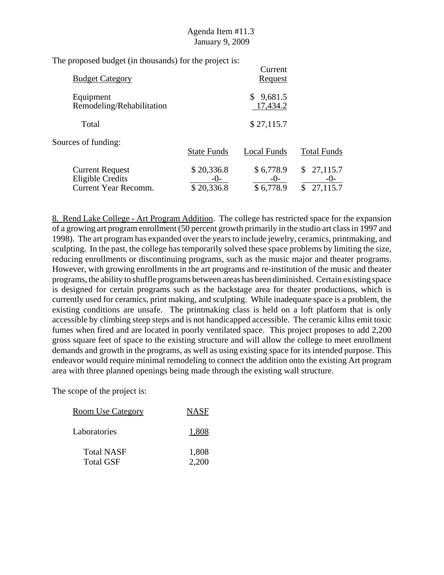The proposed budget (in thousands) for the project is:

| <b>Budget Category</b>                                                           |                                   | Current<br><u>Request</u>       |                                           |
|----------------------------------------------------------------------------------|-----------------------------------|---------------------------------|-------------------------------------------|
| Equipment<br>Remodeling/Rehabilitation                                           |                                   | \$9,681.5<br>17,434.2           |                                           |
| Total                                                                            |                                   | \$27,115.7                      |                                           |
| Sources of funding:                                                              | <b>State Funds</b>                | Local Funds                     | <b>Total Funds</b>                        |
| <b>Current Request</b><br><b>Eligible Credits</b><br><b>Current Year Recomm.</b> | \$20,336.8<br>$-()$<br>\$20,336.8 | \$6,778.9<br>$-()$<br>\$6,778.9 | 27,115.7<br>\$<br>$-()$<br>27,115.7<br>\$ |

8. Rend Lake College - Art Program Addition. The college has restricted space for the expansion of a growing art program enrollment (50 percent growth primarily in the studio art class in 1997 and 1998). The art program has expanded over the years to include jewelry, ceramics, printmaking, and sculpting. In the past, the college has temporarily solved these space problems by limiting the size, reducing enrollments or discontinuing programs, such as the music major and theater programs. However, with growing enrollments in the art programs and re-institution of the music and theater programs, the ability to shuffle programs between areas has been diminished. Certain existing space is designed for certain programs such as the backstage area for theater productions, which is currently used for ceramics, print making, and sculpting. While inadequate space is a problem, the existing conditions are unsafe. The printmaking class is held on a loft platform that is only accessible by climbing steep steps and is not handicapped accessible. The ceramic kilns emit toxic fumes when fired and are located in poorly ventilated space. This project proposes to add 2,200 gross square feet of space to the existing structure and will allow the college to meet enrollment demands and growth in the programs, as well as using existing space for its intended purpose. This endeavor would require minimal remodeling to connect the addition onto the existing Art program area with three planned openings being made through the existing wall structure.

| <b>Room Use Category</b>              | <b>NASF</b>    |
|---------------------------------------|----------------|
| Laboratories                          | 1,808          |
| <b>Total NASF</b><br><b>Total GSF</b> | 1,808<br>2,200 |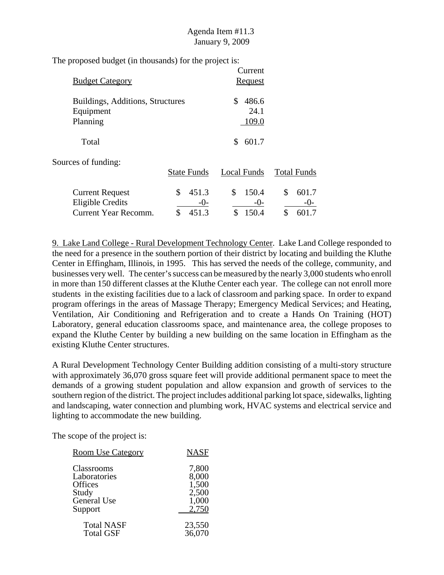The proposed budget (in thousands) for the project is:

| <b>Budget Category</b>                                                           |                                     | Current<br><b>Request</b>           |                                   |
|----------------------------------------------------------------------------------|-------------------------------------|-------------------------------------|-----------------------------------|
| Buildings, Additions, Structures<br>Equipment<br>Planning                        |                                     | \$<br>486.6<br>24.1<br>109.0        |                                   |
| Total                                                                            |                                     | 601.7<br>S.                         |                                   |
| Sources of funding:                                                              | <b>State Funds</b>                  | Local Funds                         | <b>Total Funds</b>                |
| <b>Current Request</b><br><b>Eligible Credits</b><br><b>Current Year Recomm.</b> | \$<br>451.3<br>$-0-$<br>\$<br>451.3 | \$<br>150.4<br>$-0-$<br>\$<br>150.4 | \$<br>601.7<br>$-0-$<br>\$<br>1.7 |

9. Lake Land College - Rural Development Technology Center. Lake Land College responded to the need for a presence in the southern portion of their district by locating and building the Kluthe Center in Effingham, Illinois, in 1995. This has served the needs of the college, community, and businesses very well. The center's success can be measured by the nearly 3,000 students who enroll in more than 150 different classes at the Kluthe Center each year. The college can not enroll more students in the existing facilities due to a lack of classroom and parking space. In order to expand program offerings in the areas of Massage Therapy; Emergency Medical Services; and Heating, Ventilation, Air Conditioning and Refrigeration and to create a Hands On Training (HOT) Laboratory, general education classrooms space, and maintenance area, the college proposes to expand the Kluthe Center by building a new building on the same location in Effingham as the existing Kluthe Center structures.

A Rural Development Technology Center Building addition consisting of a multi-story structure with approximately 36,070 gross square feet will provide additional permanent space to meet the demands of a growing student population and allow expansion and growth of services to the southern region of the district. The project includes additional parking lot space, sidewalks, lighting and landscaping, water connection and plumbing work, HVAC systems and electrical service and lighting to accommodate the new building.

| <b>Room Use Category</b> | <b>NASF</b> |
|--------------------------|-------------|
| Classrooms               | 7,800       |
| Laboratories             | 8,000       |
| Offices                  | 1,500       |
| Study                    | 2,500       |
| General Use              | 1,000       |
| Support                  | 2,750       |
| <b>Total NASF</b>        | 23,550      |
| <b>Total GSF</b>         | 36,070      |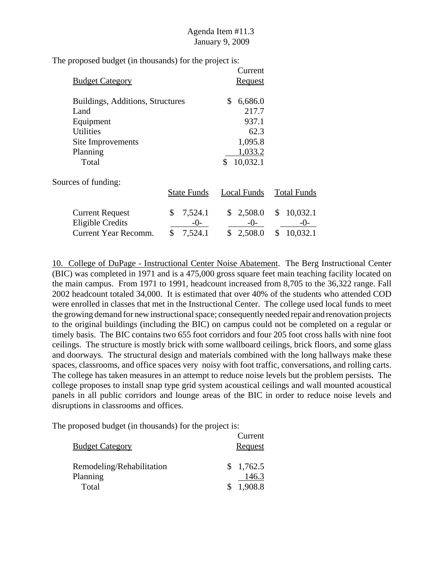Current **Budget Category** Request Buildings, Additions, Structures  $$6,686.0$ Land 217.7 Equipment 937.1 Utilities 62.3 Site Improvements 1,095.8 Planning 1,033.2 Total \$ 10,032.1 Sources of funding: State Funds Local Funds Total Funds Current Request \$ 7,524.1 \$ 2,508.0 \$ 10,032.1 Eligible Credits  $\frac{-0}{\$}$   $\frac{-0}{\$}$   $\frac{-0}{\$}$   $\frac{-0}{\$}$   $\frac{-0}{\$}$   $\frac{-0}{\$}$   $\frac{-0}{\$}$   $\frac{-0}{\$}$   $\frac{-0}{\$}$ Current Year Recomm. \$ 7,524.1 \$ 2,508.0 \$ 10,032.1

The proposed budget (in thousands) for the project is:

10. College of DuPage - Instructional Center Noise Abatement. The Berg Instructional Center (BIC) was completed in 1971 and is a 475,000 gross square feet main teaching facility located on the main campus. From 1971 to 1991, headcount increased from 8,705 to the 36,322 range. Fall 2002 headcount totaled 34,000. It is estimated that over 40% of the students who attended COD were enrolled in classes that met in the Instructional Center. The college used local funds to meet the growing demand for new instructional space; consequently needed repair and renovation projects to the original buildings (including the BIC) on campus could not be completed on a regular or timely basis. The BIC contains two 655 foot corridors and four 205 foot cross halls with nine foot ceilings. The structure is mostly brick with some wallboard ceilings, brick floors, and some glass and doorways. The structural design and materials combined with the long hallways make these spaces, classrooms, and office spaces very noisy with foot traffic, conversations, and rolling carts. The college has taken measures in an attempt to reduce noise levels but the problem persists. The college proposes to install snap type grid system acoustical ceilings and wall mounted acoustical panels in all public corridors and lounge areas of the BIC in order to reduce noise levels and disruptions in classrooms and offices.

| <b>Budget Category</b>    |               | Current<br>Request |
|---------------------------|---------------|--------------------|
| Remodeling/Rehabilitation |               | \$1,762.5          |
| Planning                  |               | 146.3              |
| Total                     | $\mathcal{S}$ | 1,908.8            |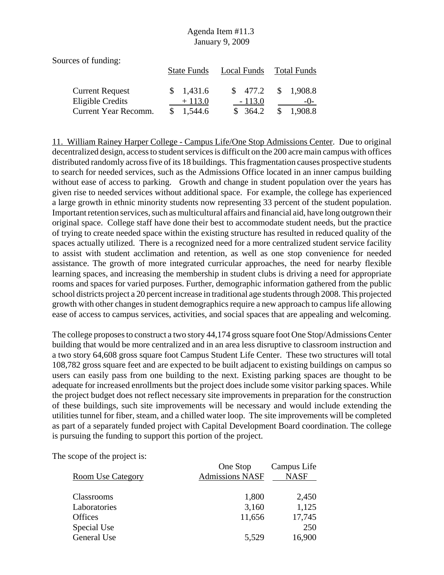Sources of funding:

|                        |    | Local Funds<br><b>State Funds</b> |  | Total Funds |               |           |
|------------------------|----|-----------------------------------|--|-------------|---------------|-----------|
| <b>Current Request</b> |    | \$1,431.6                         |  | \$ 477.2    |               | \$1,908.8 |
| Eligible Credits       |    | $+113.0$                          |  | $-113.0$    |               | $-()$     |
| Current Year Recomm.   | S. | 1,544.6                           |  | \$364.2     | <sup>\$</sup> | 1,908.8   |

11. William Rainey Harper College - Campus Life/One Stop Admissions Center. Due to original decentralized design, access to student services is difficult on the 200 acre main campus with offices distributed randomly across five of its 18 buildings. This fragmentation causes prospective students to search for needed services, such as the Admissions Office located in an inner campus building without ease of access to parking. Growth and change in student population over the years has given rise to needed services without additional space. For example, the college has experienced a large growth in ethnic minority students now representing 33 percent of the student population. Important retention services, such as multicultural affairs and financial aid, have long outgrown their original space. College staff have done their best to accommodate student needs, but the practice of trying to create needed space within the existing structure has resulted in reduced quality of the spaces actually utilized. There is a recognized need for a more centralized student service facility to assist with student acclimation and retention, as well as one stop convenience for needed assistance. The growth of more integrated curricular approaches, the need for nearby flexible learning spaces, and increasing the membership in student clubs is driving a need for appropriate rooms and spaces for varied purposes. Further, demographic information gathered from the public school districts project a 20 percent increase in traditional age students through 2008. This projected growth with other changes in student demographics require a new approach to campus life allowing ease of access to campus services, activities, and social spaces that are appealing and welcoming.

The college proposes to construct a two story 44,174 gross square foot One Stop/Admissions Center building that would be more centralized and in an area less disruptive to classroom instruction and a two story 64,608 gross square foot Campus Student Life Center. These two structures will total 108,782 gross square feet and are expected to be built adjacent to existing buildings on campus so users can easily pass from one building to the next. Existing parking spaces are thought to be adequate for increased enrollments but the project does include some visitor parking spaces. While the project budget does not reflect necessary site improvements in preparation for the construction of these buildings, such site improvements will be necessary and would include extending the utilities tunnel for fiber, steam, and a chilled water loop. The site improvements will be completed as part of a separately funded project with Capital Development Board coordination. The college is pursuing the funding to support this portion of the project.

| <b>Room Use Category</b> | One Stop<br><b>Admissions NASF</b> | Campus Life<br><b>NASF</b> |
|--------------------------|------------------------------------|----------------------------|
| <b>Classrooms</b>        | 1,800                              | 2,450                      |
| Laboratories             | 3,160                              | 1,125                      |
| <b>Offices</b>           | 11,656                             | 17,745                     |
| Special Use              |                                    | 250                        |
| General Use              | 5,529                              | 16,900                     |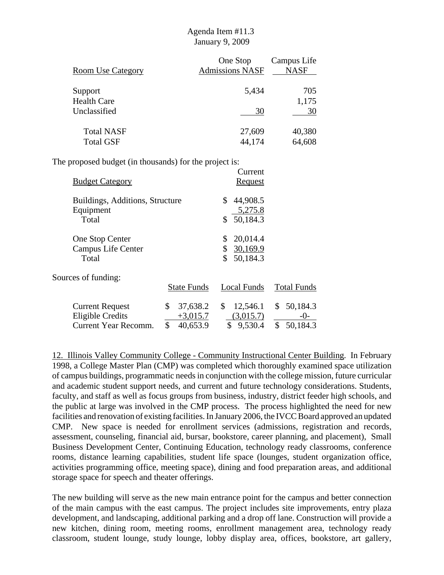| <b>Room Use Category</b> | One Stop<br><b>Admissions NASF</b> | Campus Life<br><b>NASF</b> |
|--------------------------|------------------------------------|----------------------------|
| Support                  | 5,434                              | 705                        |
| <b>Health Care</b>       |                                    | 1,175                      |
| Unclassified             | 30                                 | 30                         |
| <b>Total NASF</b>        | 27,609                             | 40,380                     |
| <b>Total GSF</b>         | 44,174                             | 64,608                     |

The proposed budget (in thousands) for the project is:

| <b>Budget Category</b>                                                    |                                                | Current<br><b>Request</b>                                      |                                         |
|---------------------------------------------------------------------------|------------------------------------------------|----------------------------------------------------------------|-----------------------------------------|
| Buildings, Additions, Structure<br>Equipment<br>Total                     |                                                | \$<br>44,908.5<br>5,275.8<br>50,184.3                          |                                         |
| One Stop Center<br>Campus Life Center<br>Total                            |                                                | 20,014.4<br>\$<br>30,169.9<br>$\mathbb{S}^-$<br>\$<br>50,184.3 |                                         |
| Sources of funding:                                                       | <b>State Funds</b>                             | Local Funds                                                    | <b>Total Funds</b>                      |
| <b>Current Request</b><br><b>Eligible Credits</b><br>Current Year Recomm. | \$<br>37,638.2<br>$+3,015.7$<br>\$<br>40,653.9 | \$<br>12,546.1<br>(3,015.7)<br>$\mathbb{S}$<br>9,530.4         | \$50,184.3<br>$-()$ -<br>\$<br>50,184.3 |

12. Illinois Valley Community College - Community Instructional Center Building. In February 1998, a College Master Plan (CMP) was completed which thoroughly examined space utilization of campus buildings, programmatic needs in conjunction with the college mission, future curricular and academic student support needs, and current and future technology considerations. Students, faculty, and staff as well as focus groups from business, industry, district feeder high schools, and the public at large was involved in the CMP process. The process highlighted the need for new facilities and renovation of existing facilities. In January 2006, the IVCC Board approved an updated CMP. New space is needed for enrollment services (admissions, registration and records, assessment, counseling, financial aid, bursar, bookstore, career planning, and placement), Small Business Development Center, Continuing Education, technology ready classrooms, conference rooms, distance learning capabilities, student life space (lounges, student organization office, activities programming office, meeting space), dining and food preparation areas, and additional storage space for speech and theater offerings.

The new building will serve as the new main entrance point for the campus and better connection of the main campus with the east campus. The project includes site improvements, entry plaza development, and landscaping, additional parking and a drop off lane. Construction will provide a new kitchen, dining room, meeting rooms, enrollment management area, technology ready classroom, student lounge, study lounge, lobby display area, offices, bookstore, art gallery,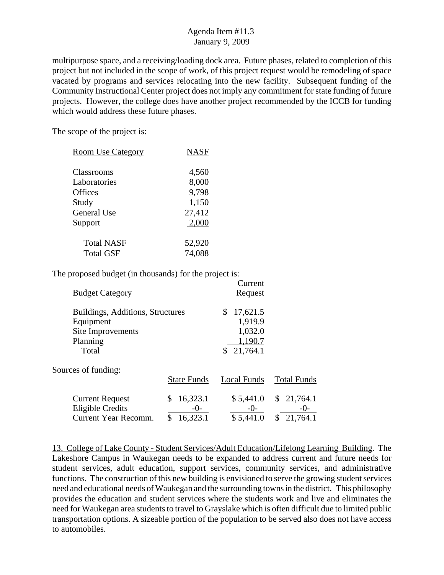multipurpose space, and a receiving/loading dock area. Future phases, related to completion of this project but not included in the scope of work, of this project request would be remodeling of space vacated by programs and services relocating into the new facility. Subsequent funding of the Community Instructional Center project does not imply any commitment for state funding of future projects. However, the college does have another project recommended by the ICCB for funding which would address these future phases.

The scope of the project is:

| <b>NASF</b>      |
|------------------|
| 4,560<br>8,000   |
| 9,798            |
| 1,150<br>27,412  |
| 2,000            |
| 52,920<br>74,088 |
|                  |

The proposed budget (in thousands) for the project is:

| <b>Budget Category</b>                                                                  |                              | Current<br>Request                                         |                                       |
|-----------------------------------------------------------------------------------------|------------------------------|------------------------------------------------------------|---------------------------------------|
| Buildings, Additions, Structures<br>Equipment<br>Site Improvements<br>Planning<br>Total |                              | S<br>17,621.5<br>1,919.9<br>1,032.0<br>1,190.7<br>21,764.1 |                                       |
| Sources of funding:                                                                     | <b>State Funds</b>           | Local Funds                                                | <b>Total Funds</b>                    |
| <b>Current Request</b><br><b>Eligible Credits</b><br>Current Year Recomm.               | 16,323.1<br>-()-<br>16,323.1 | \$5,441.0<br>$-()$<br>\$5,441.0                            | \$21,764.1<br>$-()$<br>\$<br>21,764.1 |

13. College of Lake County - Student Services/Adult Education/Lifelong Learning Building. The Lakeshore Campus in Waukegan needs to be expanded to address current and future needs for student services, adult education, support services, community services, and administrative functions. The construction of this new building is envisioned to serve the growing student services need and educational needs of Waukegan and the surrounding towns in the district. This philosophy provides the education and student services where the students work and live and eliminates the need for Waukegan area students to travel to Grayslake which is often difficult due to limited public transportation options. A sizeable portion of the population to be served also does not have access to automobiles.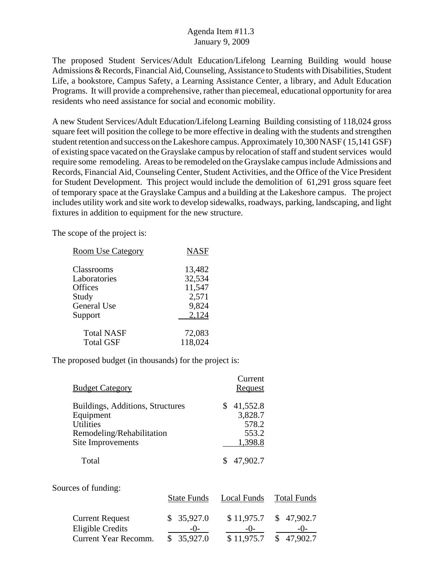The proposed Student Services/Adult Education/Lifelong Learning Building would house Admissions & Records, Financial Aid, Counseling, Assistance to Students with Disabilities, Student Life, a bookstore, Campus Safety, a Learning Assistance Center, a library, and Adult Education Programs. It will provide a comprehensive, rather than piecemeal, educational opportunity for area residents who need assistance for social and economic mobility.

A new Student Services/Adult Education/Lifelong Learning Building consisting of 118,024 gross square feet will position the college to be more effective in dealing with the students and strengthen student retention and success on the Lakeshore campus. Approximately 10,300 NASF ( 15,141 GSF) of existing space vacated on the Grayslake campus by relocation of staff and student services would require some remodeling. Areas to be remodeled on the Grayslake campus include Admissions and Records, Financial Aid, Counseling Center, Student Activities, and the Office of the Vice President for Student Development. This project would include the demolition of 61,291 gross square feet of temporary space at the Grayslake Campus and a building at the Lakeshore campus. The project includes utility work and site work to develop sidewalks, roadways, parking, landscaping, and light fixtures in addition to equipment for the new structure.

The scope of the project is:

| <b>Room Use Category</b>     | <b>NASF</b>      |
|------------------------------|------------------|
| Classrooms<br>Laboratories   | 13,482<br>32,534 |
| Offices<br>Study             | 11,547<br>2,571  |
| General Use                  | 9,824<br>2,124   |
| Support<br><b>Total NASF</b> | 72,083           |
| <b>Total GSF</b>             | 118,024          |

The proposed budget (in thousands) for the project is:

| <b>Budget Category</b>                                                                         | Current<br>Request                    |
|------------------------------------------------------------------------------------------------|---------------------------------------|
| Buildings, Additions, Structures<br>Equipment<br><b>Utilities</b><br>Remodeling/Rehabilitation | 41,552.8<br>3,828.7<br>578.2<br>553.2 |
| Site Improvements                                                                              | 1,398.8                               |
| Total                                                                                          | 47,902.7                              |

Sources of funding:

|                                            | <b>State Funds</b>  | Local Funds         | Total Funds         |
|--------------------------------------------|---------------------|---------------------|---------------------|
| <b>Current Request</b><br>Eligible Credits | \$35,927.0<br>$-()$ | \$11,975.7<br>$-()$ | \$47,902.7<br>$-()$ |
| Current Year Recomm.                       | \$35,927.0          | \$11,975.7          | \$47,902.7          |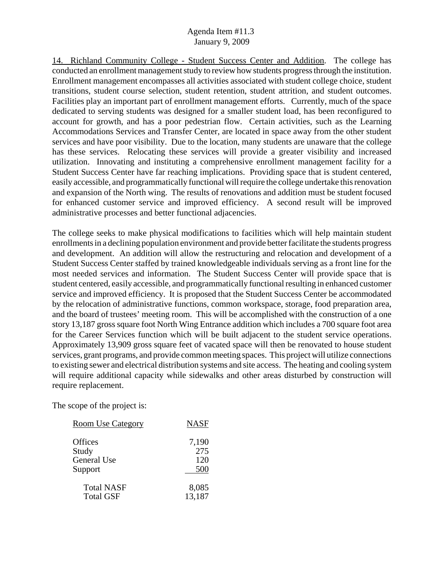14. Richland Community College - Student Success Center and Addition. The college has conducted an enrollment management study to review how students progress through the institution. Enrollment management encompasses all activities associated with student college choice, student transitions, student course selection, student retention, student attrition, and student outcomes. Facilities play an important part of enrollment management efforts. Currently, much of the space dedicated to serving students was designed for a smaller student load, has been reconfigured to account for growth, and has a poor pedestrian flow. Certain activities, such as the Learning Accommodations Services and Transfer Center, are located in space away from the other student services and have poor visibility. Due to the location, many students are unaware that the college has these services. Relocating these services will provide a greater visibility and increased utilization. Innovating and instituting a comprehensive enrollment management facility for a Student Success Center have far reaching implications. Providing space that is student centered, easily accessible, and programmatically functional will require the college undertake this renovation and expansion of the North wing. The results of renovations and addition must be student focused for enhanced customer service and improved efficiency. A second result will be improved administrative processes and better functional adjacencies.

The college seeks to make physical modifications to facilities which will help maintain student enrollments in a declining population environment and provide better facilitate the students progress and development. An addition will allow the restructuring and relocation and development of a Student Success Center staffed by trained knowledgeable individuals serving as a front line for the most needed services and information. The Student Success Center will provide space that is student centered, easily accessible, and programmatically functional resulting in enhanced customer service and improved efficiency. It is proposed that the Student Success Center be accommodated by the relocation of administrative functions, common workspace, storage, food preparation area, and the board of trustees' meeting room. This will be accomplished with the construction of a one story 13,187 gross square foot North Wing Entrance addition which includes a 700 square foot area for the Career Services function which will be built adjacent to the student service operations. Approximately 13,909 gross square feet of vacated space will then be renovated to house student services, grant programs, and provide common meeting spaces. This project will utilize connections to existing sewer and electrical distribution systems and site access. The heating and cooling system will require additional capacity while sidewalks and other areas disturbed by construction will require replacement.

| <b>Room Use Category</b> | <b>NASF</b> |
|--------------------------|-------------|
| Offices                  | 7,190       |
| Study                    | 275         |
| General Use              | 120         |
| Support                  | 500         |
| <b>Total NASF</b>        | 8,085       |
| <b>Total GSF</b>         | 13,187      |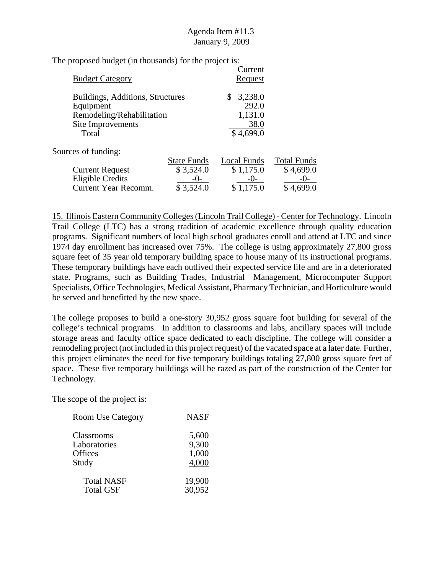The proposed budget (in thousands) for the project is:

| <b>Budget Category</b>                                                                                   |                    | Current<br><u>Request</u>                              |                    |
|----------------------------------------------------------------------------------------------------------|--------------------|--------------------------------------------------------|--------------------|
| Buildings, Additions, Structures<br>Equipment<br>Remodeling/Rehabilitation<br>Site Improvements<br>Total |                    | 3,238.0<br>\$<br>292.0<br>1,131.0<br>38.0<br>\$4,699.0 |                    |
| Sources of funding:                                                                                      |                    |                                                        |                    |
|                                                                                                          | <b>State Funds</b> | Local Funds                                            | <b>Total Funds</b> |
| <b>Current Request</b>                                                                                   | \$3,524.0          | \$1,175.0                                              | \$4,699.0          |
| <b>Eligible Credits</b>                                                                                  | -0-                | $-()$                                                  | -()-               |
| <b>Current Year Recomm.</b>                                                                              | \$3,524.0          | \$1,175.0                                              | \$4,699.0          |

15. Illinois Eastern Community Colleges (Lincoln Trail College) - Center for Technology. Lincoln Trail College (LTC) has a strong tradition of academic excellence through quality education programs. Significant numbers of local high school graduates enroll and attend at LTC and since 1974 day enrollment has increased over 75%. The college is using approximately 27,800 gross square feet of 35 year old temporary building space to house many of its instructional programs. These temporary buildings have each outlived their expected service life and are in a deteriorated state. Programs, such as Building Trades, Industrial Management, Microcomputer Support Specialists, Office Technologies, Medical Assistant, Pharmacy Technician, and Horticulture would be served and benefitted by the new space.

The college proposes to build a one-story 30,952 gross square foot building for several of the college's technical programs. In addition to classrooms and labs, ancillary spaces will include storage areas and faculty office space dedicated to each discipline. The college will consider a remodeling project (not included in this project request) of the vacated space at a later date. Further, this project eliminates the need for five temporary buildings totaling 27,800 gross square feet of space. These five temporary buildings will be razed as part of the construction of the Center for Technology.

| <b>Room Use Category</b> | <b>NASF</b> |
|--------------------------|-------------|
| Classrooms               | 5,600       |
| Laboratories             | 9,300       |
| Offices                  | 1,000       |
| Study                    | 4,000       |
| <b>Total NASF</b>        | 19,900      |
| <b>Total GSF</b>         | 30,952      |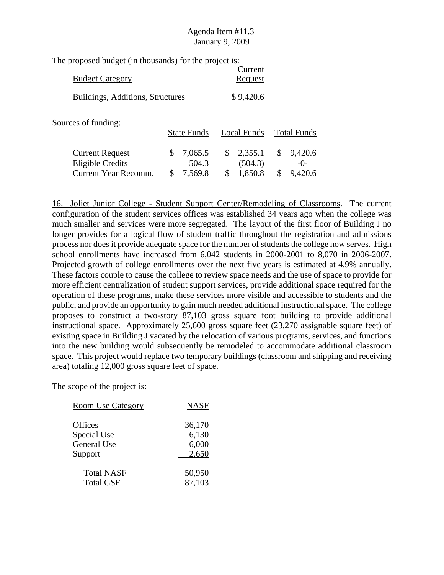The proposed budget (in thousands) for the project is:

| <b>Budget Category</b>           |                    | Current<br><b>Request</b> |                    |
|----------------------------------|--------------------|---------------------------|--------------------|
| Buildings, Additions, Structures |                    | \$9,420.6                 |                    |
| Sources of funding:              | <b>State Funds</b> | Local Funds               | <b>Total Funds</b> |
|                                  |                    |                           |                    |

| <b>Current Request</b> | \$7,065.5 | $\frac{\$}{2.355.1}$ | \$9,420.6            |
|------------------------|-----------|----------------------|----------------------|
| Eligible Credits       | 504.3     | (504.3)              | $-()$ -              |
| Current Year Recomm.   | \$7,569.8 | \$1,850.8            | $\frac{\$}{9,420.6}$ |

16. Joliet Junior College - Student Support Center/Remodeling of Classrooms. The current configuration of the student services offices was established 34 years ago when the college was much smaller and services were more segregated. The layout of the first floor of Building J no longer provides for a logical flow of student traffic throughout the registration and admissions process nor does it provide adequate space for the number of students the college now serves. High school enrollments have increased from 6,042 students in 2000-2001 to 8,070 in 2006-2007. Projected growth of college enrollments over the next five years is estimated at 4.9% annually. These factors couple to cause the college to review space needs and the use of space to provide for more efficient centralization of student support services, provide additional space required for the operation of these programs, make these services more visible and accessible to students and the public, and provide an opportunity to gain much needed additional instructional space. The college proposes to construct a two-story 87,103 gross square foot building to provide additional instructional space. Approximately 25,600 gross square feet (23,270 assignable square feet) of existing space in Building J vacated by the relocation of various programs, services, and functions into the new building would subsequently be remodeled to accommodate additional classroom space. This project would replace two temporary buildings (classroom and shipping and receiving area) totaling 12,000 gross square feet of space.

| <b>Room Use Category</b> | <b>NASF</b> |
|--------------------------|-------------|
| <b>Offices</b>           | 36,170      |
| Special Use              | 6,130       |
| <b>General Use</b>       | 6,000       |
| Support                  | 2,650       |
| <b>Total NASF</b>        | 50,950      |
| <b>Total GSF</b>         | 87,103      |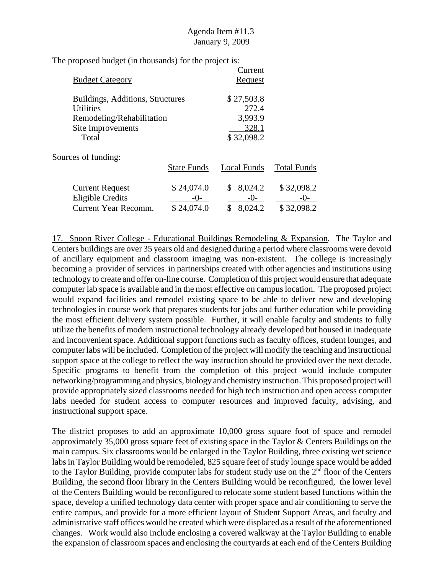The proposed budget (in thousands) for the project is:

| <b>Budget Category</b>                                                                                          |                                   | Current<br>Request                                    |                                   |
|-----------------------------------------------------------------------------------------------------------------|-----------------------------------|-------------------------------------------------------|-----------------------------------|
| Buildings, Additions, Structures<br><b>Utilities</b><br>Remodeling/Rehabilitation<br>Site Improvements<br>Total |                                   | \$27,503.8<br>272.4<br>3,993.9<br>328.1<br>\$32,098.2 |                                   |
| Sources of funding:                                                                                             | <b>State Funds</b>                | Local Funds                                           | <b>Total Funds</b>                |
| <b>Current Request</b><br><b>Eligible Credits</b><br>Current Year Recomm.                                       | \$24,074.0<br>$-()$<br>\$24,074.0 | 8,024.2<br>\$<br>$-()$<br>8,024.2<br>\$               | \$32,098.2<br>$-()$<br>\$32,098.2 |

17. Spoon River College - Educational Buildings Remodeling & Expansion. The Taylor and Centers buildings are over 35 years old and designed during a period where classrooms were devoid of ancillary equipment and classroom imaging was non-existent. The college is increasingly becoming a provider of services in partnerships created with other agencies and institutions using technology to create and offer on-line course. Completion of this project would ensure that adequate computer lab space is available and in the most effective on campus location. The proposed project would expand facilities and remodel existing space to be able to deliver new and developing technologies in course work that prepares students for jobs and further education while providing the most efficient delivery system possible. Further, it will enable faculty and students to fully utilize the benefits of modern instructional technology already developed but housed in inadequate and inconvenient space. Additional support functions such as faculty offices, student lounges, and computer labs will be included. Completion of the project will modify the teaching and instructional support space at the college to reflect the way instruction should be provided over the next decade. Specific programs to benefit from the completion of this project would include computer networking/programming and physics, biology and chemistry instruction. This proposed project will provide appropriately sized classrooms needed for high tech instruction and open access computer labs needed for student access to computer resources and improved faculty, advising, and instructional support space.

The district proposes to add an approximate 10,000 gross square foot of space and remodel approximately 35,000 gross square feet of existing space in the Taylor & Centers Buildings on the main campus. Six classrooms would be enlarged in the Taylor Building, three existing wet science labs in Taylor Building would be remodeled, 825 square feet of study lounge space would be added to the Taylor Building, provide computer labs for student study use on the  $2<sup>nd</sup>$  floor of the Centers Building, the second floor library in the Centers Building would be reconfigured, the lower level of the Centers Building would be reconfigured to relocate some student based functions within the space, develop a unified technology data center with proper space and air conditioning to serve the entire campus, and provide for a more efficient layout of Student Support Areas, and faculty and administrative staff offices would be created which were displaced as a result of the aforementioned changes. Work would also include enclosing a covered walkway at the Taylor Building to enable the expansion of classroom spaces and enclosing the courtyards at each end of the Centers Building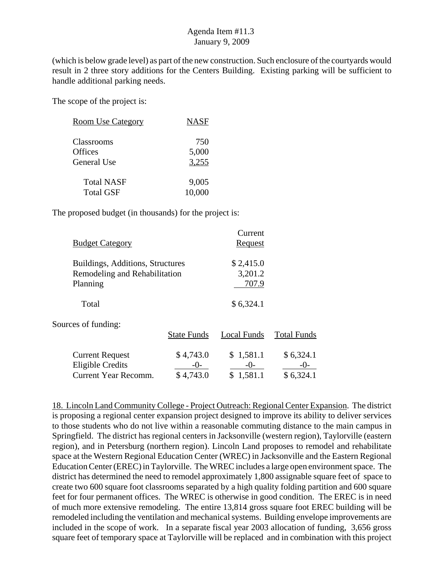(which is below grade level) as part of the new construction. Such enclosure of the courtyards would result in 2 three story additions for the Centers Building. Existing parking will be sufficient to handle additional parking needs.

The scope of the project is:

| <b>Room Use Category</b> | <b>NASF</b>  |
|--------------------------|--------------|
| Classrooms<br>Offices    | 750<br>5,000 |
| General Use              | 3,255        |
| <b>Total NASF</b>        | 9,005        |
| <b>Total GSF</b>         | 10,000       |

The proposed budget (in thousands) for the project is:

| <b>Budget Category</b>                                                        |                    | Current<br>Request            |                    |
|-------------------------------------------------------------------------------|--------------------|-------------------------------|--------------------|
| Buildings, Additions, Structures<br>Remodeling and Rehabilitation<br>Planning |                    | \$2,415.0<br>3,201.2<br>707.9 |                    |
| Total                                                                         |                    | \$6,324.1                     |                    |
| Sources of funding:                                                           | <b>State Funds</b> | Local Funds                   | <b>Total Funds</b> |
| <b>Current Request</b><br><b>Eligible Credits</b>                             | \$4,743.0          | \$1,581.1                     | \$6,324.1          |

Current Year Recomm.  $$4,743.0$   $$1,581.1$   $$6,324.1$ 

18. Lincoln Land Community College - Project Outreach: Regional Center Expansion. The district is proposing a regional center expansion project designed to improve its ability to deliver services to those students who do not live within a reasonable commuting distance to the main campus in Springfield. The district has regional centers in Jacksonville (western region), Taylorville (eastern region), and in Petersburg (northern region). Lincoln Land proposes to remodel and rehabilitate space at the Western Regional Education Center (WREC) in Jacksonville and the Eastern Regional Education Center (EREC) in Taylorville. The WREC includes a large open environment space. The district has determined the need to remodel approximately 1,800 assignable square feet of space to create two 600 square foot classrooms separated by a high quality folding partition and 600 square feet for four permanent offices. The WREC is otherwise in good condition. The EREC is in need of much more extensive remodeling. The entire 13,814 gross square foot EREC building will be remodeled including the ventilation and mechanical systems. Building envelope improvements are included in the scope of work. In a separate fiscal year 2003 allocation of funding, 3,656 gross square feet of temporary space at Taylorville will be replaced and in combination with this project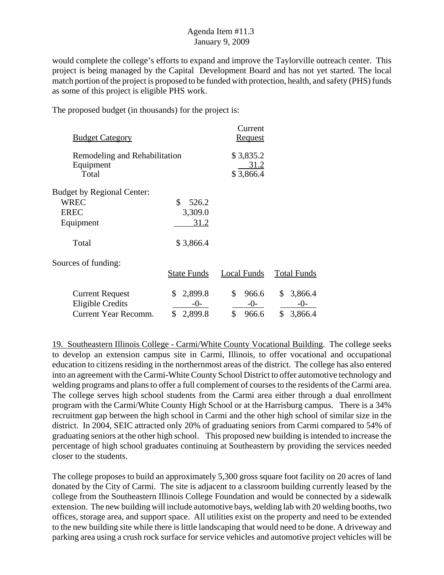would complete the college's efforts to expand and improve the Taylorville outreach center. This project is being managed by the Capital Development Board and has not yet started. The local match portion of the project is proposed to be funded with protection, health, and safety (PHS) funds as some of this project is eligible PHS work.

The proposed budget (in thousands) for the project is:

| <b>Budget Category</b>                              |                    | Current<br><u>Request</u>      |                    |
|-----------------------------------------------------|--------------------|--------------------------------|--------------------|
| Remodeling and Rehabilitation<br>Equipment<br>Total |                    | \$3,835.2<br>31.2<br>\$3,866.4 |                    |
| <b>Budget by Regional Center:</b>                   |                    |                                |                    |
| <b>WREC</b>                                         | \$<br>526.2        |                                |                    |
| <b>EREC</b>                                         | 3,309.0            |                                |                    |
| Equipment                                           | 31.2               |                                |                    |
| Total                                               | \$3,866.4          |                                |                    |
| Sources of funding:                                 |                    |                                |                    |
|                                                     | <b>State Funds</b> | Local Funds                    | <b>Total Funds</b> |
| <b>Current Request</b>                              | \$<br>2,899.8      | \$<br>966.6                    | 3,866.4<br>\$      |
| <b>Eligible Credits</b>                             | $-0-$              | $-0-$                          | $-0-$              |
| Current Year Recomm.                                | \$<br>2,899.8      | \$<br>966.6                    | \$<br>3,866.4      |

19. Southeastern Illinois College - Carmi/White County Vocational Building. The college seeks to develop an extension campus site in Carmi, Illinois, to offer vocational and occupational education to citizens residing in the northernmost areas of the district. The college has also entered into an agreement with the Carmi-White County School District to offer automotive technology and welding programs and plans to offer a full complement of courses to the residents of the Carmi area. The college serves high school students from the Carmi area either through a dual enrollment program with the Carmi/White County High School or at the Harrisburg campus. There is a 34% recruitment gap between the high school in Carmi and the other high school of similar size in the district. In 2004, SEIC attracted only 20% of graduating seniors from Carmi compared to 54% of graduating seniors at the other high school. This proposed new building is intended to increase the percentage of high school graduates continuing at Southeastern by providing the services needed closer to the students.

The college proposes to build an approximately 5,300 gross square foot facility on 20 acres of land donated by the City of Carmi. The site is adjacent to a classroom building currently leased by the college from the Southeastern Illinois College Foundation and would be connected by a sidewalk extension. The new building will include automotive bays, welding lab with 20 welding booths, two offices, storage area, and support space. All utilities exist on the property and need to be extended to the new building site while there is little landscaping that would need to be done. A driveway and parking area using a crush rock surface for service vehicles and automotive project vehicles will be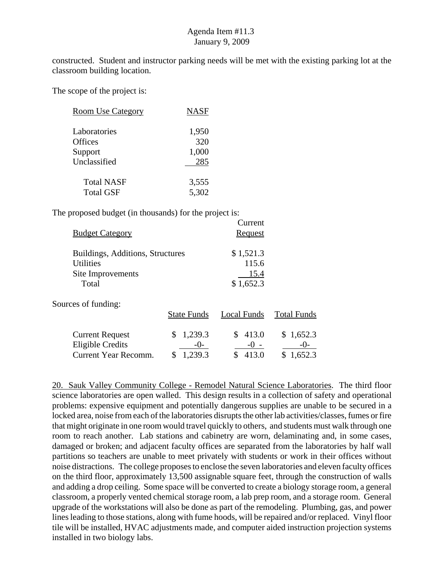constructed. Student and instructor parking needs will be met with the existing parking lot at the classroom building location.

The scope of the project is:

| <b>Room Use Category</b> | <b>NASF</b> |
|--------------------------|-------------|
| Laboratories             | 1,950       |
| <b>Offices</b>           | 320         |
| Support                  | 1,000       |
| Unclassified             | 285         |
| <b>Total NASF</b>        | 3,555       |
| <b>Total GSF</b>         | 5,302       |

The proposed budget (in thousands) for the project is:

| <b>Budget Category</b>           |                    | Current<br>Request |                    |
|----------------------------------|--------------------|--------------------|--------------------|
| Buildings, Additions, Structures |                    | \$1,521.3          |                    |
| <b>Utilities</b>                 |                    | 115.6              |                    |
| Site Improvements                |                    | 15.4               |                    |
| Total                            |                    | \$1,652.3          |                    |
| Sources of funding:              |                    |                    |                    |
|                                  | <b>State Funds</b> | Local Funds        | <b>Total Funds</b> |
| <b>Current Request</b>           | 1,239.3<br>\$      | 413.0<br>S         | \$1,652.3          |
| <b>Eligible Credits</b>          | -()-               |                    | -()-               |
| Current Year Recomm.             | .239.3<br>\$       | \$<br>413.0        | .652.3<br>S        |

20. Sauk Valley Community College - Remodel Natural Science Laboratories. The third floor science laboratories are open walled. This design results in a collection of safety and operational problems: expensive equipment and potentially dangerous supplies are unable to be secured in a locked area, noise from each of the laboratories disrupts the other lab activities/classes, fumes or fire that might originate in one room would travel quickly to others, and students must walk through one room to reach another. Lab stations and cabinetry are worn, delaminating and, in some cases, damaged or broken; and adjacent faculty offices are separated from the laboratories by half wall partitions so teachers are unable to meet privately with students or work in their offices without noise distractions. The college proposes to enclose the seven laboratories and eleven faculty offices on the third floor, approximately 13,500 assignable square feet, through the construction of walls and adding a drop ceiling. Some space will be converted to create a biology storage room, a general classroom, a properly vented chemical storage room, a lab prep room, and a storage room. General upgrade of the workstations will also be done as part of the remodeling. Plumbing, gas, and power lines leading to those stations, along with fume hoods, will be repaired and/or replaced. Vinyl floor tile will be installed, HVAC adjustments made, and computer aided instruction projection systems installed in two biology labs.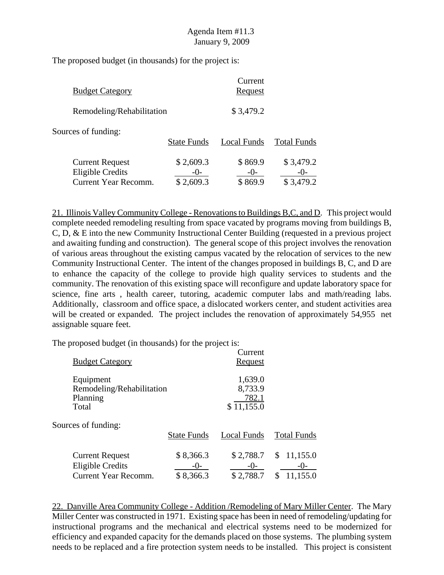The proposed budget (in thousands) for the project is:

| <b>Budget Category</b>                                                           |                        | Current<br>Request            |                                 |
|----------------------------------------------------------------------------------|------------------------|-------------------------------|---------------------------------|
| Remodeling/Rehabilitation                                                        |                        | \$3,479.2                     |                                 |
| Sources of funding:                                                              | <b>State Funds</b>     | Local Funds                   | <b>Total Funds</b>              |
| <b>Current Request</b><br><b>Eligible Credits</b><br><b>Current Year Recomm.</b> | \$2,609.3<br>\$2,609.3 | \$869.9<br>$-()$ -<br>\$869.9 | \$3,479.2<br>$-()$<br>\$3,479.2 |

21. Illinois Valley Community College - Renovations to Buildings B,C, and D. This project would complete needed remodeling resulting from space vacated by programs moving from buildings B, C, D, & E into the new Community Instructional Center Building (requested in a previous project and awaiting funding and construction). The general scope of this project involves the renovation of various areas throughout the existing campus vacated by the relocation of services to the new Community Instructional Center. The intent of the changes proposed in buildings B, C, and D are to enhance the capacity of the college to provide high quality services to students and the community. The renovation of this existing space will reconfigure and update laboratory space for science, fine arts , health career, tutoring, academic computer labs and math/reading labs. Additionally, classroom and office space, a dislocated workers center, and student activities area will be created or expanded. The project includes the renovation of approximately 54,955 net assignable square feet.

The proposed budget (in thousands) for the project is:

| <b>Budget Category</b>                                                    |                                   | Current<br><b>Request</b>                 |                                             |
|---------------------------------------------------------------------------|-----------------------------------|-------------------------------------------|---------------------------------------------|
| Equipment<br>Remodeling/Rehabilitation<br>Planning<br>Total               |                                   | 1,639.0<br>8,733.9<br>782.1<br>\$11,155.0 |                                             |
| Sources of funding:                                                       | <b>State Funds</b>                | Local Funds                               | <b>Total Funds</b>                          |
| <b>Current Request</b><br><b>Eligible Credits</b><br>Current Year Recomm. | \$8,366.3<br>$-()$ -<br>\$8,366.3 | \$2,788.7<br>$-()$<br>\$2,788.7           | 11,155.0<br>\$<br>$-()$ -<br>11,155.0<br>\$ |

22. Danville Area Community College - Addition /Remodeling of Mary Miller Center. The Mary Miller Center was constructed in 1971. Existing space has been in need of remodeling/updating for instructional programs and the mechanical and electrical systems need to be modernized for efficiency and expanded capacity for the demands placed on those systems. The plumbing system needs to be replaced and a fire protection system needs to be installed. This project is consistent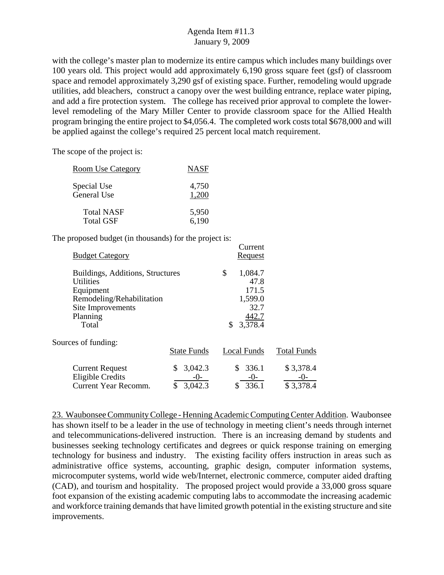with the college's master plan to modernize its entire campus which includes many buildings over 100 years old. This project would add approximately 6,190 gross square feet (gsf) of classroom space and remodel approximately 3,290 gsf of existing space. Further, remodeling would upgrade utilities, add bleachers, construct a canopy over the west building entrance, replace water piping, and add a fire protection system. The college has received prior approval to complete the lowerlevel remodeling of the Mary Miller Center to provide classroom space for the Allied Health program bringing the entire project to \$4,056.4. The completed work costs total \$678,000 and will be applied against the college's required 25 percent local match requirement.

Current

The scope of the project is:

| Room Use Category | <b>NASF</b> |
|-------------------|-------------|
| Special Use       | 4,750       |
| General Use       | 1,200       |
| <b>Total NASF</b> | 5,950       |
| <b>Total GSF</b>  | 6,190       |

The proposed budget (in thousands) for the project is:

| <b>Budget Category</b>                                                                                                                   |                               | $_{\tt outiv}$<br>Request                                                   |                                |
|------------------------------------------------------------------------------------------------------------------------------------------|-------------------------------|-----------------------------------------------------------------------------|--------------------------------|
| Buildings, Additions, Structures<br><b>Utilities</b><br>Equipment<br>Remodeling/Rehabilitation<br>Site Improvements<br>Planning<br>Total |                               | \$<br>1,084.7<br>47.8<br>171.5<br>1,599.0<br>32.7<br>442.7<br>3,378.4<br>\$ |                                |
| Sources of funding:                                                                                                                      | <b>State Funds</b>            | Local Funds                                                                 | <b>Total Funds</b>             |
| <b>Current Request</b><br><b>Eligible Credits</b><br><b>Current Year Recomm.</b>                                                         | 3,042.3<br>$-()$ -<br>3,042.3 | 336.1<br>S<br>-0-<br>336.1<br>\$                                            | \$3,378.4<br>-()-<br>\$3,378.4 |

23. Waubonsee Community College - Henning Academic Computing Center Addition. Waubonsee has shown itself to be a leader in the use of technology in meeting client's needs through internet and telecommunications-delivered instruction. There is an increasing demand by students and businesses seeking technology certificates and degrees or quick response training on emerging technology for business and industry. The existing facility offers instruction in areas such as administrative office systems, accounting, graphic design, computer information systems, microcomputer systems, world wide web/Internet, electronic commerce, computer aided drafting (CAD), and tourism and hospitality. The proposed project would provide a 33,000 gross square foot expansion of the existing academic computing labs to accommodate the increasing academic and workforce training demands that have limited growth potential in the existing structure and site improvements.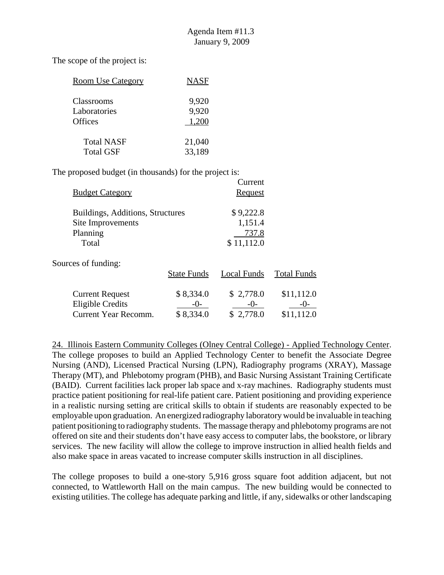$C$ urront

The scope of the project is:

| <b>Room Use Category</b> | <b>NASF</b> |
|--------------------------|-------------|
| Classrooms               | 9,920       |
| Laboratories             | 9,920       |
| <b>Offices</b>           | 1,200       |
| <b>Total NASF</b>        | 21,040      |
| <b>Total GSF</b>         | 33,189      |

The proposed budget (in thousands) for the project is:

| <b>Budget Category</b>           |                    | Cuncil<br>Request  |                    |  |
|----------------------------------|--------------------|--------------------|--------------------|--|
| Buildings, Additions, Structures |                    | \$9,222.8          |                    |  |
| Site Improvements                |                    | 1,151.4            |                    |  |
| Planning                         |                    | 737.8              |                    |  |
| Total                            |                    | \$11,112.0         |                    |  |
| Sources of funding:              |                    |                    |                    |  |
|                                  | <b>State Funds</b> | <b>Local Funds</b> | <b>Total Funds</b> |  |
| <b>Current Request</b>           | \$8,334.0          | \$2,778.0          | \$11,112.0         |  |
| <b>Eligible Credits</b>          | $-()$              | $-()$              | -()-               |  |
| <b>Current Year Recomm.</b>      | \$8,334.0          | \$2,778.0          | \$11,112.0         |  |

24. Illinois Eastern Community Colleges (Olney Central College) - Applied Technology Center. The college proposes to build an Applied Technology Center to benefit the Associate Degree Nursing (AND), Licensed Practical Nursing (LPN), Radiography programs (XRAY), Massage Therapy (MT), and Phlebotomy program (PHB), and Basic Nursing Assistant Training Certificate (BAID). Current facilities lack proper lab space and x-ray machines. Radiography students must practice patient positioning for real-life patient care. Patient positioning and providing experience in a realistic nursing setting are critical skills to obtain if students are reasonably expected to be employable upon graduation. An energized radiography laboratory would be invaluable in teaching patient positioning to radiography students. The massage therapy and phlebotomy programs are not offered on site and their students don't have easy access to computer labs, the bookstore, or library services. The new facility will allow the college to improve instruction in allied health fields and also make space in areas vacated to increase computer skills instruction in all disciplines.

The college proposes to build a one-story 5,916 gross square foot addition adjacent, but not connected, to Wattleworth Hall on the main campus. The new building would be connected to existing utilities. The college has adequate parking and little, if any, sidewalks or other landscaping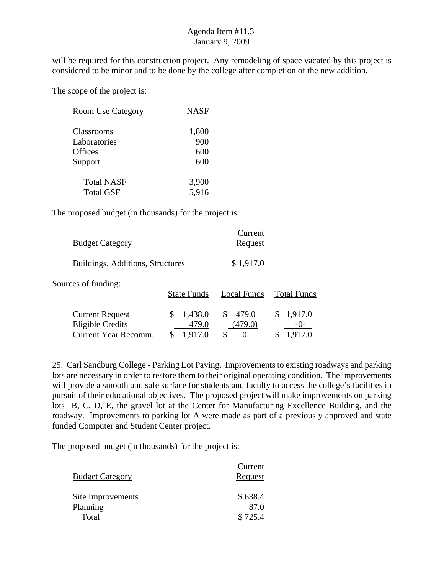will be required for this construction project. Any remodeling of space vacated by this project is considered to be minor and to be done by the college after completion of the new addition.

The scope of the project is:

| <b>Room Use Category</b> | <b>NASF</b> |
|--------------------------|-------------|
| Classrooms               | 1,800       |
| Laboratories             | 900         |
| <b>Offices</b>           | 600         |
| Support                  | 600         |
| <b>Total NASF</b>        | 3,900       |
| <b>Total GSF</b>         | 5,916       |

The proposed budget (in thousands) for the project is:

| <b>Budget Category</b>                                                    |                                   | Current<br>Request               |                       |
|---------------------------------------------------------------------------|-----------------------------------|----------------------------------|-----------------------|
| Buildings, Additions, Structures                                          |                                   | \$1,917.0                        |                       |
| Sources of funding:                                                       | <b>State Funds</b>                | Local Funds                      | <b>Total Funds</b>    |
| <b>Current Request</b><br><b>Eligible Credits</b><br>Current Year Recomm. | 1,438.0<br>\$<br>479.0<br>1,917.0 | 479.0<br>\$<br>(479.0)<br>S<br>0 | 1,917.0<br>S<br>$-()$ |

25. Carl Sandburg College - Parking Lot Paving. Improvements to existing roadways and parking lots are necessary in order to restore them to their original operating condition. The improvements will provide a smooth and safe surface for students and faculty to access the college's facilities in pursuit of their educational objectives. The proposed project will make improvements on parking lots B, C, D, E, the gravel lot at the Center for Manufacturing Excellence Building, and the roadway. Improvements to parking lot A were made as part of a previously approved and state funded Computer and Student Center project.

| <b>Budget Category</b>        | Current<br>Request |
|-------------------------------|--------------------|
| Site Improvements<br>Planning | \$638.4<br>87.0    |
| Total                         | \$725.4            |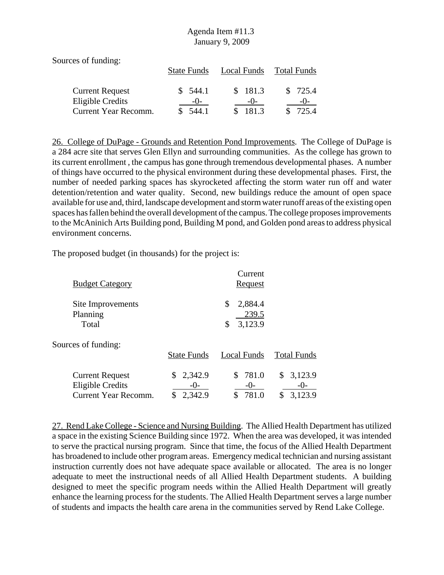Sources of funding: State Funds Local Funds Total Funds Current Request  $\$$  544.1  $\$$  181.3  $\$$  725.4 Eligible Credits -0- -0- -0- -0-Current Year Recomm. \$ 544.1 \$ 181.3 \$ 725.4

26. College of DuPage - Grounds and Retention Pond Improvements. The College of DuPage is a 284 acre site that serves Glen Ellyn and surrounding communities. As the college has grown to its current enrollment , the campus has gone through tremendous developmental phases. A number of things have occurred to the physical environment during these developmental phases. First, the number of needed parking spaces has skyrocketed affecting the storm water run off and water detention/retention and water quality. Second, new buildings reduce the amount of open space available for use and, third, landscape development and storm water runoff areas of the existing open spaces has fallen behind the overall development of the campus. The college proposes improvements to the McAninich Arts Building pond, Building M pond, and Golden pond areas to address physical environment concerns.

The proposed budget (in thousands) for the project is:

| <b>Budget Category</b>                                                           |                                    | Current<br><b>Request</b>               |                                     |
|----------------------------------------------------------------------------------|------------------------------------|-----------------------------------------|-------------------------------------|
| Site Improvements<br>Planning<br>Total                                           |                                    | \$<br>2,884.4<br>239.5<br>3,123.9<br>\$ |                                     |
| Sources of funding:                                                              | <b>State Funds</b>                 | Local Funds                             | <b>Total Funds</b>                  |
| <b>Current Request</b><br><b>Eligible Credits</b><br><b>Current Year Recomm.</b> | 2,342.9<br>S<br>$-()$ -<br>2,342.9 | \$781.0<br>$-()$ -<br>781.0             | 3,123.9<br>S.<br>$-()$ -<br>3,123.9 |

27. Rend Lake College - Science and Nursing Building. The Allied Health Department has utilized a space in the existing Science Building since 1972. When the area was developed, it was intended to serve the practical nursing program. Since that time, the focus of the Allied Health Department has broadened to include other program areas. Emergency medical technician and nursing assistant instruction currently does not have adequate space available or allocated. The area is no longer adequate to meet the instructional needs of all Allied Health Department students. A building designed to meet the specific program needs within the Allied Health Department will greatly enhance the learning process for the students. The Allied Health Department serves a large number of students and impacts the health care arena in the communities served by Rend Lake College.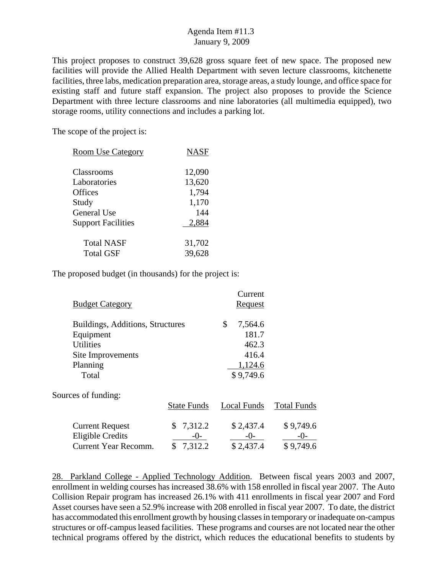This project proposes to construct 39,628 gross square feet of new space. The proposed new facilities will provide the Allied Health Department with seven lecture classrooms, kitchenette facilities, three labs, medication preparation area, storage areas, a study lounge, and office space for existing staff and future staff expansion. The project also proposes to provide the Science Department with three lecture classrooms and nine laboratories (all multimedia equipped), two storage rooms, utility connections and includes a parking lot.

The scope of the project is:

| <b>NASF</b> |
|-------------|
| 12,090      |
| 13,620      |
| 1,794       |
| 1,170       |
| 144         |
| 2,884       |
| 31,702      |
| 39,628      |
|             |

The proposed budget (in thousands) for the project is:

| <b>Budget Category</b>                                                                                      |                                 | Current<br><b>Request</b>                                        |                                   |
|-------------------------------------------------------------------------------------------------------------|---------------------------------|------------------------------------------------------------------|-----------------------------------|
| Buildings, Additions, Structures<br>Equipment<br><b>Utilities</b><br>Site Improvements<br>Planning<br>Total |                                 | \$<br>7,564.6<br>181.7<br>462.3<br>416.4<br>1,124.6<br>\$9,749.6 |                                   |
| Sources of funding:                                                                                         | <b>State Funds</b>              | Local Funds                                                      | <b>Total Funds</b>                |
| <b>Current Request</b><br>Eligible Credits<br>Current Year Recomm.                                          | \$7,312.2<br>$-()$ -<br>7,312.2 | \$2,437.4<br>$-0-$<br>\$2,437.4                                  | \$9,749.6<br>$-()$ -<br>\$9,749.6 |

28. Parkland College - Applied Technology Addition. Between fiscal years 2003 and 2007, enrollment in welding courses has increased 38.6% with 158 enrolled in fiscal year 2007. The Auto Collision Repair program has increased 26.1% with 411 enrollments in fiscal year 2007 and Ford Asset courses have seen a 52.9% increase with 208 enrolled in fiscal year 2007. To date, the district has accommodated this enrollment growth by housing classes in temporary or inadequate on-campus structures or off-campus leased facilities. These programs and courses are not located near the other technical programs offered by the district, which reduces the educational benefits to students by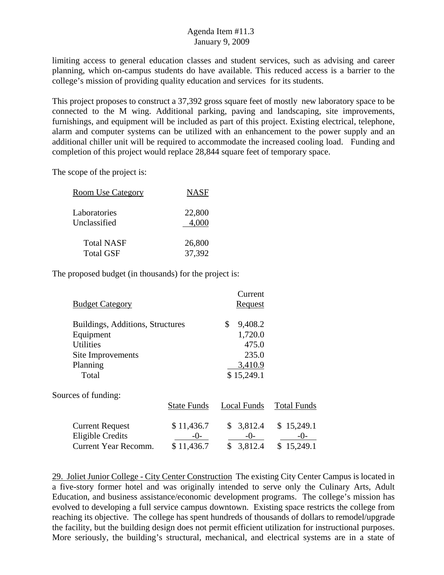limiting access to general education classes and student services, such as advising and career planning, which on-campus students do have available. This reduced access is a barrier to the college's mission of providing quality education and services for its students.

This project proposes to construct a 37,392 gross square feet of mostly new laboratory space to be connected to the M wing. Additional parking, paving and landscaping, site improvements, furnishings, and equipment will be included as part of this project. Existing electrical, telephone, alarm and computer systems can be utilized with an enhancement to the power supply and an additional chiller unit will be required to accommodate the increased cooling load. Funding and completion of this project would replace 28,844 square feet of temporary space.

The scope of the project is:

| <b>Room Use Category</b> | <b>NASF</b> |
|--------------------------|-------------|
| Laboratories             | 22,800      |
| Unclassified             | 4,000       |
| <b>Total NASF</b>        | 26,800      |
| <b>Total GSF</b>         | 37,392      |

The proposed budget (in thousands) for the project is:

| <b>Budget Category</b>                                                    |                                     | Current<br><b>Request</b>           |                                  |
|---------------------------------------------------------------------------|-------------------------------------|-------------------------------------|----------------------------------|
| Buildings, Additions, Structures<br>Equipment<br><b>Utilities</b>         |                                     | \$<br>9,408.2<br>1,720.0<br>475.0   |                                  |
| Site Improvements<br>Planning<br>Total                                    |                                     | 235.0<br>3,410.9<br>\$15,249.1      |                                  |
| Sources of funding:                                                       | <b>State Funds</b>                  | Local Funds                         | <b>Total Funds</b>               |
| <b>Current Request</b><br><b>Eligible Credits</b><br>Current Year Recomm. | \$11,436.7<br>$-()$ -<br>\$11,436.7 | \$<br>\$3,812.4<br>$-0-$<br>3,812.4 | \$15,249.1<br>-()-<br>\$15,249.1 |

29. Joliet Junior College - City Center Construction The existing City Center Campus is located in a five-story former hotel and was originally intended to serve only the Culinary Arts, Adult Education, and business assistance/economic development programs. The college's mission has evolved to developing a full service campus downtown. Existing space restricts the college from reaching its objective. The college has spent hundreds of thousands of dollars to remodel/upgrade the facility, but the building design does not permit efficient utilization for instructional purposes. More seriously, the building's structural, mechanical, and electrical systems are in a state of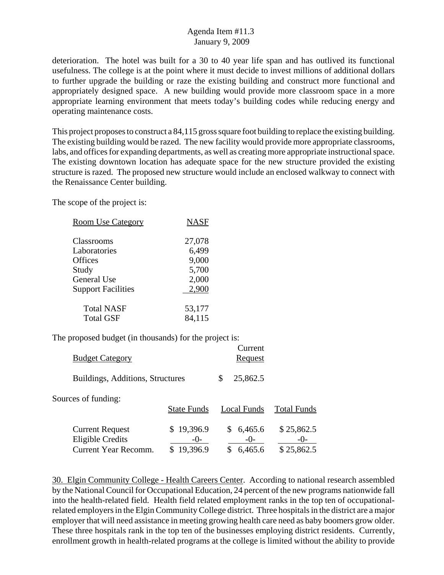deterioration. The hotel was built for a 30 to 40 year life span and has outlived its functional usefulness. The college is at the point where it must decide to invest millions of additional dollars to further upgrade the building or raze the existing building and construct more functional and appropriately designed space. A new building would provide more classroom space in a more appropriate learning environment that meets today's building codes while reducing energy and operating maintenance costs.

This project proposes to construct a 84,115 gross square foot building to replace the existing building. The existing building would be razed. The new facility would provide more appropriate classrooms, labs, and offices for expanding departments, as well as creating more appropriate instructional space. The existing downtown location has adequate space for the new structure provided the existing structure is razed. The proposed new structure would include an enclosed walkway to connect with the Renaissance Center building.

The scope of the project is:

| <b>Room Use Category</b>  | <b>NASF</b> |
|---------------------------|-------------|
| Classrooms                | 27,078      |
| Laboratories              | 6,499       |
| Offices                   | 9,000       |
| Study                     | 5,700       |
| <b>General Use</b>        | 2,000       |
| <b>Support Facilities</b> | 2,900       |
| <b>Total NASF</b>         | 53,177      |
| <b>Total GSF</b>          | 84,115      |
|                           |             |

The proposed budget (in thousands) for the project is:

| <b>Budget Category</b>           | Current<br><b>Request</b> |
|----------------------------------|---------------------------|
| Buildings, Additions, Structures | $\frac{\$}{25,862.5}$     |

Sources of funding:

|                                            | <b>State Funds</b>  | Local Funds        | <b>Total Funds</b>  |
|--------------------------------------------|---------------------|--------------------|---------------------|
| <b>Current Request</b><br>Eligible Credits | \$19,396.9<br>$-()$ | \$6,465.6<br>$-()$ | \$25,862.5<br>$-()$ |
| Current Year Recomm.                       | \$19,396.9          | \$6,465.6          | \$25,862.5          |

30. Elgin Community College - Health Careers Center. According to national research assembled by the National Council for Occupational Education, 24 percent of the new programs nationwide fall into the health-related field. Health field related employment ranks in the top ten of occupationalrelated employers in the Elgin Community College district. Three hospitals in the district are a major employer that will need assistance in meeting growing health care need as baby boomers grow older. These three hospitals rank in the top ten of the businesses employing district residents. Currently, enrollment growth in health-related programs at the college is limited without the ability to provide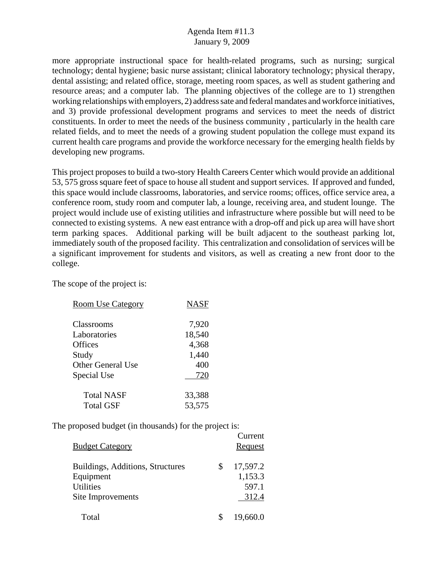more appropriate instructional space for health-related programs, such as nursing; surgical technology; dental hygiene; basic nurse assistant; clinical laboratory technology; physical therapy, dental assisting; and related office, storage, meeting room spaces, as well as student gathering and resource areas; and a computer lab. The planning objectives of the college are to 1) strengthen working relationships with employers, 2) address sate and federal mandates and workforce initiatives, and 3) provide professional development programs and services to meet the needs of district constituents. In order to meet the needs of the business community , particularly in the health care related fields, and to meet the needs of a growing student population the college must expand its current health care programs and provide the workforce necessary for the emerging health fields by developing new programs.

This project proposes to build a two-story Health Careers Center which would provide an additional 53, 575 gross square feet of space to house all student and support services. If approved and funded, this space would include classrooms, laboratories, and service rooms; offices, office service area, a conference room, study room and computer lab, a lounge, receiving area, and student lounge. The project would include use of existing utilities and infrastructure where possible but will need to be connected to existing systems. A new east entrance with a drop-off and pick up area will have short term parking spaces. Additional parking will be built adjacent to the southeast parking lot, immediately south of the proposed facility. This centralization and consolidation of services will be a significant improvement for students and visitors, as well as creating a new front door to the college.

The scope of the project is:

| <b>Room Use Category</b> | <b>NASF</b> |
|--------------------------|-------------|
| <b>Classrooms</b>        | 7,920       |
| Laboratories             | 18,540      |
| <b>Offices</b>           | 4,368       |
| Study                    | 1,440       |
| <b>Other General Use</b> | 400         |
| Special Use              | 720         |
| <b>Total NASF</b>        | 33,388      |
| <b>Total GSF</b>         | 53,575      |

| <b>Budget Category</b>                                                                 | Current<br>Request                          |
|----------------------------------------------------------------------------------------|---------------------------------------------|
| Buildings, Additions, Structures<br>Equipment<br><b>Utilities</b><br>Site Improvements | \$<br>17,597.2<br>1,153.3<br>597.1<br>312.4 |
| Total                                                                                  | 19,660.0                                    |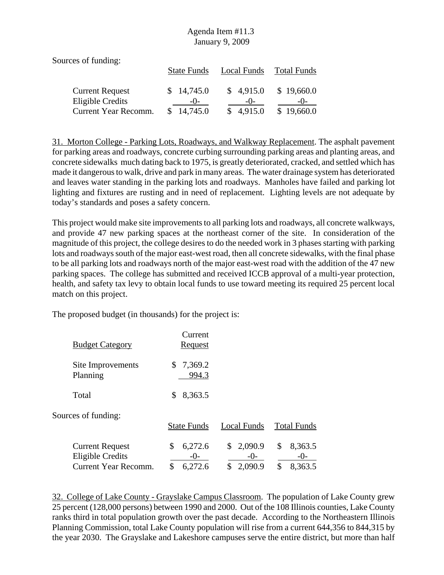Sources of funding:

|                                            | <b>State Funds</b>  | Local Funds        | <b>Total Funds</b>  |
|--------------------------------------------|---------------------|--------------------|---------------------|
| <b>Current Request</b><br>Eligible Credits | \$14,745.0<br>$-()$ | \$4,915.0<br>$-()$ | \$19,660.0<br>$-()$ |
| Current Year Recomm.                       | \$14,745.0          | \$4,915.0          | \$19,660.0          |

31. Morton College - Parking Lots, Roadways, and Walkway Replacement. The asphalt pavement for parking areas and roadways, concrete curbing surrounding parking areas and planting areas, and concrete sidewalks much dating back to 1975, is greatly deteriorated, cracked, and settled which has made it dangerous to walk, drive and park in many areas. The water drainage system has deteriorated and leaves water standing in the parking lots and roadways. Manholes have failed and parking lot lighting and fixtures are rusting and in need of replacement. Lighting levels are not adequate by today's standards and poses a safety concern.

This project would make site improvements to all parking lots and roadways, all concrete walkways, and provide 47 new parking spaces at the northeast corner of the site. In consideration of the magnitude of this project, the college desires to do the needed work in 3 phases starting with parking lots and roadways south of the major east-west road, then all concrete sidewalks, with the final phase to be all parking lots and roadways north of the major east-west road with the addition of the 47 new parking spaces. The college has submitted and received ICCB approval of a multi-year protection, health, and safety tax levy to obtain local funds to use toward meeting its required 25 percent local match on this project.

The proposed budget (in thousands) for the project is:

| <b>Budget Category</b>                                                    | Current<br><b>Request</b>               |                                           |                                         |
|---------------------------------------------------------------------------|-----------------------------------------|-------------------------------------------|-----------------------------------------|
| Site Improvements<br>Planning                                             | 7,369.2<br>\$<br>994.3                  |                                           |                                         |
| Total                                                                     | \$<br>8,363.5                           |                                           |                                         |
| Sources of funding:                                                       | <b>State Funds</b>                      | Local Funds                               | <b>Total Funds</b>                      |
| <b>Current Request</b><br><b>Eligible Credits</b><br>Current Year Recomm. | \$<br>6,272.6<br>$-()$<br>\$<br>6,272.6 | 2,090.9<br>\$<br>$-()$ -<br>2,090.9<br>\$ | \$<br>8,363.5<br>$-()$<br>\$<br>8,363.5 |

32. College of Lake County - Grayslake Campus Classroom. The population of Lake County grew 25 percent (128,000 persons) between 1990 and 2000. Out of the 108 Illinois counties, Lake County ranks third in total population growth over the past decade. According to the Northeastern Illinois Planning Commission, total Lake County population will rise from a current 644,356 to 844,315 by the year 2030. The Grayslake and Lakeshore campuses serve the entire district, but more than half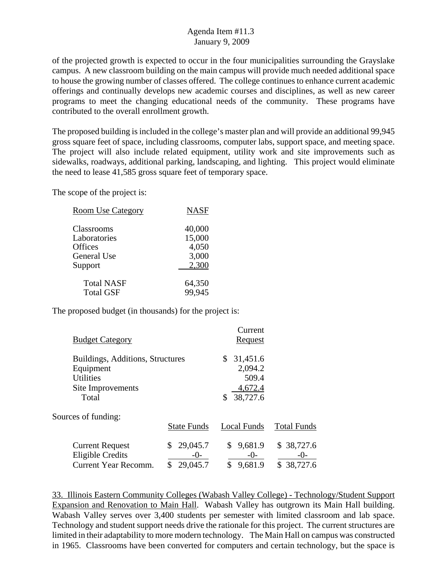of the projected growth is expected to occur in the four municipalities surrounding the Grayslake campus. A new classroom building on the main campus will provide much needed additional space to house the growing number of classes offered. The college continues to enhance current academic offerings and continually develops new academic courses and disciplines, as well as new career programs to meet the changing educational needs of the community. These programs have contributed to the overall enrollment growth.

The proposed building is included in the college's master plan and will provide an additional 99,945 gross square feet of space, including classrooms, computer labs, support space, and meeting space. The project will also include related equipment, utility work and site improvements such as sidewalks, roadways, additional parking, landscaping, and lighting. This project would eliminate the need to lease 41,585 gross square feet of temporary space.

The scope of the project is:

| <b>Room Use Category</b> | <b>NASF</b> |
|--------------------------|-------------|
| Classrooms               | 40,000      |
| Laboratories             | 15,000      |
| Offices                  | 4,050       |
| <b>General Use</b>       | 3,000       |
| Support                  | 2,300       |
| <b>Total NASF</b>        | 64,350      |
| <b>Total GSF</b>         | 99,945      |

The proposed budget (in thousands) for the project is:

| <b>Budget Category</b>                                                                          |                                     | Current<br>Request                                        |                                      |
|-------------------------------------------------------------------------------------------------|-------------------------------------|-----------------------------------------------------------|--------------------------------------|
| Buildings, Additions, Structures<br>Equipment<br><b>Utilities</b><br>Site Improvements<br>Total |                                     | 31,451.6<br>\$<br>2,094.2<br>509.4<br>4,672.4<br>38,727.6 |                                      |
| Sources of funding:                                                                             | <b>State Funds</b>                  | Local Funds                                               | <b>Total Funds</b>                   |
| <b>Current Request</b><br><b>Eligible Credits</b><br>Current Year Recomm.                       | 29,045.7<br>\$<br>$-()$<br>29,045.7 | \$9,681.9<br>$-0-$<br>9,681.9<br>\$                       | \$ 38,727.6<br>$-()$ -<br>\$38,727.6 |

33. Illinois Eastern Community Colleges (Wabash Valley College) - Technology/Student Support Expansion and Renovation to Main Hall. Wabash Valley has outgrown its Main Hall building. Wabash Valley serves over 3,400 students per semester with limited classroom and lab space. Technology and student support needs drive the rationale for this project. The current structures are limited in their adaptability to more modern technology. The Main Hall on campus was constructed in 1965. Classrooms have been converted for computers and certain technology, but the space is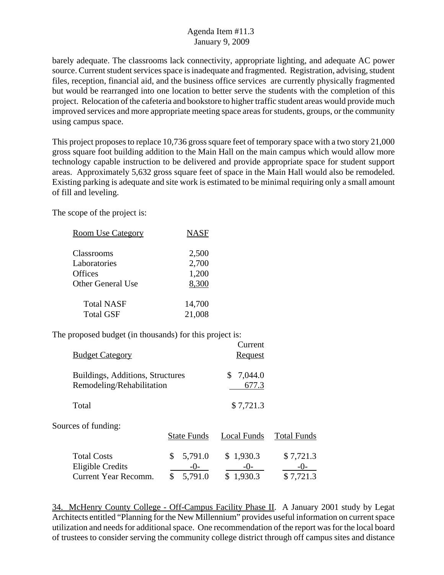barely adequate. The classrooms lack connectivity, appropriate lighting, and adequate AC power source. Current student services space is inadequate and fragmented. Registration, advising, student files, reception, financial aid, and the business office services are currently physically fragmented but would be rearranged into one location to better serve the students with the completion of this project. Relocation of the cafeteria and bookstore to higher traffic student areas would provide much improved services and more appropriate meeting space areas for students, groups, or the community using campus space.

This project proposes to replace 10,736 gross square feet of temporary space with a two story 21,000 gross square foot building addition to the Main Hall on the main campus which would allow more technology capable instruction to be delivered and provide appropriate space for student support areas. Approximately 5,632 gross square feet of space in the Main Hall would also be remodeled. Existing parking is adequate and site work is estimated to be minimal requiring only a small amount of fill and leveling.

The scope of the project is:

| <b>Room Use Category</b> | <b>NASF</b> |
|--------------------------|-------------|
|                          |             |
| Classrooms               | 2,500       |
| Laboratories             | 2,700       |
| Offices                  | 1,200       |
| <b>Other General Use</b> | 8,300       |
| <b>Total NASF</b>        | 14,700      |
| <b>Total GSF</b>         | 21,008      |

The proposed budget (in thousands) for this project is:

| <b>Budget Category</b>                                         |                                           | Current<br>Request                |                                 |
|----------------------------------------------------------------|-------------------------------------------|-----------------------------------|---------------------------------|
| Buildings, Additions, Structures<br>Remodeling/Rehabilitation  |                                           | 7,044.0<br>S.<br>677.3            |                                 |
| Total                                                          |                                           | \$7,721.3                         |                                 |
| Sources of funding:                                            | <b>State Funds</b>                        | Local Funds                       | <b>Total Funds</b>              |
| <b>Total Costs</b><br>Eligible Credits<br>Current Year Recomm. | \$<br>5,791.0<br>$-()$ -<br>5,791.0<br>\$ | \$1,930.3<br>$-()$ -<br>\$1,930.3 | \$7,721.3<br>-( )-<br>\$7,721.3 |

34. McHenry County College - Off-Campus Facility Phase II. A January 2001 study by Legat Architects entitled "Planning for the New Millennium" provides useful information on current space utilization and needs for additional space. One recommendation of the report was for the local board of trustees to consider serving the community college district through off campus sites and distance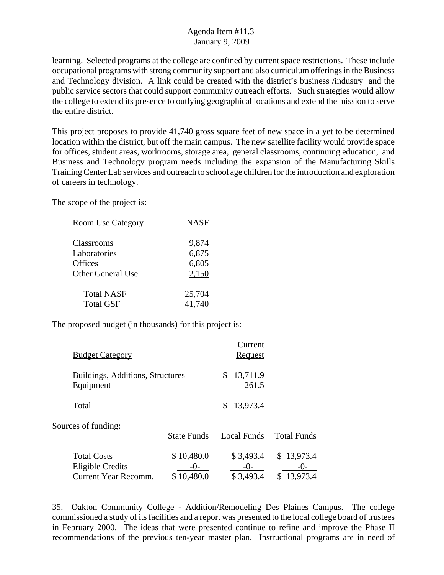learning. Selected programs at the college are confined by current space restrictions. These include occupational programs with strong community support and also curriculum offerings in the Business and Technology division. A link could be created with the district's business /industry and the public service sectors that could support community outreach efforts. Such strategies would allow the college to extend its presence to outlying geographical locations and extend the mission to serve the entire district.

This project proposes to provide 41,740 gross square feet of new space in a yet to be determined location within the district, but off the main campus. The new satellite facility would provide space for offices, student areas, workrooms, storage area, general classrooms, continuing education, and Business and Technology program needs including the expansion of the Manufacturing Skills Training Center Lab services and outreach to school age children for the introduction and exploration of careers in technology.

The scope of the project is:

| <b>Room Use Category</b> | <b>NASF</b> |
|--------------------------|-------------|
|                          |             |
| Classrooms               | 9,874       |
| Laboratories             | 6,875       |
| Offices                  | 6,805       |
| <b>Other General Use</b> | 2,150       |
|                          |             |
| <b>Total NASF</b>        | 25,704      |
| <b>Total GSF</b>         | 41,740      |
|                          |             |

The proposed budget (in thousands) for this project is:

| <b>Budget Category</b>                                         |                                     | Current<br>Request                |                                   |
|----------------------------------------------------------------|-------------------------------------|-----------------------------------|-----------------------------------|
| Buildings, Additions, Structures<br>Equipment                  |                                     | 13,711.9<br>S<br>261.5            |                                   |
| Total                                                          |                                     | 13,973.4<br>S                     |                                   |
| Sources of funding:                                            | <b>State Funds</b>                  | Local Funds                       | <b>Total Funds</b>                |
| <b>Total Costs</b><br>Eligible Credits<br>Current Year Recomm. | \$10,480.0<br>$-()$ -<br>\$10,480.0 | \$3,493.4<br>$-()$ -<br>\$3,493.4 | \$13,973.4<br>$-()$<br>\$13,973.4 |

35. Oakton Community College - Addition/Remodeling Des Plaines Campus. The college commissioned a study of its facilities and a report was presented to the local college board of trustees in February 2000. The ideas that were presented continue to refine and improve the Phase II recommendations of the previous ten-year master plan. Instructional programs are in need of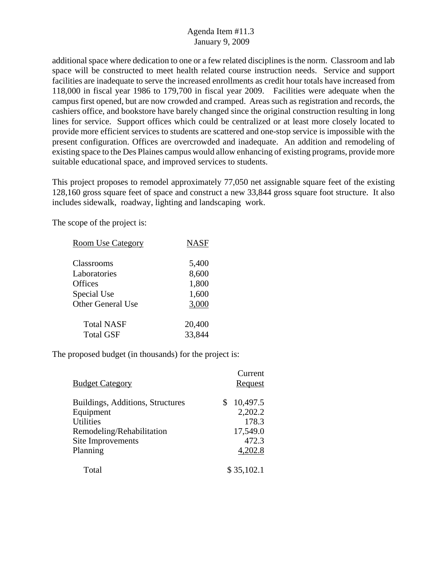additional space where dedication to one or a few related disciplines is the norm. Classroom and lab space will be constructed to meet health related course instruction needs. Service and support facilities are inadequate to serve the increased enrollments as credit hour totals have increased from 118,000 in fiscal year 1986 to 179,700 in fiscal year 2009. Facilities were adequate when the campus first opened, but are now crowded and cramped. Areas such as registration and records, the cashiers office, and bookstore have barely changed since the original construction resulting in long lines for service. Support offices which could be centralized or at least more closely located to provide more efficient services to students are scattered and one-stop service is impossible with the present configuration. Offices are overcrowded and inadequate. An addition and remodeling of existing space to the Des Plaines campus would allow enhancing of existing programs, provide more suitable educational space, and improved services to students.

This project proposes to remodel approximately 77,050 net assignable square feet of the existing 128,160 gross square feet of space and construct a new 33,844 gross square foot structure. It also includes sidewalk, roadway, lighting and landscaping work.

The scope of the project is:

| <b>NASF</b>      |  |
|------------------|--|
| 5,400            |  |
| 8,600<br>1,800   |  |
| 1,600<br>3,000   |  |
|                  |  |
| 20,400<br>33,844 |  |
|                  |  |

| <b>Budget Category</b>           | Current<br>Request |
|----------------------------------|--------------------|
| Buildings, Additions, Structures | 10,497.5<br>\$     |
| Equipment                        | 2,202.2            |
| <b>Utilities</b>                 | 178.3              |
| Remodeling/Rehabilitation        | 17,549.0           |
| Site Improvements                | 472.3              |
| Planning                         | 4,202.8            |
| Total                            | \$35,102.1         |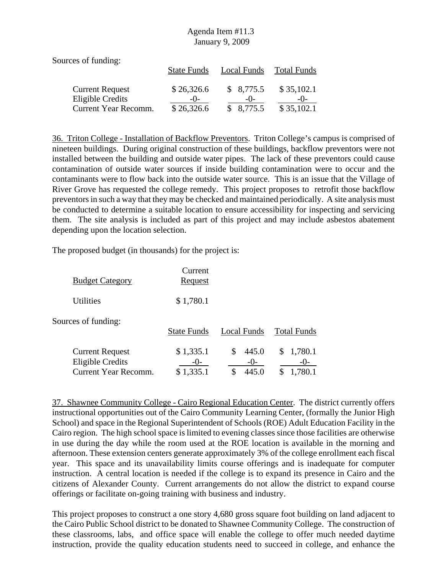| Sources of funding:     |                    |             |                    |
|-------------------------|--------------------|-------------|--------------------|
|                         | <b>State Funds</b> | Local Funds | <b>Total Funds</b> |
| <b>Current Request</b>  | \$26,326.6         | \$8,775.5   | \$35,102.1         |
| <b>Eligible Credits</b> | $-()$              | $-()$       | $-()$              |
| Current Year Recomm.    | \$26,326.6         | \$8,775.5   | \$35,102.1         |

36. Triton College - Installation of Backflow Preventors. Triton College's campus is comprised of nineteen buildings. During original construction of these buildings, backflow preventors were not installed between the building and outside water pipes. The lack of these preventors could cause contamination of outside water sources if inside building contamination were to occur and the contaminants were to flow back into the outside water source. This is an issue that the Village of River Grove has requested the college remedy. This project proposes to retrofit those backflow preventors in such a way that they may be checked and maintained periodically. A site analysis must be conducted to determine a suitable location to ensure accessibility for inspecting and servicing them. The site analysis is included as part of this project and may include asbestos abatement depending upon the location selection.

The proposed budget (in thousands) for the project is:

| <b>Budget Category</b>                                                           | Current<br><u>Request</u> |                                    |                                    |
|----------------------------------------------------------------------------------|---------------------------|------------------------------------|------------------------------------|
| Utilities                                                                        | \$1,780.1                 |                                    |                                    |
| Sources of funding:                                                              | <b>State Funds</b>        | Local Funds                        | <b>Total Funds</b>                 |
| <b>Current Request</b><br><b>Eligible Credits</b><br><b>Current Year Recomm.</b> | \$1,335.1<br>\$1,335.1    | \$<br>445.0<br>$-()$<br>445.0<br>S | 1,780.1<br>S<br>$-()$ -<br>1,780.1 |

37. Shawnee Community College - Cairo Regional Education Center. The district currently offers instructional opportunities out of the Cairo Community Learning Center, (formally the Junior High School) and space in the Regional Superintendent of Schools (ROE) Adult Education Facility in the Cairo region. The high school space is limited to evening classes since those facilities are otherwise in use during the day while the room used at the ROE location is available in the morning and afternoon. These extension centers generate approximately 3% of the college enrollment each fiscal year. This space and its unavailability limits course offerings and is inadequate for computer instruction. A central location is needed if the college is to expand its presence in Cairo and the citizens of Alexander County. Current arrangements do not allow the district to expand course offerings or facilitate on-going training with business and industry.

This project proposes to construct a one story 4,680 gross square foot building on land adjacent to the Cairo Public School district to be donated to Shawnee Community College. The construction of these classrooms, labs, and office space will enable the college to offer much needed daytime instruction, provide the quality education students need to succeed in college, and enhance the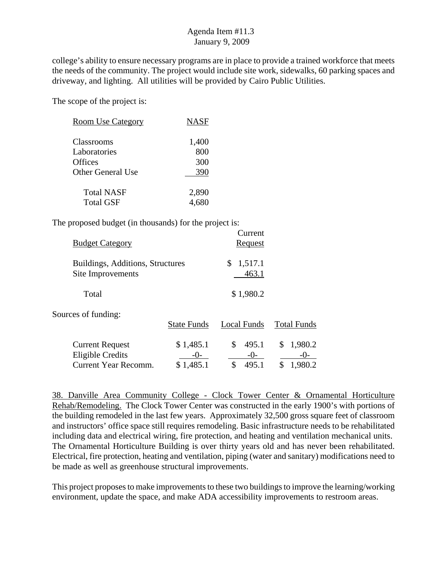college's ability to ensure necessary programs are in place to provide a trained workforce that meets the needs of the community. The project would include site work, sidewalks, 60 parking spaces and driveway, and lighting. All utilities will be provided by Cairo Public Utilities.

The scope of the project is:

| <b>Room Use Category</b> | <b>NASF</b> |
|--------------------------|-------------|
| Classrooms               | 1,400       |
| Laboratories             | 800         |
| <b>Offices</b>           | 300         |
| Other General Use        | 390         |
| <b>Total NASF</b>        | 2,890       |
| <b>Total GSF</b>         | 4.680       |

The proposed budget (in thousands) for the project is:

| <b>Budget Category</b>                                |                    | Current<br>Request     |                    |
|-------------------------------------------------------|--------------------|------------------------|--------------------|
| Buildings, Additions, Structures<br>Site Improvements |                    | 1,517.1<br>\$<br>463.1 |                    |
| Total                                                 |                    | \$1,980.2              |                    |
| Sources of funding:                                   | <b>State Funds</b> | <b>Local Funds</b>     | <b>Total Funds</b> |
| <b>Current Request</b><br><b>Eligible Credits</b>     | \$1,485.1<br>-()-  | 495.1<br>\$<br>$-()$   | 1,980.2<br>\$      |
| Current Year Recomm.                                  | \$1,485.1          | 495.1<br>\$            | \$<br>1,980.2      |

38. Danville Area Community College - Clock Tower Center & Ornamental Horticulture Rehab/Remodeling. The Clock Tower Center was constructed in the early 1900's with portions of the building remodeled in the last few years. Approximately 32,500 gross square feet of classroom and instructors' office space still requires remodeling. Basic infrastructure needs to be rehabilitated including data and electrical wiring, fire protection, and heating and ventilation mechanical units. The Ornamental Horticulture Building is over thirty years old and has never been rehabilitated. Electrical, fire protection, heating and ventilation, piping (water and sanitary) modifications need to be made as well as greenhouse structural improvements.

This project proposes to make improvements to these two buildings to improve the learning/working environment, update the space, and make ADA accessibility improvements to restroom areas.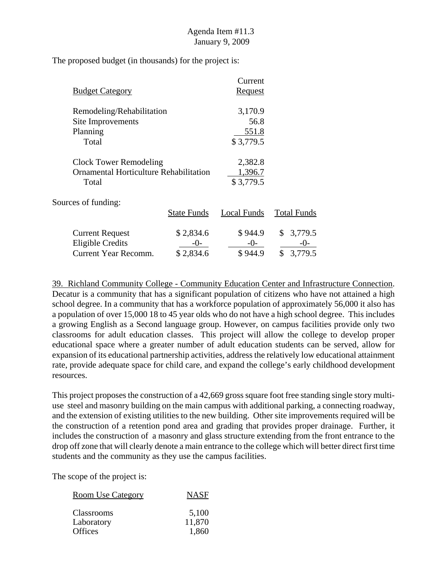The proposed budget (in thousands) for the project is:

|                                               |                    | Current        |                    |
|-----------------------------------------------|--------------------|----------------|--------------------|
| <b>Budget Category</b>                        |                    | <u>Request</u> |                    |
| Remodeling/Rehabilitation                     |                    | 3,170.9        |                    |
| Site Improvements                             |                    | 56.8           |                    |
| Planning                                      |                    | <u>551.8</u>   |                    |
| Total                                         |                    | \$3,779.5      |                    |
| <b>Clock Tower Remodeling</b>                 |                    | 2,382.8        |                    |
| <b>Ornamental Horticulture Rehabilitation</b> |                    | 1,396.7        |                    |
| Total                                         |                    | \$3,779.5      |                    |
| Sources of funding:                           |                    |                |                    |
|                                               | <b>State Funds</b> | Local Funds    | <b>Total Funds</b> |
| <b>Current Request</b>                        | \$2,834.6          | \$944.9        | 3,779.5<br>S.      |
| <b>Eligible Credits</b>                       | -()-               | $-()$          |                    |
| <b>Current Year Recomm.</b>                   | \$2,834.6          | \$944.9        | \$<br>3,779.5      |

39. Richland Community College - Community Education Center and Infrastructure Connection. Decatur is a community that has a significant population of citizens who have not attained a high school degree. In a community that has a workforce population of approximately 56,000 it also has a population of over 15,000 18 to 45 year olds who do not have a high school degree. This includes a growing English as a Second language group. However, on campus facilities provide only two classrooms for adult education classes. This project will allow the college to develop proper educational space where a greater number of adult education students can be served, allow for expansion of its educational partnership activities, address the relatively low educational attainment rate, provide adequate space for child care, and expand the college's early childhood development resources.

This project proposes the construction of a 42,669 gross square foot free standing single story multiuse steel and masonry building on the main campus with additional parking, a connecting roadway, and the extension of existing utilities to the new building. Other site improvements required will be the construction of a retention pond area and grading that provides proper drainage. Further, it includes the construction of a masonry and glass structure extending from the front entrance to the drop off zone that will clearly denote a main entrance to the college which will better direct first time students and the community as they use the campus facilities.

| <b>Room Use Category</b> | <b>NASF</b> |
|--------------------------|-------------|
| <b>Classrooms</b>        | 5,100       |
| Laboratory               | 11,870      |
| <b>Offices</b>           | 1,860       |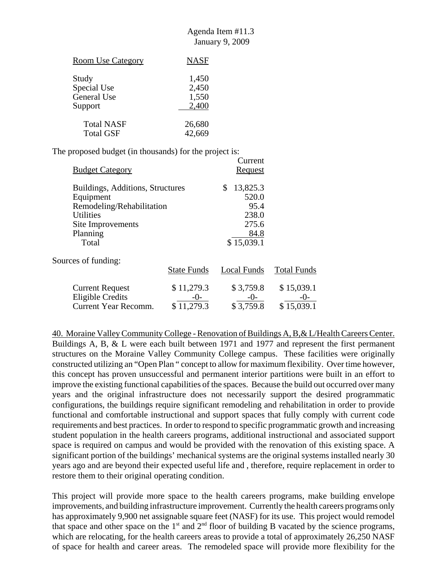| <b>Room Use Category</b> | <b>NASF</b> |
|--------------------------|-------------|
| Study                    | 1,450       |
| Special Use              | 2,450       |
| <b>General Use</b>       | 1,550       |
| Support                  | 2,400       |
| <b>Total NASF</b>        | 26,680      |
| <b>Total GSF</b>         | 42.669      |

The proposed budget (in thousands) for the project is:

| <b>Budget Category</b>                          |                        | Current<br><b>Request</b> |                    |
|-------------------------------------------------|------------------------|---------------------------|--------------------|
| Buildings, Additions, Structures                |                        | 13,825.3<br>\$<br>520.0   |                    |
| Equipment<br>Remodeling/Rehabilitation          |                        | 95.4                      |                    |
| <b>Utilities</b><br>Site Improvements           |                        | 238.0<br>275.6            |                    |
| Planning<br>Total                               |                        | 84.8<br>\$15,039.1        |                    |
| Sources of funding:                             |                        |                           |                    |
|                                                 | <b>State Funds</b>     | Local Funds               | <b>Total Funds</b> |
| <b>Current Request</b>                          | \$11,279.3             | \$3,759.8                 | \$15,039.1         |
| <b>Eligible Credits</b><br>Current Year Recomm. | -()-<br>11.279.3<br>\$ | $-()$<br>\$3.759.8        | -()-<br>\$15,039.1 |

40. Moraine Valley Community College - Renovation of Buildings A, B,& L/Health Careers Center. Buildings A, B, & L were each built between 1971 and 1977 and represent the first permanent structures on the Moraine Valley Community College campus. These facilities were originally constructed utilizing an "Open Plan " concept to allow for maximum flexibility. Over time however, this concept has proven unsuccessful and permanent interior partitions were built in an effort to improve the existing functional capabilities of the spaces. Because the build out occurred over many years and the original infrastructure does not necessarily support the desired programmatic configurations, the buildings require significant remodeling and rehabilitation in order to provide functional and comfortable instructional and support spaces that fully comply with current code requirements and best practices. In order to respond to specific programmatic growth and increasing student population in the health careers programs, additional instructional and associated support space is required on campus and would be provided with the renovation of this existing space. A significant portion of the buildings' mechanical systems are the original systems installed nearly 30 years ago and are beyond their expected useful life and , therefore, require replacement in order to restore them to their original operating condition.

This project will provide more space to the health careers programs, make building envelope improvements, and building infrastructure improvement. Currently the health careers programs only has approximately 9,900 net assignable square feet (NASF) for its use. This project would remodel that space and other space on the  $1<sup>st</sup>$  and  $2<sup>nd</sup>$  floor of building B vacated by the science programs, which are relocating, for the health careers areas to provide a total of approximately 26,250 NASF of space for health and career areas. The remodeled space will provide more flexibility for the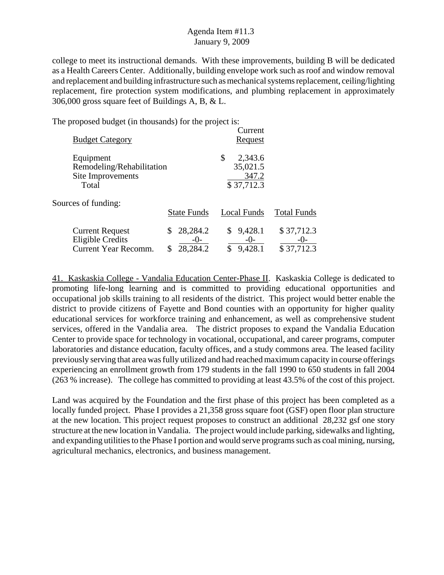college to meet its instructional demands. With these improvements, building B will be dedicated as a Health Careers Center. Additionally, building envelope work such as roof and window removal and replacement and building infrastructure such as mechanical systems replacement, ceiling/lighting replacement, fire protection system modifications, and plumbing replacement in approximately 306,000 gross square feet of Buildings A, B, & L.

The proposed budget (in thousands) for the project is:

| <b>Budget Category</b>                                                           |                               | Current<br>Request                               |                                     |
|----------------------------------------------------------------------------------|-------------------------------|--------------------------------------------------|-------------------------------------|
| Equipment<br>Remodeling/Rehabilitation<br>Site Improvements<br>Total             |                               | \$<br>2,343.6<br>35,021.5<br>347.2<br>\$37,712.3 |                                     |
| Sources of funding:                                                              | <b>State Funds</b>            | Local Funds                                      | <b>Total Funds</b>                  |
| <b>Current Request</b><br><b>Eligible Credits</b><br><b>Current Year Recomm.</b> | 28,284.2<br>$-()$<br>28,284.2 | 9,428.1<br>$-0-$<br>9,428.1                      | \$37,712.3<br>$-()$ -<br>\$37,712.3 |

41. Kaskaskia College - Vandalia Education Center-Phase II. Kaskaskia College is dedicated to promoting life-long learning and is committed to providing educational opportunities and occupational job skills training to all residents of the district. This project would better enable the district to provide citizens of Fayette and Bond counties with an opportunity for higher quality educational services for workforce training and enhancement, as well as comprehensive student services, offered in the Vandalia area. The district proposes to expand the Vandalia Education Center to provide space for technology in vocational, occupational, and career programs, computer laboratories and distance education, faculty offices, and a study commons area. The leased facility previously serving that area was fully utilized and had reached maximum capacity in course offerings experiencing an enrollment growth from 179 students in the fall 1990 to 650 students in fall 2004 (263 % increase). The college has committed to providing at least 43.5% of the cost of this project.

Land was acquired by the Foundation and the first phase of this project has been completed as a locally funded project. Phase I provides a 21,358 gross square foot (GSF) open floor plan structure at the new location. This project request proposes to construct an additional 28,232 gsf one story structure at the new location in Vandalia. The project would include parking, sidewalks and lighting, and expanding utilities to the Phase I portion and would serve programs such as coal mining, nursing, agricultural mechanics, electronics, and business management.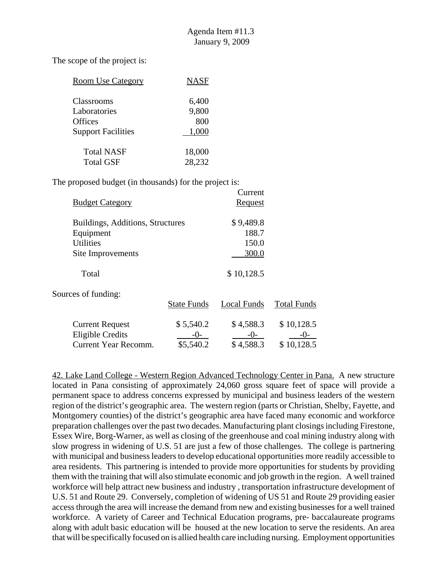The scope of the project is:

| <b>Room Use Category</b>  | <b>NASF</b> |
|---------------------------|-------------|
| Classrooms                | 6,400       |
| Laboratories              | 9,800       |
| <b>Offices</b>            | 800         |
| <b>Support Facilities</b> | 1,000       |
| <b>Total NASF</b>         | 18,000      |
| <b>Total GSF</b>          | 28,232      |

The proposed budget (in thousands) for the project is:

|                                  |                    | Current        |                    |
|----------------------------------|--------------------|----------------|--------------------|
| <b>Budget Category</b>           |                    | <b>Request</b> |                    |
| Buildings, Additions, Structures |                    | \$9,489.8      |                    |
| Equipment                        |                    | 188.7          |                    |
| <b>Utilities</b>                 |                    | 150.0          |                    |
| Site Improvements                |                    | 300.0          |                    |
| Total                            |                    | \$10,128.5     |                    |
| Sources of funding:              | <b>State Funds</b> | Local Funds    | <b>Total Funds</b> |
|                                  |                    |                |                    |
| <b>Current Request</b>           | \$5,540.2          | \$4,588.3      | \$10,128.5         |
| <b>Eligible Credits</b>          | -0-                | $-0-$          | $-()$ -            |
| Current Year Recomm.             | \$5,540.2          | \$4,588.3      | \$10,128.5         |

42. Lake Land College - Western Region Advanced Technology Center in Pana. A new structure located in Pana consisting of approximately 24,060 gross square feet of space will provide a permanent space to address concerns expressed by municipal and business leaders of the western region of the district's geographic area. The western region (parts or Christian, Shelby, Fayette, and Montgomery counties) of the district's geographic area have faced many economic and workforce preparation challenges over the past two decades. Manufacturing plant closings including Firestone, Essex Wire, Borg-Warner, as well as closing of the greenhouse and coal mining industry along with slow progress in widening of U.S. 51 are just a few of those challenges. The college is partnering with municipal and business leaders to develop educational opportunities more readily accessible to area residents. This partnering is intended to provide more opportunities for students by providing them with the training that will also stimulate economic and job growth in the region. A well trained workforce will help attract new business and industry , transportation infrastructure development of U.S. 51 and Route 29. Conversely, completion of widening of US 51 and Route 29 providing easier access through the area will increase the demand from new and existing businesses for a well trained workforce. A variety of Career and Technical Education programs, pre- baccalaureate programs along with adult basic education will be housed at the new location to serve the residents. An area that will be specifically focused on is allied health care including nursing. Employment opportunities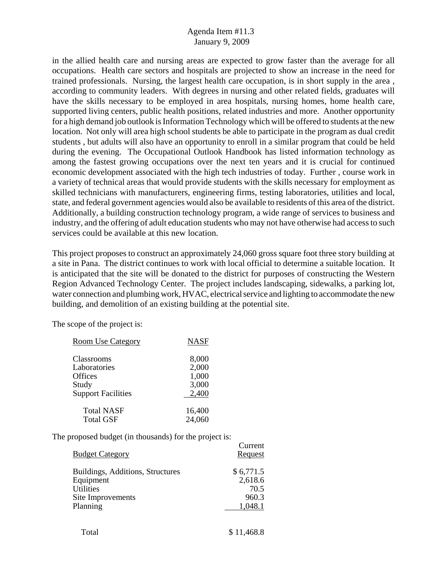in the allied health care and nursing areas are expected to grow faster than the average for all occupations. Health care sectors and hospitals are projected to show an increase in the need for trained professionals. Nursing, the largest health care occupation, is in short supply in the area , according to community leaders. With degrees in nursing and other related fields, graduates will have the skills necessary to be employed in area hospitals, nursing homes, home health care, supported living centers, public health positions, related industries and more. Another opportunity for a high demand job outlook is Information Technology which will be offered to students at the new location. Not only will area high school students be able to participate in the program as dual credit students , but adults will also have an opportunity to enroll in a similar program that could be held during the evening. The Occupational Outlook Handbook has listed information technology as among the fastest growing occupations over the next ten years and it is crucial for continued economic development associated with the high tech industries of today. Further , course work in a variety of technical areas that would provide students with the skills necessary for employment as skilled technicians with manufacturers, engineering firms, testing laboratories, utilities and local, state, and federal government agencies would also be available to residents of this area of the district. Additionally, a building construction technology program, a wide range of services to business and industry, and the offering of adult education students who may not have otherwise had access to such services could be available at this new location.

This project proposes to construct an approximately 24,060 gross square foot three story building at a site in Pana. The district continues to work with local official to determine a suitable location. It is anticipated that the site will be donated to the district for purposes of constructing the Western Region Advanced Technology Center. The project includes landscaping, sidewalks, a parking lot, water connection and plumbing work, HVAC, electrical service and lighting to accommodate the new building, and demolition of an existing building at the potential site.

 $\sim$ 

The scope of the project is:

| <b>Room Use Category</b>  | <b>NASF</b> |
|---------------------------|-------------|
| Classrooms                | 8,000       |
| Laboratories              | 2,000       |
| Offices                   | 1,000       |
| Study                     | 3,000       |
| <b>Support Facilities</b> | 2,400       |
| <b>Total NASF</b>         | 16,400      |
| <b>Total GSF</b>          | 24,060      |

| <b>Budget Category</b>           | Current<br>Request |
|----------------------------------|--------------------|
| Buildings, Additions, Structures | \$6,771.5          |
| Equipment                        | 2,618.6            |
| <b>Utilities</b>                 | 70.5               |
| Site Improvements                | 960.3              |
| Planning                         | 1,048.1            |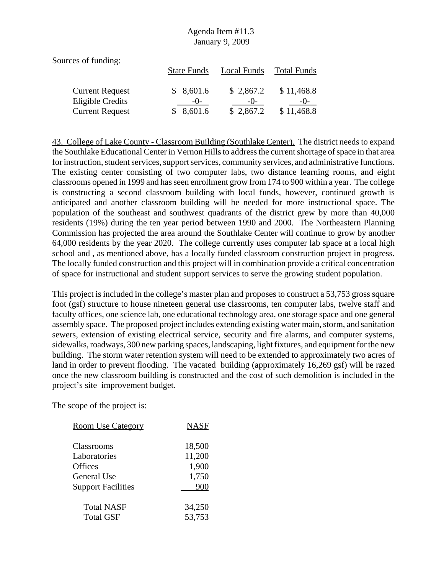Sources of funding:

|                        | <b>State Funds</b> | Local Funds | <b>Total Funds</b> |
|------------------------|--------------------|-------------|--------------------|
| <b>Current Request</b> | \$8,601.6          | \$2,867.2   | \$11,468.8         |
| Eligible Credits       | $-()$              | $-()$       | $-()$              |
| <b>Current Request</b> | \$8,601.6          | \$2,867.2   | \$11,468.8         |

43. College of Lake County - Classroom Building (Southlake Center). The district needs to expand the Southlake Educational Center in Vernon Hills to address the current shortage of space in that area for instruction, student services, support services, community services, and administrative functions. The existing center consisting of two computer labs, two distance learning rooms, and eight classrooms opened in 1999 and has seen enrollment grow from 174 to 900 within a year. The college is constructing a second classroom building with local funds, however, continued growth is anticipated and another classroom building will be needed for more instructional space. The population of the southeast and southwest quadrants of the district grew by more than 40,000 residents (19%) during the ten year period between 1990 and 2000. The Northeastern Planning Commission has projected the area around the Southlake Center will continue to grow by another 64,000 residents by the year 2020. The college currently uses computer lab space at a local high school and , as mentioned above, has a locally funded classroom construction project in progress. The locally funded construction and this project will in combination provide a critical concentration of space for instructional and student support services to serve the growing student population.

This project is included in the college's master plan and proposes to construct a 53,753 gross square foot (gsf) structure to house nineteen general use classrooms, ten computer labs, twelve staff and faculty offices, one science lab, one educational technology area, one storage space and one general assembly space. The proposed project includes extending existing water main, storm, and sanitation sewers, extension of existing electrical service, security and fire alarms, and computer systems, sidewalks, roadways, 300 new parking spaces, landscaping, light fixtures, and equipment for the new building. The storm water retention system will need to be extended to approximately two acres of land in order to prevent flooding. The vacated building (approximately 16,269 gsf) will be razed once the new classroom building is constructed and the cost of such demolition is included in the project's site improvement budget.

| <b>Room Use Category</b>  | <b>NASF</b> |
|---------------------------|-------------|
|                           |             |
| Classrooms                | 18,500      |
| Laboratories              | 11,200      |
| Offices                   | 1,900       |
| General Use               | 1,750       |
| <b>Support Facilities</b> | 900         |
|                           |             |
| <b>Total NASF</b>         | 34,250      |
| <b>Total GSF</b>          | 53,753      |
|                           |             |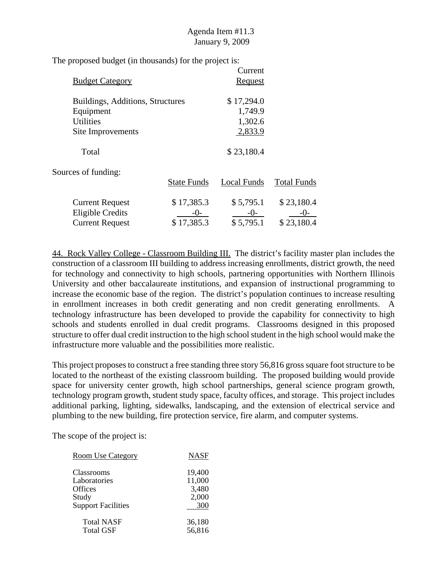The proposed budget (in thousands) for the project is:

|                                  |                    | Current        |                    |
|----------------------------------|--------------------|----------------|--------------------|
| <b>Budget Category</b>           |                    | <b>Request</b> |                    |
| Buildings, Additions, Structures |                    | \$17,294.0     |                    |
| Equipment                        |                    | 1,749.9        |                    |
| <b>Utilities</b>                 |                    | 1,302.6        |                    |
| Site Improvements                |                    | 2,833.9        |                    |
| Total                            |                    | \$23,180.4     |                    |
| Sources of funding:              |                    |                |                    |
|                                  | <b>State Funds</b> | Local Funds    | <b>Total Funds</b> |
| <b>Current Request</b>           | \$17,385.3         | \$5,795.1      | \$23,180.4         |
| <b>Eligible Credits</b>          | $-()$ -            | $-()$          | $-()$              |
| <b>Current Request</b>           | \$17,385.3         | \$5,795.1      | \$23,180.4         |

44. Rock Valley College - Classroom Building III. The district's facility master plan includes the construction of a classroom III building to address increasing enrollments, district growth, the need for technology and connectivity to high schools, partnering opportunities with Northern Illinois University and other baccalaureate institutions, and expansion of instructional programming to increase the economic base of the region. The district's population continues to increase resulting in enrollment increases in both credit generating and non credit generating enrollments. A technology infrastructure has been developed to provide the capability for connectivity to high schools and students enrolled in dual credit programs. Classrooms designed in this proposed structure to offer dual credit instruction to the high school student in the high school would make the infrastructure more valuable and the possibilities more realistic.

This project proposes to construct a free standing three story 56,816 gross square foot structure to be located to the northeast of the existing classroom building. The proposed building would provide space for university center growth, high school partnerships, general science program growth, technology program growth, student study space, faculty offices, and storage. This project includes additional parking, lighting, sidewalks, landscaping, and the extension of electrical service and plumbing to the new building, fire protection service, fire alarm, and computer systems.

| <b>Room Use Category</b>  | NASF   |
|---------------------------|--------|
| Classrooms                | 19,400 |
| Laboratories              | 11,000 |
| <b>Offices</b>            | 3,480  |
| Study                     | 2,000  |
| <b>Support Facilities</b> | 300    |
| <b>Total NASF</b>         | 36,180 |
| <b>Total GSF</b>          | 56,816 |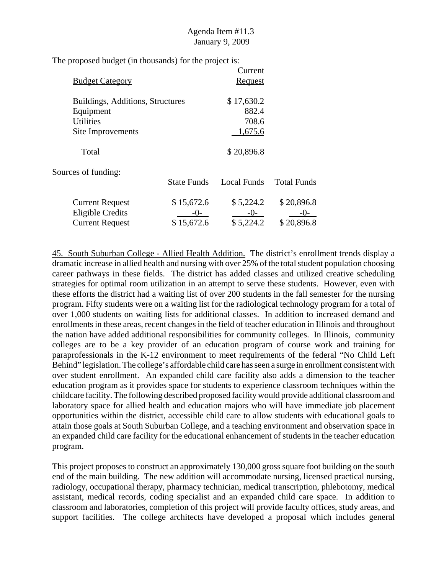The proposed budget (in thousands) for the project is:

|                                  | Current        |                    |
|----------------------------------|----------------|--------------------|
|                                  | <b>Request</b> |                    |
| Buildings, Additions, Structures | \$17,630.2     |                    |
|                                  | 882.4          |                    |
|                                  | 708.6          |                    |
|                                  | 1,675.6        |                    |
|                                  | \$20,896.8     |                    |
|                                  |                |                    |
| <b>State Funds</b>               | Local Funds    | <b>Total Funds</b> |
| \$15,672.6                       | \$5,224.2      | \$20,896.8         |
| $-()$ -                          | $-()$          | $-()$ -            |
| \$15,672.6                       | \$5,224.2      | \$20,896.8         |
|                                  |                |                    |

45. South Suburban College - Allied Health Addition. The district's enrollment trends display a dramatic increase in allied health and nursing with over 25% of the total student population choosing career pathways in these fields. The district has added classes and utilized creative scheduling strategies for optimal room utilization in an attempt to serve these students. However, even with these efforts the district had a waiting list of over 200 students in the fall semester for the nursing program. Fifty students were on a waiting list for the radiological technology program for a total of over 1,000 students on waiting lists for additional classes. In addition to increased demand and enrollments in these areas, recent changes in the field of teacher education in Illinois and throughout the nation have added additional responsibilities for community colleges. In Illinois, community colleges are to be a key provider of an education program of course work and training for paraprofessionals in the K-12 environment to meet requirements of the federal "No Child Left Behind" legislation. The college's affordable child care has seen a surge in enrollment consistent with over student enrollment. An expanded child care facility also adds a dimension to the teacher education program as it provides space for students to experience classroom techniques within the childcare facility. The following described proposed facility would provide additional classroom and laboratory space for allied health and education majors who will have immediate job placement opportunities within the district, accessible child care to allow students with educational goals to attain those goals at South Suburban College, and a teaching environment and observation space in an expanded child care facility for the educational enhancement of students in the teacher education program.

This project proposes to construct an approximately 130,000 gross square foot building on the south end of the main building. The new addition will accommodate nursing, licensed practical nursing, radiology, occupational therapy, pharmacy technician, medical transcription, phlebotomy, medical assistant, medical records, coding specialist and an expanded child care space. In addition to classroom and laboratories, completion of this project will provide faculty offices, study areas, and support facilities. The college architects have developed a proposal which includes general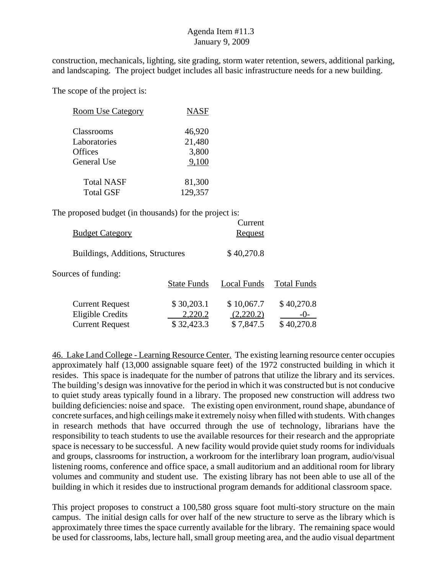construction, mechanicals, lighting, site grading, storm water retention, sewers, additional parking, and landscaping. The project budget includes all basic infrastructure needs for a new building.

The scope of the project is:

| <b>Room Use Category</b> | <b>NASF</b> |
|--------------------------|-------------|
| Classrooms               | 46,920      |
| Laboratories             | 21,480      |
| <b>Offices</b>           | 3,800       |
| General Use              | 9,100       |
| <b>Total NASF</b>        | 81,300      |
| <b>Total GSF</b>         | 129,357     |

The proposed budget (in thousands) for the project is:

| <b>Budget Category</b>                                                      |                                     | Current<br>Request                   |                                     |
|-----------------------------------------------------------------------------|-------------------------------------|--------------------------------------|-------------------------------------|
| Buildings, Additions, Structures                                            |                                     | \$40,270.8                           |                                     |
| Sources of funding:                                                         | <b>State Funds</b>                  | Local Funds                          | <b>Total Funds</b>                  |
| <b>Current Request</b><br><b>Eligible Credits</b><br><b>Current Request</b> | \$30,203.1<br>2,220.2<br>\$32,423.3 | \$10,067.7<br>(2,220.2)<br>\$7,847.5 | \$40,270.8<br>$-()$ -<br>\$40,270.8 |

46. Lake Land College - Learning Resource Center. The existing learning resource center occupies approximately half (13,000 assignable square feet) of the 1972 constructed building in which it resides. This space is inadequate for the number of patrons that utilize the library and its services. The building's design was innovative for the period in which it was constructed but is not conducive to quiet study areas typically found in a library. The proposed new construction will address two building deficiencies: noise and space. The existing open environment, round shape, abundance of concrete surfaces, and high ceilings make it extremely noisy when filled with students. With changes in research methods that have occurred through the use of technology, librarians have the responsibility to teach students to use the available resources for their research and the appropriate space is necessary to be successful. A new facility would provide quiet study rooms for individuals and groups, classrooms for instruction, a workroom for the interlibrary loan program, audio/visual listening rooms, conference and office space, a small auditorium and an additional room for library volumes and community and student use. The existing library has not been able to use all of the building in which it resides due to instructional program demands for additional classroom space.

This project proposes to construct a 100,580 gross square foot multi-story structure on the main campus. The initial design calls for over half of the new structure to serve as the library which is approximately three times the space currently available for the library. The remaining space would be used for classrooms, labs, lecture hall, small group meeting area, and the audio visual department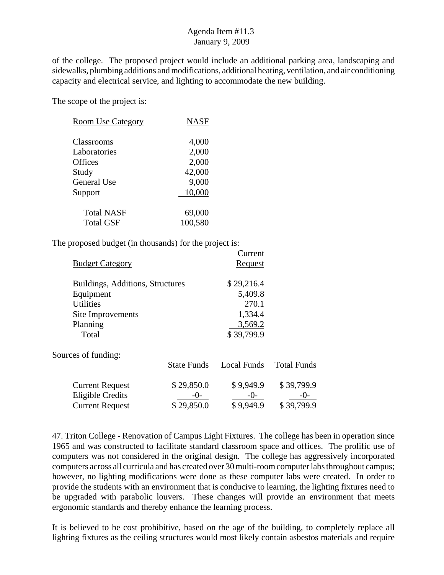of the college. The proposed project would include an additional parking area, landscaping and sidewalks, plumbing additions and modifications, additional heating, ventilation, and air conditioning capacity and electrical service, and lighting to accommodate the new building.

The scope of the project is:

| <b>Room Use Category</b> | <b>NASF</b> |
|--------------------------|-------------|
| Classrooms               | 4,000       |
| Laboratories             | 2,000       |
| Offices                  | 2,000       |
| Study                    | 42,000      |
| General Use              | 9,000       |
| Support                  | 10,000      |
| <b>Total NASF</b>        | 69,000      |
| <b>Total GSF</b>         | 100,580     |

The proposed budget (in thousands) for the project is:

|                                  |                    | Current        |                    |
|----------------------------------|--------------------|----------------|--------------------|
| <b>Budget Category</b>           |                    | <u>Request</u> |                    |
| Buildings, Additions, Structures |                    | \$29,216.4     |                    |
| Equipment                        |                    | 5,409.8        |                    |
| <b>Utilities</b>                 |                    | 270.1          |                    |
| Site Improvements                |                    | 1,334.4        |                    |
| Planning                         |                    | 3,569.2        |                    |
| Total                            |                    | \$39,799.9     |                    |
| Sources of funding:              |                    |                |                    |
|                                  | <b>State Funds</b> | Local Funds    | <b>Total Funds</b> |
| <b>Current Request</b>           | \$29,850.0         | \$9,949.9      | \$39,799.9         |
| <b>Eligible Credits</b>          | $-()$ -            | $-0-$          | $-()$ -            |
| <b>Current Request</b>           | \$29,850.0         | \$9,949.9      | \$39,799.9         |

47. Triton College - Renovation of Campus Light Fixtures. The college has been in operation since 1965 and was constructed to facilitate standard classroom space and offices. The prolific use of computers was not considered in the original design. The college has aggressively incorporated computers across all curricula and has created over 30 multi-room computer labs throughout campus; however, no lighting modifications were done as these computer labs were created. In order to provide the students with an environment that is conducive to learning, the lighting fixtures need to be upgraded with parabolic louvers. These changes will provide an environment that meets ergonomic standards and thereby enhance the learning process.

It is believed to be cost prohibitive, based on the age of the building, to completely replace all lighting fixtures as the ceiling structures would most likely contain asbestos materials and require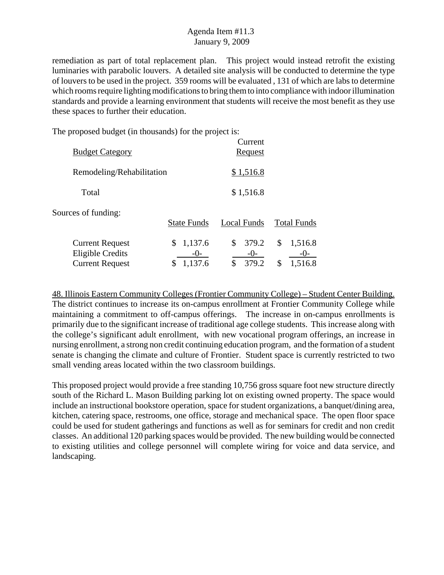remediation as part of total replacement plan. This project would instead retrofit the existing luminaries with parabolic louvers. A detailed site analysis will be conducted to determine the type of louvers to be used in the project. 359 rooms will be evaluated , 131 of which are labs to determine which rooms require lighting modifications to bring them to into compliance with indoor illumination standards and provide a learning environment that students will receive the most benefit as they use these spaces to further their education.

The proposed budget (in thousands) for the project is:

| <b>Budget Category</b>                                                      |                                           | Current<br><b>Request</b>           |                                         |
|-----------------------------------------------------------------------------|-------------------------------------------|-------------------------------------|-----------------------------------------|
| Remodeling/Rehabilitation                                                   |                                           | \$1,516.8                           |                                         |
| Total                                                                       |                                           | \$1,516.8                           |                                         |
| Sources of funding:                                                         | <b>State Funds</b>                        | Local Funds                         | <b>Total Funds</b>                      |
| <b>Current Request</b><br><b>Eligible Credits</b><br><b>Current Request</b> | 1,137.6<br>\$<br>$-()$ -<br>1,137.6<br>\$ | \$<br>379.2<br>$-()$<br>\$<br>379.2 | \$<br>1,516.8<br>$-()$<br>1,516.8<br>\$ |

48. Illinois Eastern Community Colleges (Frontier Community College) – Student Center Building. The district continues to increase its on-campus enrollment at Frontier Community College while maintaining a commitment to off-campus offerings. The increase in on-campus enrollments is primarily due to the significant increase of traditional age college students. This increase along with the college's significant adult enrollment, with new vocational program offerings, an increase in nursing enrollment, a strong non credit continuing education program, and the formation of a student senate is changing the climate and culture of Frontier. Student space is currently restricted to two small vending areas located within the two classroom buildings.

This proposed project would provide a free standing 10,756 gross square foot new structure directly south of the Richard L. Mason Building parking lot on existing owned property. The space would include an instructional bookstore operation, space for student organizations, a banquet/dining area, kitchen, catering space, restrooms, one office, storage and mechanical space. The open floor space could be used for student gatherings and functions as well as for seminars for credit and non credit classes. An additional 120 parking spaces would be provided. The new building would be connected to existing utilities and college personnel will complete wiring for voice and data service, and landscaping.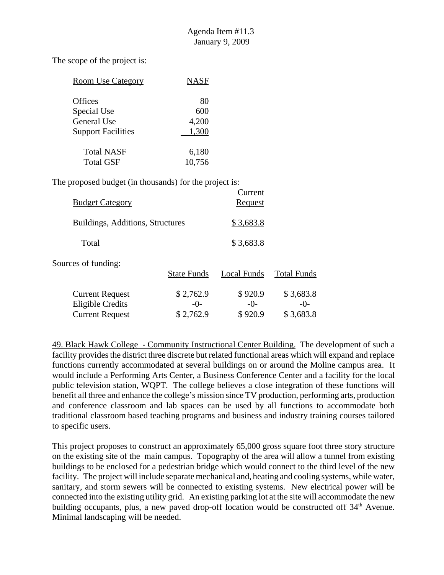The scope of the project is:

| <b>Room Use Category</b>  | <b>NASF</b> |
|---------------------------|-------------|
| <b>Offices</b>            | 80          |
| Special Use               | 600         |
| General Use               | 4,200       |
| <b>Support Facilities</b> | 1.300       |
| <b>Total NASF</b>         | 6,180       |
| Total GSF                 | 10,756      |

The proposed budget (in thousands) for the project is:

| <b>Budget Category</b>                                                      |                                 | Current<br><u>Request</u>   |                                 |
|-----------------------------------------------------------------------------|---------------------------------|-----------------------------|---------------------------------|
| Buildings, Additions, Structures                                            |                                 | \$3,683.8                   |                                 |
| Total                                                                       |                                 | \$3,683.8                   |                                 |
| Sources of funding:                                                         | <b>State Funds</b>              | Local Funds                 | <b>Total Funds</b>              |
| <b>Current Request</b><br><b>Eligible Credits</b><br><b>Current Request</b> | \$2,762.9<br>$-()$<br>\$2,762.9 | \$920.9<br>$-()$<br>\$920.9 | \$3,683.8<br>$-()$<br>\$3,683.8 |

49. Black Hawk College - Community Instructional Center Building. The development of such a facility provides the district three discrete but related functional areas which will expand and replace functions currently accommodated at several buildings on or around the Moline campus area. It would include a Performing Arts Center, a Business Conference Center and a facility for the local public television station, WQPT. The college believes a close integration of these functions will benefit all three and enhance the college's mission since TV production, performing arts, production and conference classroom and lab spaces can be used by all functions to accommodate both traditional classroom based teaching programs and business and industry training courses tailored to specific users.

This project proposes to construct an approximately 65,000 gross square foot three story structure on the existing site of the main campus. Topography of the area will allow a tunnel from existing buildings to be enclosed for a pedestrian bridge which would connect to the third level of the new facility. The project will include separate mechanical and, heating and cooling systems, while water, sanitary, and storm sewers will be connected to existing systems. New electrical power will be connected into the existing utility grid. An existing parking lot at the site will accommodate the new building occupants, plus, a new paved drop-off location would be constructed off 34<sup>th</sup> Avenue. Minimal landscaping will be needed.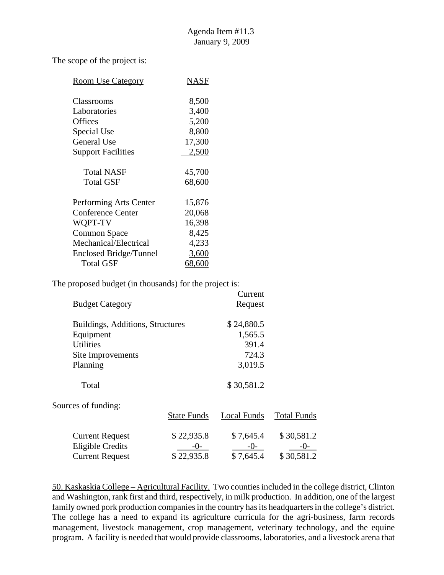The scope of the project is:

| <b>Room Use Category</b>  | NASF   |
|---------------------------|--------|
|                           |        |
| Classrooms                | 8,500  |
| Laboratories              | 3,400  |
| <b>Offices</b>            | 5,200  |
| Special Use               | 8,800  |
| General Use               | 17,300 |
| <b>Support Facilities</b> | 2,500  |
|                           |        |
| Total NASF                | 45,700 |
| <b>Total GSF</b>          | 68,600 |
|                           |        |
| Performing Arts Center    | 15,876 |
| <b>Conference Center</b>  | 20,068 |
| WQPT-TV                   | 16,398 |
| <b>Common Space</b>       | 8,425  |
| Mechanical/Electrical     | 4,233  |
| Enclosed Bridge/Tunnel    | 3,600  |
| <b>Total GSF</b>          | 68,600 |

The proposed budget (in thousands) for the project is:

|                                  |                    | Current        |                    |
|----------------------------------|--------------------|----------------|--------------------|
| <b>Budget Category</b>           |                    | <b>Request</b> |                    |
| Buildings, Additions, Structures |                    | \$24,880.5     |                    |
| Equipment                        |                    | 1,565.5        |                    |
| <b>Utilities</b>                 |                    | 391.4          |                    |
| Site Improvements                |                    | 724.3          |                    |
| Planning                         |                    | 3,019.5        |                    |
| Total                            |                    | \$30,581.2     |                    |
| Sources of funding:              |                    |                |                    |
|                                  | <b>State Funds</b> | Local Funds    | <b>Total Funds</b> |
| <b>Current Request</b>           | \$22,935.8         | \$7,645.4      | \$30,581.2         |
| <b>Eligible Credits</b>          | $-()$              | $-()$          | -0-                |
| <b>Current Request</b>           | \$22,935.8         | \$7,645.4      | \$30,581.2         |

50. Kaskaskia College – Agricultural Facility. Two counties included in the college district, Clinton and Washington, rank first and third, respectively, in milk production. In addition, one of the largest family owned pork production companies in the country has its headquarters in the college's district. The college has a need to expand its agriculture curricula for the agri-business, farm records management, livestock management, crop management, veterinary technology, and the equine program. A facility is needed that would provide classrooms, laboratories, and a livestock arena that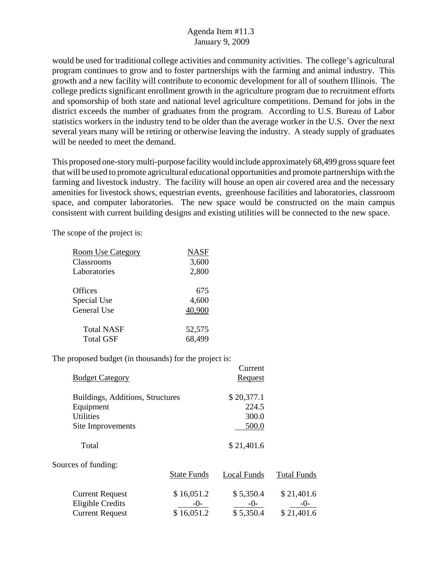would be used for traditional college activities and community activities. The college's agricultural program continues to grow and to foster partnerships with the farming and animal industry. This growth and a new facility will contribute to economic development for all of southern Illinois. The college predicts significant enrollment growth in the agriculture program due to recruitment efforts and sponsorship of both state and national level agriculture competitions. Demand for jobs in the district exceeds the number of graduates from the program. According to U.S. Bureau of Labor statistics workers in the industry tend to be older than the average worker in the U.S. Over the next several years many will be retiring or otherwise leaving the industry. A steady supply of graduates will be needed to meet the demand.

This proposed one-story multi-purpose facility would include approximately 68,499 gross square feet that will be used to promote agricultural educational opportunities and promote partnerships with the farming and livestock industry. The facility will house an open air covered area and the necessary amenities for livestock shows, equestrian events, greenhouse facilities and laboratories, classroom space, and computer laboratories. The new space would be constructed on the main campus consistent with current building designs and existing utilities will be connected to the new space.

The scope of the project is:

| <b>Room Use Category</b> | <b>NASF</b> |
|--------------------------|-------------|
| Classrooms               | 3,600       |
| Laboratories             | 2,800       |
| Offices                  | 675         |
| Special Use              | 4,600       |
| General Use              | 40,900      |
| <b>Total NASF</b>        | 52,575      |
| <b>Total GSF</b>         | 68,499      |

|                                                   |                     | Current              |                       |
|---------------------------------------------------|---------------------|----------------------|-----------------------|
| <b>Budget Category</b>                            |                     | Request              |                       |
|                                                   |                     |                      |                       |
| Buildings, Additions, Structures                  |                     | \$20,377.1           |                       |
| Equipment                                         |                     | 224.5                |                       |
| <b>Utilities</b>                                  |                     | 300.0                |                       |
| Site Improvements                                 |                     | 500.0                |                       |
| Total                                             |                     | \$21,401.6           |                       |
| Sources of funding:                               |                     |                      |                       |
|                                                   | <b>State Funds</b>  | <b>Local Funds</b>   | <b>Total Funds</b>    |
| <b>Current Request</b><br><b>Eligible Credits</b> | \$16,051.2<br>$-()$ | \$5,350.4<br>$-()$ - | \$21,401.6<br>$-()$ - |
| <b>Current Request</b>                            | \$16,051.2          | \$5,350.4            | \$21,401.6            |
|                                                   |                     |                      |                       |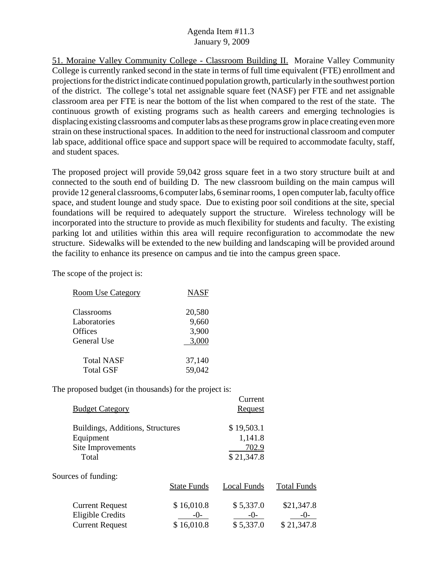51. Moraine Valley Community College - Classroom Building II. Moraine Valley Community College is currently ranked second in the state in terms of full time equivalent (FTE) enrollment and projections for the district indicate continued population growth, particularly in the southwest portion of the district. The college's total net assignable square feet (NASF) per FTE and net assignable classroom area per FTE is near the bottom of the list when compared to the rest of the state. The continuous growth of existing programs such as health careers and emerging technologies is displacing existing classrooms and computer labs as these programs grow in place creating even more strain on these instructional spaces. In addition to the need for instructional classroom and computer lab space, additional office space and support space will be required to accommodate faculty, staff, and student spaces.

The proposed project will provide 59,042 gross square feet in a two story structure built at and connected to the south end of building D. The new classroom building on the main campus will provide 12 general classrooms, 6 computer labs, 6 seminar rooms, 1 open computer lab, faculty office space, and student lounge and study space. Due to existing poor soil conditions at the site, special foundations will be required to adequately support the structure. Wireless technology will be incorporated into the structure to provide as much flexibility for students and faculty. The existing parking lot and utilities within this area will require reconfiguration to accommodate the new structure. Sidewalks will be extended to the new building and landscaping will be provided around the facility to enhance its presence on campus and tie into the campus green space.

The scope of the project is:

| <b>Room Use Category</b> | <b>NASF</b> |
|--------------------------|-------------|
| Classrooms               | 20,580      |
| Laboratories             | 9,660       |
| Offices                  | 3,900       |
| General Use              | 3,000       |
| <b>Total NASF</b>        | 37,140      |
| <b>Total GSF</b>         | 59,042      |

| <b>Budget Category</b>                                                      |                                  | Current<br>Request                           |                                     |
|-----------------------------------------------------------------------------|----------------------------------|----------------------------------------------|-------------------------------------|
| Buildings, Additions, Structures<br>Equipment<br>Site Improvements<br>Total |                                  | \$19,503.1<br>1,141.8<br>702.9<br>\$21,347.8 |                                     |
| Sources of funding:                                                         | <b>State Funds</b>               | <b>Local Funds</b>                           | <b>Total Funds</b>                  |
| <b>Current Request</b><br><b>Eligible Credits</b><br><b>Current Request</b> | \$16,010.8<br>-()-<br>\$16,010.8 | \$5,337.0<br>$-()$<br>\$5,337.0              | \$21,347.8<br>$-()$ -<br>\$21,347.8 |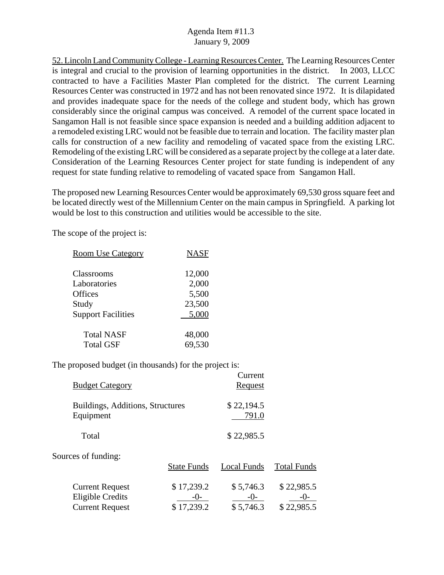52. Lincoln Land Community College - Learning Resources Center. The Learning Resources Center is integral and crucial to the provision of learning opportunities in the district. In 2003, LLCC contracted to have a Facilities Master Plan completed for the district. The current Learning Resources Center was constructed in 1972 and has not been renovated since 1972. It is dilapidated and provides inadequate space for the needs of the college and student body, which has grown considerably since the original campus was conceived. A remodel of the current space located in Sangamon Hall is not feasible since space expansion is needed and a building addition adjacent to a remodeled existing LRC would not be feasible due to terrain and location. The facility master plan calls for construction of a new facility and remodeling of vacated space from the existing LRC. Remodeling of the existing LRC will be considered as a separate project by the college at a later date. Consideration of the Learning Resources Center project for state funding is independent of any request for state funding relative to remodeling of vacated space from Sangamon Hall.

The proposed new Learning Resources Center would be approximately 69,530 gross square feet and be located directly west of the Millennium Center on the main campus in Springfield. A parking lot would be lost to this construction and utilities would be accessible to the site.

The scope of the project is:

| <b>Room Use Category</b>  | <b>NASF</b> |
|---------------------------|-------------|
|                           |             |
| Classrooms                | 12,000      |
| Laboratories              | 2,000       |
| Offices                   | 5,500       |
| Study                     | 23,500      |
| <b>Support Facilities</b> | 5,000       |
| <b>Total NASF</b>         | 48,000      |
| <b>Total GSF</b>          | 69,530      |

| <b>Budget Category</b>                                                      |                                     | Current<br><u>Request</u>       |                                     |
|-----------------------------------------------------------------------------|-------------------------------------|---------------------------------|-------------------------------------|
| Buildings, Additions, Structures<br>Equipment                               |                                     | \$22,194.5<br>791.0             |                                     |
| Total                                                                       |                                     | \$22,985.5                      |                                     |
| Sources of funding:                                                         | <b>State Funds</b>                  | Local Funds                     | <b>Total Funds</b>                  |
| <b>Current Request</b><br><b>Eligible Credits</b><br><b>Current Request</b> | \$17,239.2<br>$-()$ -<br>\$17,239.2 | \$5,746.3<br>$-0-$<br>\$5,746.3 | \$22,985.5<br>$-()$ -<br>\$22,985.5 |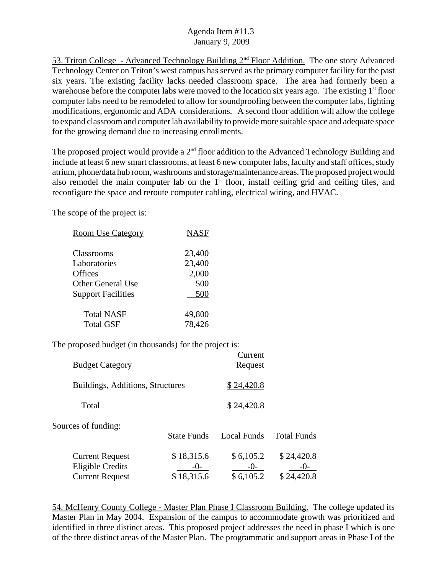53. Triton College - Advanced Technology Building 2nd Floor Addition. The one story Advanced Technology Center on Triton's west campus has served as the primary computer facility for the past six years. The existing facility lacks needed classroom space. The area had formerly been a warehouse before the computer labs were moved to the location six years ago. The existing  $1<sup>st</sup>$  floor computer labs need to be remodeled to allow for soundproofing between the computer labs, lighting modifications, ergonomic and ADA considerations. A second floor addition will allow the college to expand classroom and computer lab availability to provide more suitable space and adequate space for the growing demand due to increasing enrollments.

The proposed project would provide a  $2<sup>nd</sup>$  floor addition to the Advanced Technology Building and include at least 6 new smart classrooms, at least 6 new computer labs, faculty and staff offices, study atrium, phone/data hub room, washrooms and storage/maintenance areas. The proposed project would also remodel the main computer lab on the  $1<sup>st</sup>$  floor, install ceiling grid and ceiling tiles, and reconfigure the space and reroute computer cabling, electrical wiring, and HVAC.

The scope of the project is:

| <b>Room Use Category</b>  | <b>NASF</b> |
|---------------------------|-------------|
| Classrooms                | 23,400      |
| Laboratories              | 23,400      |
| Offices                   | 2,000       |
| <b>Other General Use</b>  | 500         |
| <b>Support Facilities</b> | 500         |
| Total NASF                | 49,800      |
| <b>Total GSF</b>          | 78,426      |

The proposed budget (in thousands) for the project is:

| <b>Budget Category</b>                                                      |                                     | Current<br><u>Request</u>       |                                     |
|-----------------------------------------------------------------------------|-------------------------------------|---------------------------------|-------------------------------------|
| Buildings, Additions, Structures                                            |                                     | \$24,420.8                      |                                     |
| Total                                                                       |                                     | \$24,420.8                      |                                     |
| Sources of funding:                                                         | <b>State Funds</b>                  | <b>Local Funds</b>              | <b>Total Funds</b>                  |
| <b>Current Request</b><br><b>Eligible Credits</b><br><b>Current Request</b> | \$18,315.6<br>$-()$ -<br>\$18,315.6 | \$6,105.2<br>$-()$<br>\$6,105.2 | \$24,420.8<br>$-()$ -<br>\$24,420.8 |

54. McHenry County College - Master Plan Phase I Classroom Building. The college updated its Master Plan in May 2004. Expansion of the campus to accommodate growth was prioritized and identified in three distinct areas. This proposed project addresses the need in phase I which is one of the three distinct areas of the Master Plan. The programmatic and support areas in Phase I of the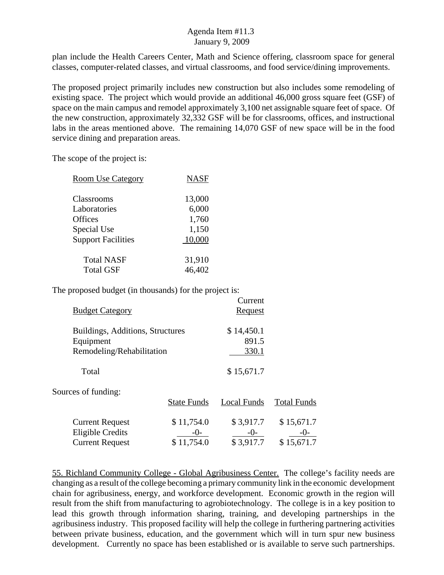plan include the Health Careers Center, Math and Science offering, classroom space for general classes, computer-related classes, and virtual classrooms, and food service/dining improvements.

The proposed project primarily includes new construction but also includes some remodeling of existing space. The project which would provide an additional 46,000 gross square feet (GSF) of space on the main campus and remodel approximately 3,100 net assignable square feet of space. Of the new construction, approximately 32,332 GSF will be for classrooms, offices, and instructional labs in the areas mentioned above. The remaining 14,070 GSF of new space will be in the food service dining and preparation areas.

The scope of the project is:

| <b>Room Use Category</b>  | <b>NASF</b> |
|---------------------------|-------------|
|                           |             |
| Classrooms                | 13,000      |
| Laboratories              | 6,000       |
| Offices                   | 1,760       |
| Special Use               | 1,150       |
| <b>Support Facilities</b> | 10,000      |
|                           |             |
| <b>Total NASF</b>         | 31,910      |
| <b>Total GSF</b>          | 46,402      |
|                           |             |

The proposed budget (in thousands) for the project is:

| <b>Budget Category</b>                                                      |                                 | Current<br><b>Request</b>       |                                  |
|-----------------------------------------------------------------------------|---------------------------------|---------------------------------|----------------------------------|
| Buildings, Additions, Structures<br>Equipment<br>Remodeling/Rehabilitation  |                                 | \$14,450.1<br>891.5<br>330.1    |                                  |
| Total                                                                       |                                 | \$15,671.7                      |                                  |
| Sources of funding:                                                         | <b>State Funds</b>              | Local Funds                     | <b>Total Funds</b>               |
| <b>Current Request</b><br><b>Eligible Credits</b><br><b>Current Request</b> | \$11,754.0<br>-0-<br>\$11,754.0 | \$3,917.7<br>$-0-$<br>\$3,917.7 | \$15,671.7<br>-()-<br>\$15,671.7 |

55. Richland Community College - Global Agribusiness Center. The college's facility needs are changing as a result of the college becoming a primary community link in the economic development chain for agribusiness, energy, and workforce development. Economic growth in the region will result from the shift from manufacturing to agrobiotechnology. The college is in a key position to lead this growth through information sharing, training, and developing partnerships in the agribusiness industry. This proposed facility will help the college in furthering partnering activities between private business, education, and the government which will in turn spur new business development. Currently no space has been established or is available to serve such partnerships.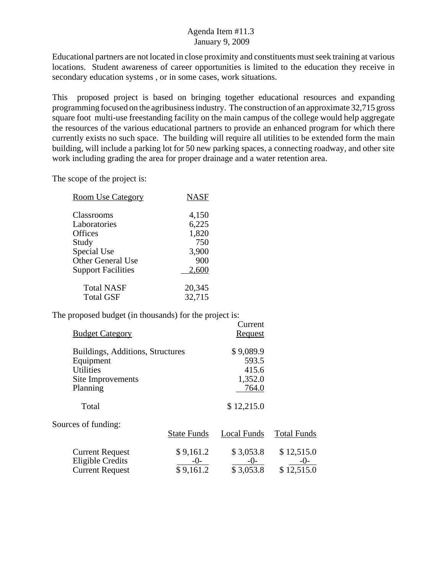Educational partners are not located in close proximity and constituents must seek training at various locations. Student awareness of career opportunities is limited to the education they receive in secondary education systems , or in some cases, work situations.

This proposed project is based on bringing together educational resources and expanding programming focused on the agribusiness industry. The construction of an approximate 32,715 gross square foot multi-use freestanding facility on the main campus of the college would help aggregate the resources of the various educational partners to provide an enhanced program for which there currently exists no such space. The building will require all utilities to be extended form the main building, will include a parking lot for 50 new parking spaces, a connecting roadway, and other site work including grading the area for proper drainage and a water retention area.

The scope of the project is:

| <b>Room Use Category</b>  | <b>NASF</b> |
|---------------------------|-------------|
| Classrooms                | 4,150       |
| Laboratories              | 6,225       |
| Offices                   | 1,820       |
| Study                     | 750         |
| Special Use               | 3,900       |
| <b>Other General Use</b>  | 900         |
| <b>Support Facilities</b> | 2,600       |
| <b>Total NASF</b>         | 20,345      |
| <b>Total GSF</b>          | 32,715      |

|                                  |                    | Current        |                    |
|----------------------------------|--------------------|----------------|--------------------|
| <b>Budget Category</b>           |                    | <b>Request</b> |                    |
| Buildings, Additions, Structures |                    | \$9,089.9      |                    |
| Equipment                        |                    | 593.5          |                    |
| <b>Utilities</b>                 |                    | 415.6          |                    |
| Site Improvements                |                    | 1,352.0        |                    |
| Planning                         |                    | 764.0          |                    |
| Total                            |                    | \$12,215.0     |                    |
| Sources of funding:              |                    |                |                    |
|                                  | <b>State Funds</b> | Local Funds    | <b>Total Funds</b> |
| <b>Current Request</b>           | \$9,161.2          | \$3,053.8      | \$12,515.0         |
| <b>Eligible Credits</b>          | $-0-$              | $-0-$          | $-0-$              |
| <b>Current Request</b>           | \$9,161.2          | \$3,053.8      | \$12,515.0         |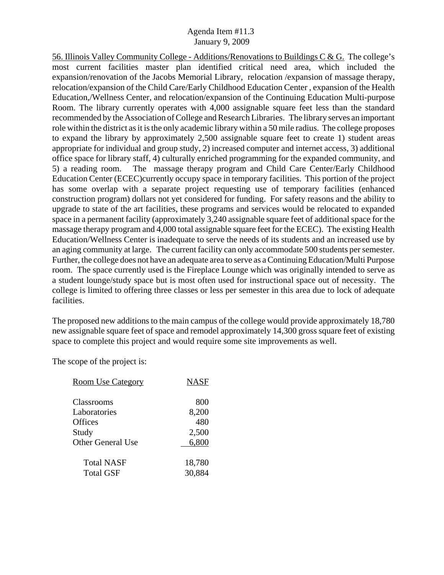56. Illinois Valley Community College - Additions/Renovations to Buildings C & G. The college's most current facilities master plan identified critical need area, which included the expansion/renovation of the Jacobs Memorial Library, relocation /expansion of massage therapy, relocation/expansion of the Child Care/Early Childhood Education Center , expansion of the Health Education,/Wellness Center, and relocation/expansion of the Continuing Education Multi-purpose Room. The library currently operates with 4,000 assignable square feet less than the standard recommended by the Association of College and Research Libraries. The library serves an important role within the district as it is the only academic library within a 50 mile radius. The college proposes to expand the library by approximately 2,500 assignable square feet to create 1) student areas appropriate for individual and group study, 2) increased computer and internet access, 3) additional office space for library staff, 4) culturally enriched programming for the expanded community, and 5) a reading room. The massage therapy program and Child Care Center/Early Childhood Education Center (ECEC)currently occupy space in temporary facilities. This portion of the project has some overlap with a separate project requesting use of temporary facilities (enhanced construction program) dollars not yet considered for funding. For safety reasons and the ability to upgrade to state of the art facilities, these programs and services would be relocated to expanded space in a permanent facility (approximately 3,240 assignable square feet of additional space for the massage therapy program and 4,000 total assignable square feet for the ECEC). The existing Health Education/Wellness Center is inadequate to serve the needs of its students and an increased use by an aging community at large. The current facility can only accommodate 500 students per semester. Further, the college does not have an adequate area to serve as a Continuing Education/Multi Purpose room. The space currently used is the Fireplace Lounge which was originally intended to serve as a student lounge/study space but is most often used for instructional space out of necessity. The college is limited to offering three classes or less per semester in this area due to lock of adequate facilities.

The proposed new additions to the main campus of the college would provide approximately 18,780 new assignable square feet of space and remodel approximately 14,300 gross square feet of existing space to complete this project and would require some site improvements as well.

| <b>Room Use Category</b> | <b>NASF</b> |
|--------------------------|-------------|
|                          |             |
| Classrooms               | 800         |
| Laboratories             | 8,200       |
| Offices                  | 480         |
| Study                    | 2,500       |
| Other General Use        | 6,800       |
| <b>Total NASF</b>        | 18,780      |
| <b>Total GSF</b>         | 30,884      |
|                          |             |